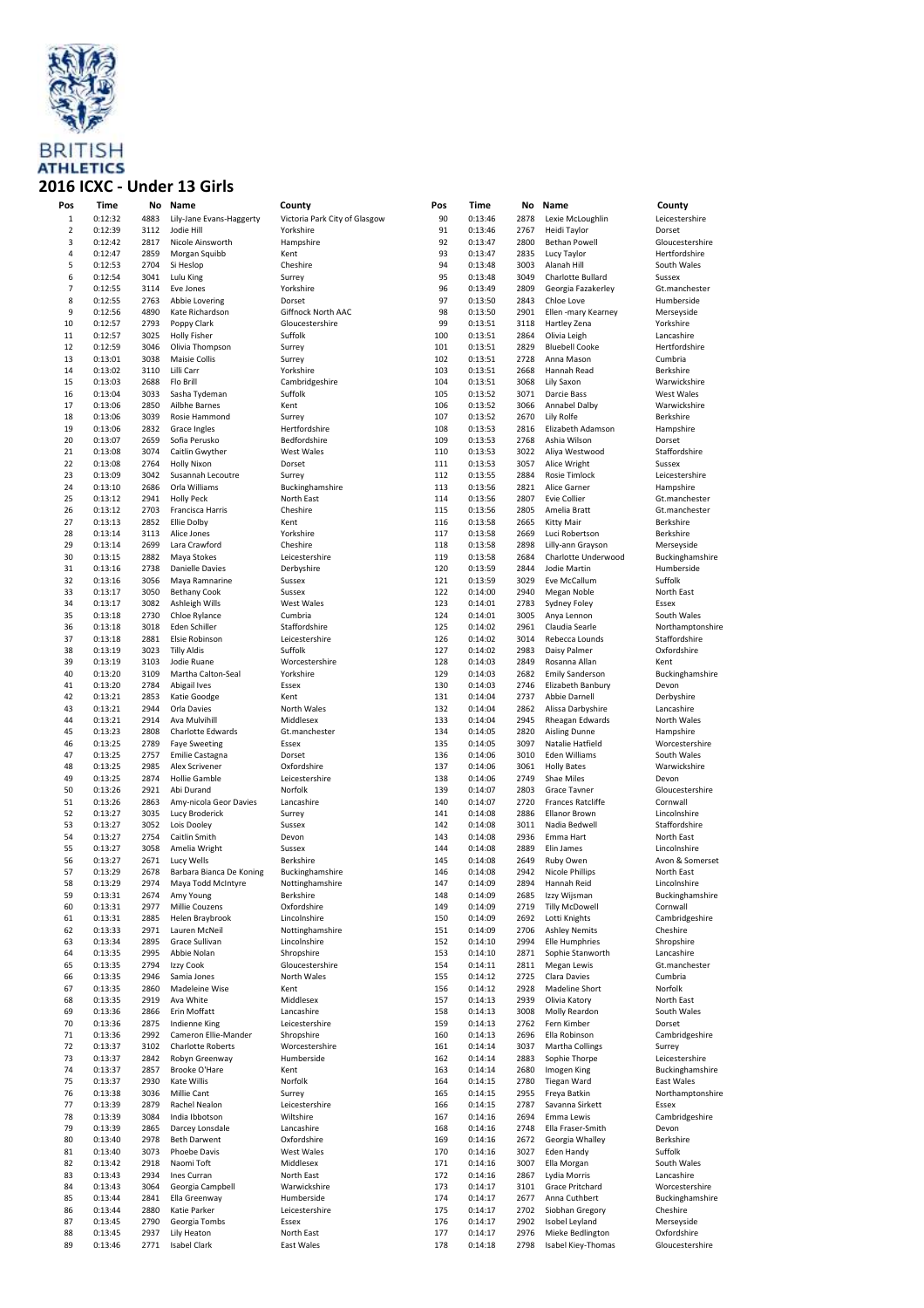

Alex Scrivener 49 0:13:25 2874 Hollie Gamble Leicestershire<br>50 0:13:26 2921 Abi Durand Norfolk 50 0:13:26 2921 Abi Durand Norfolk Amy-nicola Geor Davies

62 0:13:33 2971 Lauren McNeil Nottinghamshire<br>63 0:13:34 2895 Grace Sullivan McNeil Lincolnshire

 0:13:35 2995 Abbie Nolan Shropshire 0:13:35 2794 Izzy Cook Gloucestershire 0:13:35 2946 Samia Jones North Wales 0:13:35 2860 Madeleine Wise Kent<br> $68$  0:13:35 2919 Ava White  $68$  Middlesex

69 0:13:36 2366 Erin Moffatt Lancashire<br>70 0:13:36 2866 Erin Moffatt Lancashire<br>70 0:13:36 2875 Indienne King Leicestershire

71 0:13:36 2992 Cameron Ellie-Mander Shropshire 72 0:13:37 3102 Charlotte Roberts Worcestershire Worcestershire 2013<br>
73 0:13:37 2842 Robyn Greenway Humberside Robyn Greenway 74 0:13:37 2857 Brooke O'Hare Kent<br>75 0:13:37 2930 Kate Willis Norfolk 75 0:13:37 2930 Kate Willis Norfolk 76 0:13:38 3036 Millie Cant Surrey 77 0:13:39 2879 Rachel Nealon Leicestershire<br>78 0:13:39 3084 India Ibbotson Wiltshire 78 0:13:39 3084 India Ibbotson Wiltshire Darcey Lonsdale 80 0:13:40 2978 Beth Darwent Oxfordshire 81 0:13:40 3073 Phoebe Davis West Wales<br>82 0:13:42 2918 Naomi Toft Middlesex Naomi Toft 83 0:13:43 2934 Ines Curran 1986 North East<br>84 0:13:43 3064 Georgia Campbell 1986 Warwickshire 84 0:13:43 3064 Georgia Campbell Warwickshire Ella Greenway 86 0:13:44 2880 Katie Parker Leicestershire 87 0:13:45 2790 Georgia Tombs Essex 88 0:13:45 2937 Lily Heaton North East .<br>Isabel Clark

52 0:13:27 3035 Lucy Broderick Surrey<br>53 0:13:27 3052 Lois Dooley Sussex .<br>Lois Dooley 54 0:13:27 2754 Caitlin Smith Devon 55 0:13:27 3058 Amelia Wright Sussex<br>56 0:13:27 2671 Lucy Wells Sussex Berkshire 56 0:13:27 2671 Lucy Wells Berkshire<br>57 0:13:29 2678 Barbara Bianca De Koning Buckinghamshire 57 0:13:29 2678 Barbara Bianca De Koning Buckinghamshire 58 0:13:29 2974 Maya Todd McIntyre Nottinghamshire<br>59 0:13:31 2674 Amy Young Berkshire 59 0:13:31 2674 Amy Young Berkshire 60 0:13:31 2977 Millie Couzens Oxfordshire

61 0:13:31 2885 Helen Braybrook<br>62 0:13:33 2971 Lauren McNeil

63 0:13:34 2895 Grace Sullivan<br>64 0:13:35 2995 Abbie Nolan

68 0:13:35 2919 Ava White<br>69 0:13:36 2866 Erin Moffatt

 $0:13:36$  2875 Indienne King<br> $0:13:36$  2992 Cameron Ellie

#### **Pos Time No Name County Pos Time No Name County 2016 ICXC - Under 13 Girls** 1 0:12:32 4883 Lily-Jane Evans-Haggerty Victoria Park City of Glasgow .<br>Jodie Hill 3 0:12:42 2817 Nicole Ainsworth Hampshire 4 0:12:47 2859 Morgan Squibb Kent 0:12:53 2704 Si Heslop<br>0:12:54 3041 Lulu King Surrey 6 0:12:54 3041 Lulu King 7 0:12:55 3114 Eve Jones Yorkshire 8 0:12:55 2763 Abbie Lovering<br>9 0:12:56 4890 Kate Richardson Giffnock North AAC 10 0:12:57 2793 Poppy Clark Gloucestershire<br>
11 0:12:57 3025 Holly Fisher Suffolk 11 0:12:57 3025 Holly Fisher Suffolk<br>12 0:12:59 3046 Olivia Thompson Surrey 0livia Thompson 13 0:13:01 3038 Maisie Collis Surrey<br>14 0:13:02 3110 Lilli Carr 70rksh 14 0:13:02 3110 Lilli Carr 7 15 Yorkshire<br>15 0:13:03 2688 Flo Brill 7 Cambridi Cambridgeshire 16 0:13:04 3033 Sasha Tydeman Suffolk 17 0:13:06 2850 Ailbhe Barnes Kent<br>18 0:13:06 3039 Rosie Hammond Surrey Rosie Hammond 19 0:13:06 2832 Grace Ingles Hertfordshire 20 0:13:07 2659 Sofia Perusko Bedfordshire<br>21 0:13:08 3074 Caitlin-Gwyther Mest-Wales Caitlin Gwyther 22 0:13:08 2764 Holly Nixon Dorset 23  $0:13:09$   $3042$  Susannah Lecoutre<br>24  $0:13:10$   $2686$  Orla Williams e<br>Buckinghamshire 25 0:13:12 2941 Holly Peck 1011 North East<br>26 0:13:12 2703 Francisca Harris 101 Cheshire 26 0:13:12 2703 Francisca Harris Cheshire<br>27 0:13:13 2852 Filie Dolby Kent 27 Ellie Dolby Kent<br>27 October 2852 Kent<br>27 Yorkshire 28 0:13:14 3113 Alice Jones Yorkshire 29 0:13:14 2699 Lara Crawford Cheshire<br>30 0:13:15 2882 Maya Stokes Leicestershire Maya Stokes 31 0:13:16 2738 Danielle Davies Derbyshire<br>32 0:13:16 3056 Maya Ramnarine Sussex 32 0:13:16 3056 Maya Ramnarine Sussex 3050 Bethany Cook 34 0:13:17 3082 Ashleigh Wills West Wales 35 0:13:18 2730 Chloe Rylance<br>36 0:13:18 3018 Eden Schiller 36 0:13:18 3018 Eden Schiller Staffordshire 37 0:13:18 2881 Elsie Robinson Leicestershire<br>38 0:13:19 3023 Tilly Aldis Suffolk 38 0:13:19 3023 Tilly Aldis<br>39 0:13:19 3103 Jodie Ruane 39 0:13:19 3103 Jodie Ruane Worcestershire 40 0:13:20 3109 Martha Calton-Seal Yorkshire 41 0:13:20 2784 Abigail Ives<br>42 0:13:21 2853 Katie Goodg 2853 Katie Goodge Kent 43 0:13:21 2944 Orla Davies North Wales<br>44 0:13:21 2914 Ava Mulvihill Middlesex 44 0:13:21 2914 Ava Mulvihill Middlesex<br>45 0:13:23 2808 Charlotte Edwards Gt.manchester Charlotte Edwards 46 0:13:25 2789 Faye Sweeting Essex 47 0:13:25 2757 Emilie Castagna Dorset 90 0:13:46 2878 Lexie McLoughlin Leicestershire Heidi Taylor 92 0:13:47 2800 Bethan Powell Gloucestershire 93 0:13:47 2835 Lucy Taylor Hertfordshire 94 0:13:48 3003 Alanah Hill South Wales<br>95 0:13:48 3049 Charlotte Bullard Sussex **Charlotte Bullard** 96 0:13:49 2809 Georgia Fazakerley Gt.manchester 97 0:13:50 2843 Chloe Love 11 Humberside<br>98 0:13:50 2901 Ellen mary Kearney Mersevside Ellen -mary Kearney 99 0:13:51 3118 Hartley Zena Yorkshire 100 0:13:51 2864 Olivia Leigh Lancashire Bluebell Cooke 102 0:13:51 2728 Anna Mason Cumbria 103 0:13:51 2668 Hannah Read<br>104 0:13:51 3068 Lily Saxon 105 0:13:52 3071 Darcie Bass West Wales 106 0:13:52 3066 Annabel Dalby Warwicks<br>107 0:13:52 2670 Lily Rolfe Nerkshire Lily Rolfe 108 0:13:53 2816 Elizabeth Adamson Hampshire 109 0:13:53 2768 Ashia Wilson Dorset Aliya Westwood 111 0:13:53 3057 Alice Wright Sussex<br>112 0:13:55 2884 Rosie Timlock Leicestershire 112 0:13:55 2884 Rosie Timlock<br>113 0:13:56 2821 Alice Garner 114 0:13:56 2807 Evie Collier Gt.manchester<br>115 0:13:56 2805 Amelia Bratt Gt.manchester 115 0:13:56 2805 Amelia Bratt Gt.manchester<br>116 0:13:58 2665 Kitty Mair – Berkshire Kitty Mair 117 0:13:58 2669 Luci Robertson Berkshire<br>118 0:13:58 2898 Lilly-ann-Grayson Merseyside 118 0:13:58 2898 Lilly-ann Grayson<br>119 0:13:58 2684 Charlotte Underwood 120 0:13:59 2844 Jodie Martin Humberside 121 0:13:59 3029 Eve McCallum Suffolk<br>122 0:14:00 2940 Megan Noble North East Megan Noble 123 0:14:01 2783 Sydney Foley Essex 124 0:14:01 3005 Anya Lennon<br>125 0:14:02 2961 Claudia Searle 126 0:14:02 3014 Rebecca Lounds Staffordshire 127 0:14:02 2983 Daisy Palmer<br>128 0:14:03 2849 Rosanna Allar n 1285 anns an t-14:03 anns an t-14:03 anns an t-14:03 anns an t-14:03 anns an t-14:03 anns an t-14:03 anns an t-14:03 anns an t-14:03 anns an t-14:03 anns an t-14:03 anns an t-14:03 anns an t-14:03 anns an t-14:03 anns an 129 0:14:03 2682 Emily Sanderson Buckinghamshire 130 0:14:03 2746 Elizabeth Banbury<br>131 0:14:04 2737 Abbie Darnell 2737 Abbie Darnell Derbyshire 132 0:14:04 2862 Alissa Darbyshire Lancashire 133 0:14:04 2945 Rheagan Edwards North Wales<br>133 0:14:04 2945 Rheagan Edwards North Wales<br>134 0:14:05 2820 Aisling Dunne Hampshire Aisling Dunne 135 0:14:05 3097 Natalie Hatfield Worcestershire

Warwickshire Hampshire .<br>Buckinghamshire 125 0:14:02 2961 Claudia Searle Northamptonshire 136 0:14:06 3010 Eden Williams South Wales<br>136 0:14:06 3010 Eden Williams South Wales<br>137 0:14:06 3061 Holly Bates Warwickshire 138 0:14:06 2749 Shae Miles Devon<br>139 0:14:07 2803 Grace Tavner Glouce 139 0:14:07 2803 Grace Tavner – Gloucestershire<br>140 0:14:07 2803 Grace Tavner – Gloucestershire<br>140 0:14:07 2720 Frances Ratcliffe – Cornwall 141 0:14:08 2886 Ellanor Brown Lincolnshire 143 0:14:08 2936 Emma Hart North East 144 0:14:08 2889 Elin James Lincolnshire 145 0:14:08 2649 Ruby Owen Avon & Somerset<br>146 0:14:08 2942 Nicole Phillips North East 146 0:14:08 2942 Nicole Phillips North East<br>147 0:14:09 2894 Hannah-Reid Lincolnshire 148 0:14:09 2685 Izzy Wijsman Buckinghamshire 150 0:14:09 2692 Lotti Knights Cambridgeshire 151 0:14:09 2706 Ashley Nemits Cheshire 152 0:14:10 2994 Elle Humphries Shropshire<br>153 0:14:10 2871 Sophie Stanworth Langashire 154 0:14:11 2811 Megan Lewis Gt.manchester<br>155 0:14:12 2725 Clara Davies Cumbria 155 0:14:12 2725 Clara Davies Cumbria<br>156 0:14:12 2928 Madeline Short - Norfolk 156 0:14:12 2928 Madeline Short Norfolk<br>157 0:14:13 2939 Olivia Katory North East 157 0:14:13 2939 Olivia Katory North East 158 0:14:13 3008 Molly Reardon South \<br>159 0:14:13 2762 Fern Kimber Porset 160 0:14:13 2696 Ella Robinson Cambridgeshire<br>161 0:14:14 3037 Martha Collings Surrey 161 0:14:14 3037 Martha Collings Surrey 163 0:14:14 2680 Imogen King Buckinghamshire 164 0:14:15 2780 Tiegan Ward East Wales 166 0:14:15 2787 Savanna Sirkett Essex<br>167 0:14:16 2694 Emma Lewis Camb 167 0:14:16 2694 Emma Lewis Cambridgeshire<br>168 0:14:16 2748 Ella Fraser-Smith Devon 169 0:14:16 2672 Georgia Whalley Berkshire<br>170 0:14:16 3027 Eden Handy Suffolk 170 0:14:16 3027 Eden Handy Suffolk<br>171 0:14:16 3007 Ella Morean South Wales 0:14:16 2867 Lydia Morris Lancashire<br>0:14:17 3101 Grace Pritchard Worcestershir **Buckinghamshire** 175 0:14:17 2702 Siobhan Gregory Cheshire 176 0:14:17 2902 Isobel Leyland Merseyside 177 0:14:17 2976 Mieke Bedlington Oxfordshire

Holly Bates

142 0:14:08 3011 Nadia Bedwell<br>143 0:14:08 2936 Emma Hart

147 0:14:09 2894 Hannah Reid<br>148 0:14:09 2685 Izzy Wijsman

149 0:14:09 2719 Tilly McDowell<br>150 0:14:09 2692 Lotti Knights

153 0:14:10 2871 Sophie Stanworth<br>154 0:14:11 2811 Megan Lewis

159 0:14:13 2762 Fern Kimber<br>160 0:14:13 2696 Ella Robinson

162 0:14:14 2883 Sophie Thorpe<br>163 0:14:14 2680 Impgen King

171 0:14:16 3007 Ella Morgan<br>172 0:14:16 3007 Ella Morgan<br>173 0:14:17 3101 Grace Pritch

173 0:14:17 3101 Grace Pritchard<br>174 0:14:17 2677 Anna Cuthbert

0:14:15 2955 Freya Batkin<br>165 0:14:15 2787 Savanna Sirki

**Ella Fraser-Smith** 

-<br>Isabel Kiey-Thomas

Frances Ratcliffe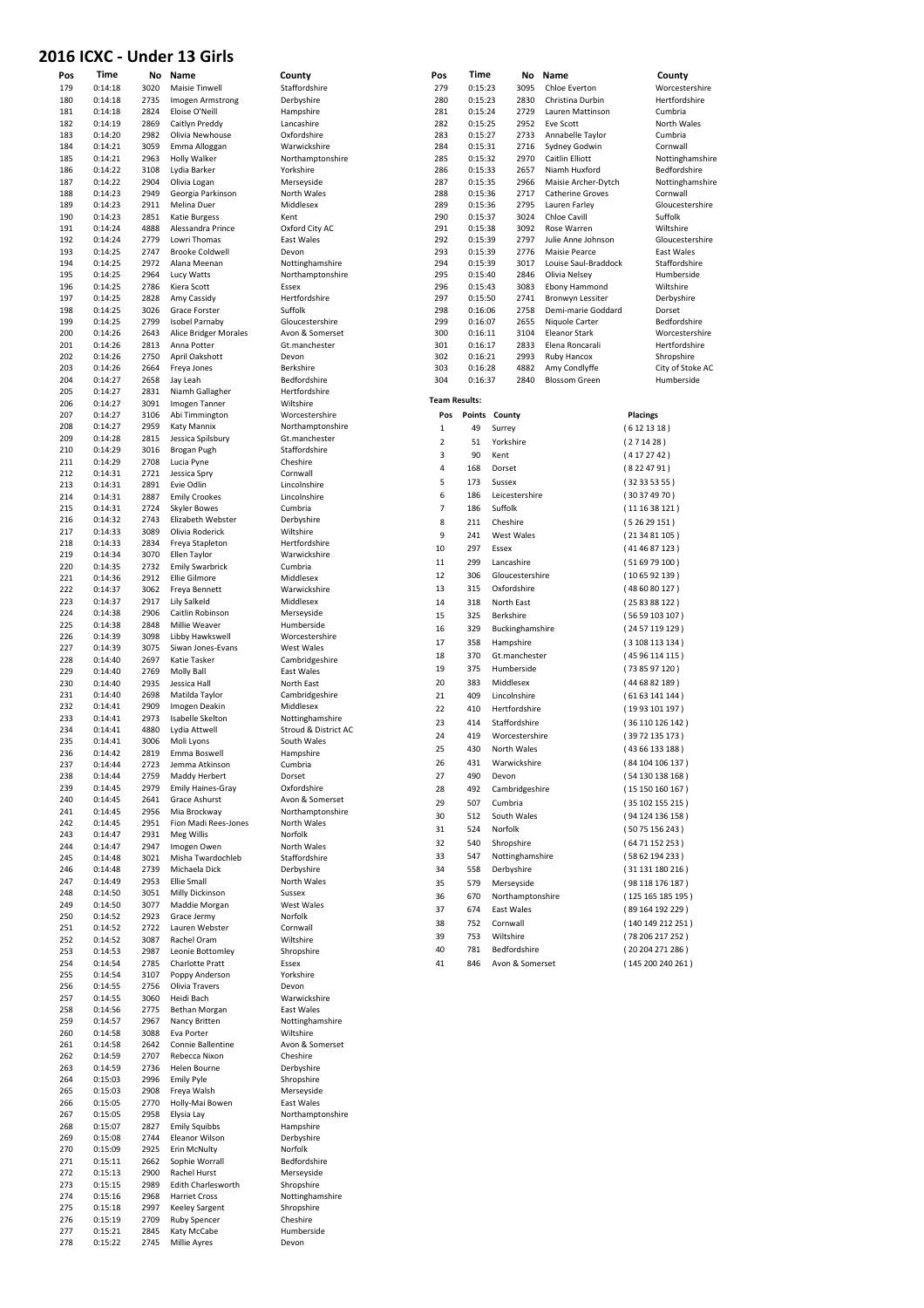#### **2016 ICXC - Under 13 Girls**

| Pos        | Time               | No           | Name                                       | County                             | Pos                  | Time               |                  | No Name                                        | County                      |  |
|------------|--------------------|--------------|--------------------------------------------|------------------------------------|----------------------|--------------------|------------------|------------------------------------------------|-----------------------------|--|
| 179        | 0:14:18            | 3020         | Maisie Tinwell                             | Staffordshire                      | 279                  | 0:15:23            | 3095             | Chloe Everton                                  | Worcestershire              |  |
| 180        | 0:14:18            | 2735         | Imogen Armstrong                           | Derbyshire                         | 280                  | 0:15:23            | 2830             | Christina Durbin                               | Hertfordshire               |  |
| 181        | 0:14:18            | 2824         | Eloise O'Neill                             | Hampshire                          | 281                  | 0:15:24            | 2729             | Lauren Mattinson                               | Cumbria                     |  |
| 182        | 0:14:19            | 2869         | Caitlyn Preddy                             | Lancashire                         | 282                  | 0:15:25            | 2952             | <b>Eve Scott</b>                               | North Wales                 |  |
| 183        | 0:14:20            | 2982         | Olivia Newhouse                            | Oxfordshire                        | 283                  | 0:15:27            | 2733             | Annabelle Taylor                               | Cumbria                     |  |
| 184        | 0:14:21            | 3059         | Emma Alloggan                              | Warwickshire                       | 284                  | 0:15:31            | 2716             | Sydney Godwin                                  | Cornwall                    |  |
| 185        | 0:14:21            | 2963         | Holly Walker                               | Northamptonshire                   | 285                  | 0:15:32            | 2970             | <b>Caitlin Elliott</b>                         | Nottinghamshire             |  |
| 186        | 0:14:22            | 3108         | Lydia Barker                               | Yorkshire                          | 286                  | 0:15:33            | 2657             | Niamh Huxford                                  | Bedfordshire                |  |
| 187<br>188 | 0:14:22<br>0:14:23 | 2904<br>2949 | Olivia Logan<br>Georgia Parkinson          | Merseyside<br>North Wales          | 287<br>288           | 0:15:35<br>0:15:36 | 2966<br>2717     | Maisie Archer-Dytch<br><b>Catherine Groves</b> | Nottinghamshire<br>Cornwall |  |
| 189        | 0:14:23            | 2911         | Melina Duer                                | Middlesex                          | 289                  | 0:15:36            | 2795             | Lauren Farley                                  | Gloucestershire             |  |
| 190        | 0:14:23            | 2851         | Katie Burgess                              | Kent                               | 290                  | 0:15:37            | 3024             | Chloe Cavill                                   | Suffolk                     |  |
| 191        | 0:14:24            | 4888         | Alessandra Prince                          | Oxford City AC                     | 291                  | 0:15:38            | 3092             | Rose Warren                                    | Wiltshire                   |  |
| 192        | 0:14:24            | 2779         | Lowri Thomas                               | East Wales                         | 292                  | 0:15:39            | 2797             | Julie Anne Johnson                             | Gloucestershire             |  |
| 193        | 0:14:25            | 2747         | <b>Brooke Coldwell</b>                     | Devon                              | 293                  | 0:15:39            | 2776             | Maisie Pearce                                  | East Wales                  |  |
| 194        | 0:14:25            | 2972         | Alana Meenan                               | Nottinghamshire                    | 294                  | 0:15:39            | 3017             | Louise Saul-Braddock                           | Staffordshire               |  |
| 195        | 0:14:25            | 2964         | Lucy Watts                                 | Northamptonshire                   | 295                  | 0:15:40            | 2846             | Olivia Nelsey                                  | Humberside                  |  |
| 196        | 0:14:25            | 2786         | Kiera Scott                                | Essex                              | 296                  | 0:15:43            | 3083             | Ebony Hammond                                  | Wiltshire                   |  |
| 197        | 0:14:25            | 2828         | Amy Cassidy                                | Hertfordshire                      | 297                  | 0:15:50            | 2741             | Bronwyn Lessiter                               | Derbyshire                  |  |
| 198<br>199 | 0:14:25<br>0:14:25 | 3026<br>2799 | Grace Forster<br><b>Isobel Parnaby</b>     | Suffolk<br>Gloucestershire         | 298<br>299           | 0:16:06<br>0:16:07 | 2758<br>2655     | Demi-marie Goddard<br>Niquole Carter           | Dorset<br>Bedfordshire      |  |
| 200        | 0:14:26            | 2643         | <b>Alice Bridger Morales</b>               | Avon & Somerset                    | 300                  | 0:16:11            | 3104             | <b>Eleanor Stark</b>                           | Worcestershire              |  |
| 201        | 0:14:26            | 2813         | Anna Potter                                | Gt.manchester                      | 301                  | 0:16:17            | 2833             | Elena Roncarali                                | Hertfordshire               |  |
| 202        | 0:14:26            | 2750         | April Oakshott                             | Devon                              | 302                  | 0:16:21            | 2993             | Ruby Hancox                                    | Shropshire                  |  |
| 203        | 0:14:26            | 2664         | Freya Jones                                | Berkshire                          | 303                  | 0:16:28            | 4882             | Amy Condlyffe                                  | City of Stoke AC            |  |
| 204        | 0:14:27            | 2658         | Jay Leah                                   | Bedfordshire                       | 304                  | 0:16:37            | 2840             | <b>Blossom Green</b>                           | Humberside                  |  |
| 205        | 0:14:27            | 2831         | Niamh Gallagher                            | Hertfordshire                      | <b>Team Results:</b> |                    |                  |                                                |                             |  |
| 206        | 0:14:27            | 3091         | Imogen Tanner                              | Wiltshire                          |                      |                    |                  |                                                |                             |  |
| 207        | 0:14:27            | 3106         | Abi Timmington                             | Worcestershire<br>Northamptonshire | Pos                  | Points             | County           |                                                | Placings                    |  |
| 208<br>209 | 0:14:27<br>0:14:28 | 2959<br>2815 | Katy Mannix<br>Jessica Spilsbury           | Gt.manchester                      | $\mathbf 1$          | 49                 | Surrey           |                                                | (6121318)                   |  |
| 210        | 0:14:29            | 3016         | Brogan Pugh                                | Staffordshire                      | $\overline{2}$       | 51                 | Yorkshire        |                                                | (271428)                    |  |
| 211        | 0:14:29            | 2708         | Lucia Pyne                                 | Cheshire                           | 3                    | 90                 | Kent             |                                                | (4172742)                   |  |
| 212        | 0:14:31            | 2721         | Jessica Spry                               | Cornwall                           | $\overline{4}$       | 168                | Dorset           |                                                | (8224791)                   |  |
| 213        | 0:14:31            | 2891         | Evie Odlin                                 | Lincolnshire                       | 5                    | 173                | Sussex           |                                                | (3235355)                   |  |
| 214        | 0:14:31            | 2887         | <b>Emily Crookes</b>                       | Lincolnshire                       | 6                    | 186                | Leicestershire   |                                                | (30374970)                  |  |
| 215        | 0:14:31            | 2724         | <b>Skyler Bowes</b>                        | Cumbria                            | $\overline{7}$       | 186                | Suffolk          |                                                | (111638121)                 |  |
| 216        | 0:14:32            | 2743         | Elizabeth Webster                          | Derbyshire                         | 8                    | 211                | Cheshire         |                                                | (52629151)                  |  |
| 217        | 0:14:33            | 3089         | Olivia Roderick                            | Wiltshire                          | 9                    | 241                | West Wales       |                                                | (213481105)                 |  |
| 218        | 0:14:33            | 2834         | Freya Stapleton                            | Hertfordshire                      | 10                   | 297                | Essex            |                                                | (414687123)                 |  |
| 219        | 0:14:34            | 3070         | Ellen Taylor                               | Warwickshire                       | 11                   | 299                | Lancashire       |                                                | (516979100)                 |  |
| 220<br>221 | 0:14:35<br>0:14:36 | 2732<br>2912 | <b>Emily Swarbrick</b><br>Ellie Gilmore    | Cumbria<br>Middlesex               | 12                   | 306                | Gloucestershire  |                                                | (106592139)                 |  |
| 222        | 0:14:37            | 3062         | Freya Bennett                              | Warwickshire                       | 13                   | 315                | Oxfordshire      |                                                | (486080127)                 |  |
| 223        | 0:14:37            | 2917         | Lily Salkeld                               | Middlesex                          | 14                   | 318                | North East       |                                                | (258388122)                 |  |
| 224        | 0:14:38            | 2906         | Caitlin Robinson                           | Merseyside                         | 15                   | 325                | Berkshire        |                                                | (5659103107)                |  |
| 225        | 0:14:38            | 2848         | Millie Weaver                              | Humberside                         | 16                   | 329                | Buckinghamshire  |                                                | (2457119129)                |  |
| 226        | 0:14:39            | 3098         | Libby Hawkswell                            | Worcestershire                     | 17                   | 358                | Hampshire        |                                                | (3108113134)                |  |
| 227        | 0:14:39            | 3075         | Siwan Jones-Evans                          | West Wales                         | 18                   | 370                | Gt.manchester    |                                                |                             |  |
| 228        | 0:14:40            | 2697         | Katie Tasker                               | Cambridgeshire                     | 19                   |                    | Humberside       |                                                | (4596114115)                |  |
| 229        | 0:14:40            | 2769         | Molly Ball                                 | East Wales                         |                      | 375                | Middlesex        |                                                | (738597120)                 |  |
| 230<br>231 | 0:14:40<br>0:14:40 | 2935<br>2698 | Jessica Hall<br>Matilda Taylor             | North East                         | 20                   | 383                |                  |                                                | (446882189)                 |  |
| 232        | 0:14:41            | 2909         | Imogen Deakin                              | Cambridgeshire<br>Middlesex        | 21                   | 409                | Lincolnshire     |                                                | (6163141144)                |  |
| 233        | 0:14:41            | 2973         | Isabelle Skelton                           | Nottinghamshire                    | 22                   | 410                | Hertfordshire    |                                                | (19 93 101 197)             |  |
| 234        | 0:14:41            | 4880         | Lydia Attwell                              | Stroud & District AC               | 23                   | 414                | Staffordshire    |                                                | (36110126142)               |  |
| 235        | 0:14:41            | 3006         | Moli Lyons                                 | South Wales                        | 24                   | 419                | Worcestershire   |                                                | (39 72 135 173)             |  |
| 236        | 0:14:42            | 2819         | Emma Boswell                               | Hampshire                          | 25                   | 430                | North Wales      |                                                | (4366133188)                |  |
| 237        | 0:14:44            | 2723         | Jemma Atkinson                             | Cumbria                            | 26                   | 431                | Warwickshire     |                                                | (84 104 106 137 )           |  |
| 238        | 0:14:44            | 2759         | Maddy Herbert                              | Dorset                             | 27                   | 490                | Devon            |                                                | (54130138168)               |  |
| 239        | 0:14:45            | 2979         | Emily Haines-Gray                          | Oxfordshire                        | 28                   | 492                | Cambridgeshire   |                                                | (15150160167)               |  |
| 240        | 0:14:45            | 2641         | Grace Ashurst                              | Avon & Somerset                    | 29                   | 507                | Cumbria          |                                                | (35102155215)               |  |
| 241<br>242 | 0:14:45<br>0:14:45 | 2956<br>2951 | Mia Brockway<br>Fion Madi Rees-Jones       | Northamptonshire<br>North Wales    | 30                   | 512                | South Wales      |                                                | (94 124 136 158)            |  |
| 243        | 0:14:47            | 2931         | Meg Willis                                 | Norfolk                            | 31                   | 524                | Norfolk          |                                                | (50 75 156 243)             |  |
| 244        | 0:14:47            | 2947         | Imogen Owen                                | North Wales                        | 32                   | 540                | Shropshire       |                                                | (6471152253)                |  |
| 245        | 0:14:48            | 3021         | Misha Twardochleb                          | Staffordshire                      | 33                   | 547                | Nottinghamshire  |                                                | (58 62 194 233)             |  |
| 246        | 0:14:48            | 2739         | Michaela Dick                              | Derbyshire                         | 34                   | 558                | Derbyshire       |                                                | (31131180216)               |  |
| 247        | 0:14:49            | 2953         | Ellie Small                                | North Wales                        | 35                   | 579                | Merseyside       |                                                | (98 118 176 187)            |  |
| 248        | 0:14:50            | 3051         | Milly Dickinson                            | Sussex                             | 36                   | 670                | Northamptonshire |                                                | (125 165 185 195)           |  |
| 249        | 0:14:50            | 3077         | Maddie Morgan                              | West Wales                         | 37                   | 674                | East Wales       |                                                | (89 164 192 229)            |  |
| 250        | 0:14:52            | 2923         | Grace Jermy                                | Norfolk                            | 38                   | 752                | Cornwall         |                                                | (140 149 212 251)           |  |
| 251<br>252 | 0:14:52<br>0:14:52 | 2722<br>3087 | Lauren Webster<br>Rachel Oram              | Cornwall<br>Wiltshire              | 39                   | 753                | Wiltshire        |                                                | (78 206 217 252)            |  |
| 253        | 0:14:53            | 2987         | Leonie Bottomley                           | Shropshire                         | 40                   | 781                | Bedfordshire     |                                                | (20204271286)               |  |
| 254        | 0:14:54            | 2785         | Charlotte Pratt                            | Essex                              | 41                   | 846                | Avon & Somerset  |                                                | (145 200 240 261)           |  |
| 255        | 0:14:54            | 3107         | Poppy Anderson                             | Yorkshire                          |                      |                    |                  |                                                |                             |  |
| 256        | 0:14:55            | 2756         | Olivia Travers                             | Devon                              |                      |                    |                  |                                                |                             |  |
| 257        | 0:14:55            | 3060         | Heidi Bach                                 | Warwickshire                       |                      |                    |                  |                                                |                             |  |
| 258        | 0:14:56            | 2775         | Bethan Morgan                              | East Wales                         |                      |                    |                  |                                                |                             |  |
| 259        | 0:14:57            | 2967         | Nancy Britten                              | Nottinghamshire                    |                      |                    |                  |                                                |                             |  |
| 260        | 0:14:58            | 3088         | Eva Porter                                 | Wiltshire                          |                      |                    |                  |                                                |                             |  |
| 261        | 0:14:58            | 2642         | Connie Ballentine                          | Avon & Somerset                    |                      |                    |                  |                                                |                             |  |
| 262<br>263 | 0:14:59<br>0:14:59 | 2707<br>2736 | Rebecca Nixon<br>Helen Bourne              | Cheshire<br>Derbyshire             |                      |                    |                  |                                                |                             |  |
| 264        | 0:15:03            | 2996         | <b>Emily Pyle</b>                          | Shropshire                         |                      |                    |                  |                                                |                             |  |
| 265        | 0:15:03            | 2908         | Freya Walsh                                | Merseyside                         |                      |                    |                  |                                                |                             |  |
| 266        | 0:15:05            | 2770         | Holly-Mai Bowen                            | East Wales                         |                      |                    |                  |                                                |                             |  |
| 267        | 0:15:05            | 2958         | Elysia Lay                                 | Northamptonshire                   |                      |                    |                  |                                                |                             |  |
| 268        | 0:15:07            | 2827         | <b>Emily Squibbs</b>                       | Hampshire                          |                      |                    |                  |                                                |                             |  |
| 269        | 0:15:08            | 2744         | Eleanor Wilson                             | Derbyshire                         |                      |                    |                  |                                                |                             |  |
| 270        | 0:15:09            | 2925         | Erin McNulty                               | Norfolk                            |                      |                    |                  |                                                |                             |  |
| 271        | 0:15:11            | 2662         | Sophie Worrall                             | Bedfordshire                       |                      |                    |                  |                                                |                             |  |
| 272        | 0:15:13            | 2900<br>2989 | Rachel Hurst                               | Merseyside                         |                      |                    |                  |                                                |                             |  |
| 273<br>274 | 0:15:15<br>0:15:16 | 2968         | Edith Charlesworth<br><b>Harriet Cross</b> | Shropshire<br>Nottinghamshire      |                      |                    |                  |                                                |                             |  |
| 275        | 0:15:18            | 2997         | Keeley Sargent                             | Shropshire                         |                      |                    |                  |                                                |                             |  |
| 276        | 0:15:19            | 2709         | <b>Ruby Spencer</b>                        | Cheshire                           |                      |                    |                  |                                                |                             |  |
| 277        | 0:15:21            | 2845         | Katy McCabe                                | Humberside                         |                      |                    |                  |                                                |                             |  |
| 278        | 0:15:22            | 2745         | Millie Ayres                               | Devon                              |                      |                    |                  |                                                |                             |  |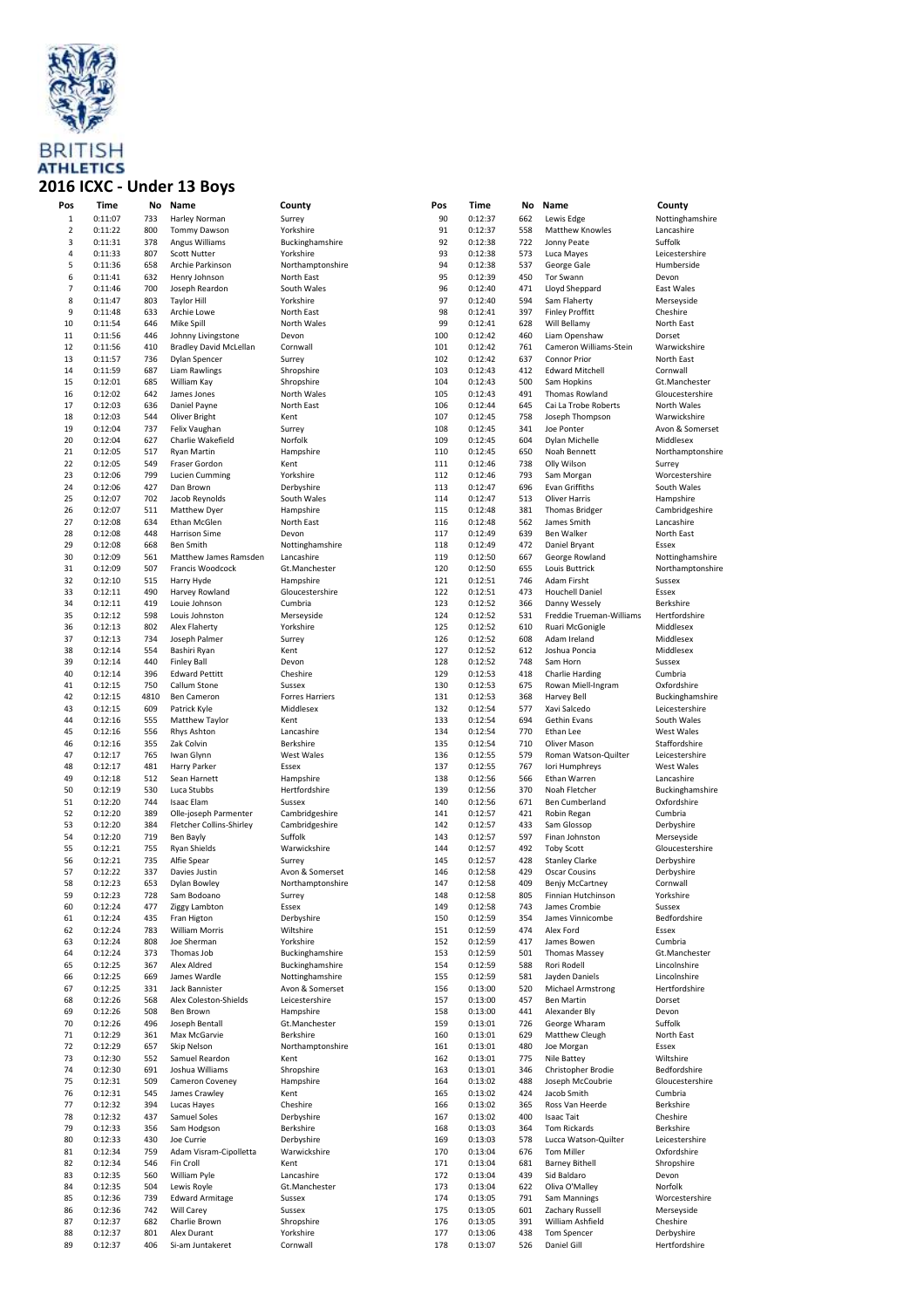

#### **2016 ICXC - Under 13 Boys**

| Pos            | Time    | No   | Name                            | County                 | Pos | Time    | No  | Name                     | County           |
|----------------|---------|------|---------------------------------|------------------------|-----|---------|-----|--------------------------|------------------|
| $\mathbf 1$    | 0:11:07 | 733  | Harley Norman                   | Surrey                 | 90  | 0:12:37 | 662 | Lewis Edge               | Nottinghamshire  |
| $\mathbf 2$    | 0:11:22 | 800  | <b>Tommy Dawson</b>             | Yorkshire              | 91  | 0:12:37 | 558 | Matthew Knowles          | Lancashire       |
| 3              | 0:11:31 | 378  | Angus Williams                  | Buckinghamshire        | 92  | 0:12:38 | 722 | Jonny Peate              | Suffolk          |
| 4              | 0:11:33 | 807  | <b>Scott Nutter</b>             | Yorkshire              | 93  | 0:12:38 | 573 | Luca Mayes               | Leicestershire   |
| 5              | 0:11:36 | 658  | Archie Parkinson                | Northamptonshire       | 94  | 0:12:38 | 537 |                          | Humberside       |
|                |         |      |                                 |                        |     |         |     | George Gale              |                  |
| 6              | 0:11:41 | 632  | Henry Johnson                   | North East             | 95  | 0:12:39 | 450 | Tor Swann                | Devon            |
| $\overline{7}$ | 0:11:46 | 700  | Joseph Reardon                  | South Wales            | 96  | 0:12:40 | 471 | Lloyd Sheppard           | East Wales       |
| 8              | 0:11:47 | 803  | <b>Taylor Hill</b>              | Yorkshire              | 97  | 0:12:40 | 594 | Sam Flaherty             | Merseyside       |
| 9              | 0:11:48 | 633  | Archie Lowe                     | North East             | 98  | 0:12:41 | 397 | <b>Finley Proffitt</b>   | Cheshire         |
| 10             | 0:11:54 | 646  | Mike Spill                      | North Wales            | 99  | 0:12:41 | 628 | Will Bellamy             | North East       |
| 11             | 0:11:56 | 446  | Johnny Livingstone              | Devon                  | 100 | 0:12:42 | 460 | Liam Openshaw            | Dorset           |
| 12             | 0:11:56 | 410  | <b>Bradley David McLellan</b>   | Cornwall               | 101 | 0:12:42 | 761 | Cameron Williams-Stein   | Warwickshire     |
| 13             | 0:11:57 | 736  | <b>Dylan Spencer</b>            | Surrey                 | 102 | 0:12:42 | 637 | <b>Connor Prior</b>      | North East       |
|                |         |      |                                 |                        |     |         |     |                          |                  |
| 14             | 0:11:59 | 687  | Liam Rawlings                   | Shropshire             | 103 | 0:12:43 | 412 | <b>Edward Mitchell</b>   | Cornwall         |
| 15             | 0:12:01 | 685  | William Kay                     | Shropshire             | 104 | 0:12:43 | 500 | Sam Hopkins              | Gt.Manchester    |
| 16             | 0:12:02 | 642  | James Jones                     | North Wales            | 105 | 0:12:43 | 491 | Thomas Rowland           | Gloucestershire  |
| 17             | 0:12:03 | 636  | Daniel Payne                    | North East             | 106 | 0:12:44 | 645 | Cai La Trobe Roberts     | North Wales      |
| 18             | 0:12:03 | 544  | Oliver Bright                   | Kent                   | 107 | 0:12:45 | 758 | Joseph Thompson          | Warwickshire     |
| 19             | 0:12:04 | 737  | Felix Vaughan                   | Surrey                 | 108 | 0:12:45 | 341 | Joe Ponter               | Avon & Somerset  |
| 20             | 0:12:04 | 627  | Charlie Wakefield               | Norfolk                | 109 | 0:12:45 | 604 | Dylan Michelle           | Middlesex        |
| 21             | 0:12:05 | 517  | <b>Ryan Martin</b>              | Hampshire              | 110 | 0:12:45 | 650 | Noah Bennett             | Northamptonshire |
| 22             | 0:12:05 | 549  | Fraser Gordon                   | Kent                   | 111 | 0:12:46 | 738 | Olly Wilson              | Surrey           |
|                |         |      |                                 |                        |     |         |     |                          |                  |
| 23             | 0:12:06 | 799  | <b>Lucien Cumming</b>           | Yorkshire              | 112 | 0:12:46 | 793 | Sam Morgan               | Worcestershire   |
| 24             | 0:12:06 | 427  | Dan Brown                       | Derbyshire             | 113 | 0:12:47 | 696 | Evan Griffiths           | South Wales      |
| 25             | 0:12:07 | 702  | Jacob Reynolds                  | South Wales            | 114 | 0:12:47 | 513 | Oliver Harris            | Hampshire        |
| 26             | 0:12:07 | 511  | Matthew Dyer                    | Hampshire              | 115 | 0:12:48 | 381 | <b>Thomas Bridger</b>    | Cambridgeshire   |
| 27             | 0:12:08 | 634  | Ethan McGlen                    | North East             | 116 | 0:12:48 | 562 | James Smith              | Lancashire       |
| 28             | 0:12:08 | 448  | <b>Harrison Sime</b>            | Devon                  | 117 | 0:12:49 | 639 | Ben Walker               | North East       |
| 29             | 0:12:08 | 668  | <b>Ben Smith</b>                | Nottinghamshire        | 118 | 0:12:49 | 472 | Daniel Bryant            | Essex            |
| 30             | 0:12:09 | 561  | Matthew James Ramsden           | Lancashire             | 119 | 0:12:50 | 667 | George Rowland           | Nottinghamshire  |
|                |         |      |                                 |                        |     | 0:12:50 |     |                          |                  |
| 31             | 0:12:09 | 507  | Francis Woodcock                | Gt.Manchester          | 120 |         | 655 | <b>Louis Buttrick</b>    | Northamptonshire |
| 32             | 0:12:10 | 515  | Harry Hyde                      | Hampshire              | 121 | 0:12:51 | 746 | Adam Firsht              | Sussex           |
| 33             | 0:12:11 | 490  | Harvey Rowland                  | Gloucestershire        | 122 | 0:12:51 | 473 | Houchell Daniel          | Essex            |
| 34             | 0:12:11 | 419  | Louie Johnson                   | Cumbria                | 123 | 0:12:52 | 366 | Danny Wessely            | Berkshire        |
| 35             | 0:12:12 | 598  | Louis Johnston                  | Merseyside             | 124 | 0:12:52 | 531 | Freddie Trueman-Williams | Hertfordshire    |
| 36             | 0:12:13 | 802  | Alex Flaherty                   | Yorkshire              | 125 | 0:12:52 | 610 | Ruari McGonigle          | Middlesex        |
| 37             | 0:12:13 | 734  | Joseph Palmer                   | Surrey                 | 126 | 0:12:52 | 608 | Adam Ireland             | Middlesex        |
| 38             | 0:12:14 | 554  | Bashiri Ryan                    | Kent                   | 127 | 0:12:52 | 612 | Joshua Poncia            | Middlesex        |
|                |         |      |                                 |                        |     |         |     |                          |                  |
| 39             | 0:12:14 | 440  | <b>Finley Ball</b>              | Devon                  | 128 | 0:12:52 | 748 | Sam Horn                 | Sussex           |
| 40             | 0:12:14 | 396  | <b>Edward Pettitt</b>           | Cheshire               | 129 | 0:12:53 | 418 | <b>Charlie Harding</b>   | Cumbria          |
| 41             | 0:12:15 | 750  | Callum Stone                    | Sussex                 | 130 | 0:12:53 | 675 | Rowan Miell-Ingram       | Oxfordshire      |
| 42             | 0:12:15 | 4810 | <b>Ben Cameron</b>              | <b>Forres Harriers</b> | 131 | 0:12:53 | 368 | Harvey Bell              | Buckinghamshire  |
| 43             | 0:12:15 | 609  | Patrick Kyle                    | Middlesex              | 132 | 0:12:54 | 577 | Xavi Salcedo             | Leicestershire   |
| 44             | 0:12:16 | 555  | Matthew Taylor                  | Kent                   | 133 | 0:12:54 | 694 | Gethin Evans             | South Wales      |
| 45             | 0:12:16 | 556  | Rhys Ashton                     | Lancashire             | 134 | 0:12:54 | 770 | Ethan Lee                | West Wales       |
| 46             | 0:12:16 | 355  | Zak Colvin                      | Berkshire              | 135 | 0:12:54 | 710 | Oliver Mason             | Staffordshire    |
|                |         |      |                                 |                        |     |         |     |                          |                  |
| 47             | 0:12:17 | 765  | Iwan Glynn                      | West Wales             | 136 | 0:12:55 | 579 | Roman Watson-Quilter     | Leicestershire   |
| 48             | 0:12:17 | 481  | Harry Parker                    | Essex                  | 137 | 0:12:55 | 767 | Iori Humphreys           | West Wales       |
| 49             | 0:12:18 | 512  | Sean Harnett                    | Hampshire              | 138 | 0:12:56 | 566 | Ethan Warren             | Lancashire       |
| 50             | 0:12:19 | 530  | Luca Stubbs                     | Hertfordshire          | 139 | 0:12:56 | 370 | Noah Fletcher            | Buckinghamshire  |
| 51             | 0:12:20 | 744  | Isaac Elam                      | Sussex                 | 140 | 0:12:56 | 671 | Ben Cumberland           | Oxfordshire      |
| 52             | 0:12:20 | 389  | Olle-joseph Parmenter           | Cambridgeshire         | 141 | 0:12:57 | 421 | Robin Regan              | Cumbria          |
| 53             | 0:12:20 | 384  | <b>Fletcher Collins-Shirley</b> | Cambridgeshire         | 142 | 0:12:57 | 433 | Sam Glossop              | Derbyshire       |
| 54             | 0:12:20 | 719  | Ben Bayly                       | Suffolk                | 143 | 0:12:57 | 597 | Finan Johnston           | Merseyside       |
|                | 0:12:21 | 755  |                                 |                        | 144 | 0:12:57 | 492 |                          |                  |
| 55             |         |      | <b>Ryan Shields</b>             | Warwickshire           |     |         |     | <b>Toby Scott</b>        | Gloucestershire  |
| 56             | 0:12:21 | 735  | Alfie Spear                     | Surrey                 | 145 | 0:12:57 | 428 | <b>Stanley Clarke</b>    | Derbyshire       |
| 57             | 0:12:22 | 337  | Davies Justin                   | Avon & Somerset        | 146 | 0:12:58 | 429 | <b>Oscar Cousins</b>     | Derbyshire       |
| 58             | 0:12:23 | 653  | Dylan Bowley                    | Northamptonshire       | 147 | 0:12:58 | 409 | <b>Benjy McCartney</b>   | Cornwall         |
| 59             | 0:12:23 | 728  | Sam Bodoano                     | Surrey                 | 148 | 0:12:58 | 805 | Finnian Hutchinson       | Yorkshire        |
| 60             | 0:12:24 | 477  | Ziggy Lambton                   | Essex                  | 149 | 0:12:58 | 743 | James Crombie            | Sussex           |
| 61             | 0:12:24 | 435  | Fran Higton                     | Derbyshire             | 150 | 0:12:59 | 354 | James Vinnicombe         | Bedfordshire     |
| 62             | 0:12:24 | 783  | <b>William Morris</b>           | Wiltshire              | 151 | 0:12:59 | 474 | Alex Ford                | Essex            |
|                | 0:12:24 | 808  | Joe Sherman                     | Yorkshire              | 152 |         | 417 |                          |                  |
| 63             |         |      |                                 |                        |     | 0:12:59 |     | James Bowen              | Cumbria          |
| 64             | 0:12:24 | 373  | Thomas Job                      | Buckinghamshire        | 153 | 0:12:59 | 501 | <b>Thomas Massey</b>     | Gt.Manchester    |
| 65             | 0:12:25 | 367  | Alex Aldred                     | Buckinghamshire        | 154 | 0:12:59 | 588 | Rori Rodell              | Lincolnshire     |
| 66             | 0:12:25 | 669  | James Wardle                    | Nottinghamshire        | 155 | 0:12:59 | 581 | Jayden Daniels           | Lincolnshire     |
| 67             | 0:12:25 | 331  | Jack Bannister                  | Avon & Somerset        | 156 | 0:13:00 | 520 | Michael Armstrong        | Hertfordshire    |
| 68             | 0:12:26 | 568  | Alex Coleston-Shields           | Leicestershire         | 157 | 0:13:00 | 457 | <b>Ben Martin</b>        | Dorset           |
| 69             | 0:12:26 | 508  | Ben Brown                       | Hampshire              | 158 | 0:13:00 | 441 | Alexander Bly            | Devon            |
| 70             | 0:12:26 | 496  | Joseph Bentall                  | Gt.Manchester          | 159 | 0:13:01 | 726 | George Wharam            | Suffolk          |
|                |         |      |                                 |                        |     |         |     |                          |                  |
| 71             | 0:12:29 | 361  | Max McGarvie                    | Berkshire              | 160 | 0:13:01 | 629 | Matthew Cleugh           | North East       |
| 72             | 0:12:29 | 657  | Skip Nelson                     | Northamptonshire       | 161 | 0:13:01 | 480 | Joe Morgan               | Essex            |
| 73             | 0:12:30 | 552  | Samuel Reardon                  | Kent                   | 162 | 0:13:01 | 775 | Nile Battey              | Wiltshire        |
| 74             | 0:12:30 | 691  | Joshua Williams                 | Shropshire             | 163 | 0:13:01 | 346 | Christopher Brodie       | Bedfordshire     |
| 75             | 0:12:31 | 509  | Cameron Coveney                 | Hampshire              | 164 | 0:13:02 | 488 | Joseph McCoubrie         | Gloucestershire  |
| 76             | 0:12:31 | 545  | James Crawley                   | Kent                   | 165 | 0:13:02 | 424 | Jacob Smith              | Cumbria          |
| 77             | 0:12:32 | 394  | Lucas Hayes                     | Cheshire               | 166 | 0:13:02 | 365 | Ross Van Heerde          | Berkshire        |
|                |         |      |                                 |                        |     |         | 400 |                          |                  |
| 78             | 0:12:32 | 437  | Samuel Soles                    | Derbyshire             | 167 | 0:13:02 |     | <b>Isaac Tait</b>        | Cheshire         |
| 79             | 0:12:33 | 356  | Sam Hodgson                     | Berkshire              | 168 | 0:13:03 | 364 | Tom Rickards             | Berkshire        |
| 80             | 0:12:33 | 430  | Joe Currie                      | Derbyshire             | 169 | 0:13:03 | 578 | Lucca Watson-Quilter     | Leicestershire   |
| 81             | 0:12:34 | 759  | Adam Visram-Cipolletta          | Warwickshire           | 170 | 0:13:04 | 676 | <b>Tom Miller</b>        | Oxfordshire      |
| 82             | 0:12:34 | 546  | Fin Croll                       | Kent                   | 171 | 0:13:04 | 681 | <b>Barney Bithell</b>    | Shropshire       |
| 83             | 0:12:35 | 560  | William Pyle                    | Lancashire             | 172 | 0:13:04 | 439 | Sid Baldaro              | Devon            |
| 84             | 0:12:35 | 504  | Lewis Royle                     | Gt.Manchester          | 173 | 0:13:04 | 622 | Oliva O'Malley           | Norfolk          |
|                |         |      |                                 |                        |     |         |     |                          |                  |
| 85             | 0:12:36 | 739  | <b>Edward Armitage</b>          | Sussex                 | 174 | 0:13:05 | 791 | Sam Mannings             | Worcestershire   |
| 86             | 0:12:36 | 742  | Will Carey                      | Sussex                 | 175 | 0:13:05 | 601 | Zachary Russell          | Merseyside       |
| 87             | 0:12:37 | 682  | Charlie Brown                   | Shropshire             | 176 | 0:13:05 | 391 | William Ashfield         | Cheshire         |
| 88             | 0:12:37 | 801  | Alex Durant                     | Yorkshire              | 177 | 0:13:06 | 438 | <b>Tom Spencer</b>       | Derbyshire       |
| 89             | 0:12:37 | 406  | Si-am Juntakeret                | Cornwall               | 178 | 0:13:07 | 526 | Daniel Gill              | Hertfordshire    |
|                |         |      |                                 |                        |     |         |     |                          |                  |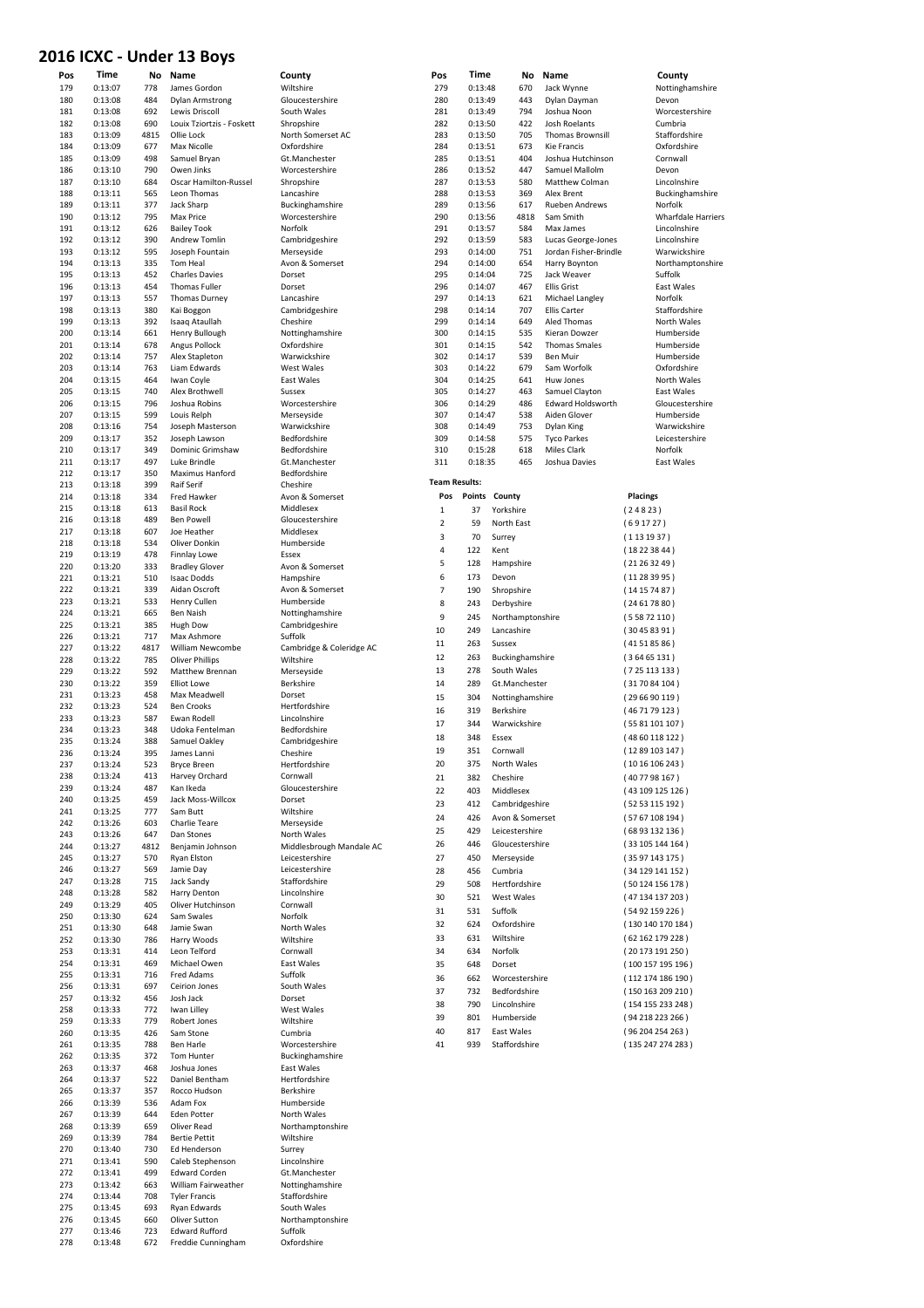#### **2016 ICXC - Under 13 Boys**

|            |                    |             | 2016 ICXC - Under 13 Boys            |                                 |                      |                    |                  |                                         |                 |                                  |
|------------|--------------------|-------------|--------------------------------------|---------------------------------|----------------------|--------------------|------------------|-----------------------------------------|-----------------|----------------------------------|
| Pos        | Time               | No          | Name                                 | County                          | Pos                  | Time               | No               | Name                                    |                 | County                           |
| 179        | 0:13:07            | 778         | James Gordon                         | Wiltshire                       | 279                  | 0:13:48            | 670              | Jack Wynne                              |                 | Nottinghamshire                  |
| 180        | 0:13:08            | 484         | <b>Dylan Armstrong</b>               | Gloucestershire                 | 280                  | 0:13:49            | 443              | Dylan Dayman                            |                 | Devon                            |
| 181        | 0:13:08            | 692         | Lewis Driscoll                       | South Wales                     | 281                  | 0:13:49            | 794              | Joshua Noon                             |                 | Worcestershire                   |
| 182        | 0:13:08            | 690         | Louix Tziortzis - Foskett            | Shropshire<br>North Somerset AC | 282                  | 0:13:50            | 422<br>705       | Josh Roelants                           |                 | Cumbria<br>Staffordshire         |
| 183<br>184 | 0:13:09<br>0:13:09 | 4815<br>677 | Ollie Lock<br>Max Nicolle            | Oxfordshire                     | 283<br>284           | 0:13:50<br>0:13:51 | 673              | <b>Thomas Brownsill</b><br>Kie Francis  |                 | Oxfordshire                      |
| 185        | 0:13:09            | 498         | Samuel Bryan                         | Gt.Manchester                   | 285                  | 0:13:51            | 404              | Joshua Hutchinson                       |                 | Cornwall                         |
| 186        | 0:13:10            | 790         | Owen Jinks                           | Worcestershire                  | 286                  | 0:13:52            | 447              | Samuel Mallolm                          |                 | Devon                            |
| 187        | 0:13:10            | 684         | Oscar Hamilton-Russel                | Shropshire                      | 287                  | 0:13:53            | 580              | Matthew Colman                          |                 | Lincolnshire                     |
| 188        | 0:13:11            | 565         | Leon Thomas                          | Lancashire                      | 288                  | 0:13:53            | 369              | Alex Brent                              |                 | Buckinghamshire                  |
| 189        | 0:13:11            | 377         | Jack Sharp                           | Buckinghamshire                 | 289                  | 0:13:56            | 617              | Rueben Andrews                          |                 | Norfolk                          |
| 190        | 0:13:12            | 795         | Max Price                            | Worcestershire                  | 290                  | 0:13:56            | 4818             | Sam Smith                               |                 | <b>Wharfdale Harriers</b>        |
| 191        | 0:13:12            | 626         | <b>Bailey Took</b>                   | Norfolk                         | 291                  | 0:13:57            | 584              | Max James                               |                 | Lincolnshire                     |
| 192<br>193 | 0:13:12<br>0:13:12 | 390<br>595  | Andrew Tomlin<br>Joseph Fountain     | Cambridgeshire<br>Merseyside    | 292<br>293           | 0:13:59<br>0:14:00 | 583<br>751       | Lucas George-Jones                      |                 | Lincolnshire                     |
| 194        | 0:13:13            | 335         | Tom Heal                             | Avon & Somerset                 | 294                  | 0:14:00            | 654              | Jordan Fisher-Brindle<br>Harry Boynton  |                 | Warwickshire<br>Northamptonshire |
| 195        | 0:13:13            | 452         | <b>Charles Davies</b>                | Dorset                          | 295                  | 0:14:04            | 725              | Jack Weaver                             |                 | Suffolk                          |
| 196        | 0:13:13            | 454         | Thomas Fuller                        | Dorset                          | 296                  | 0:14:07            | 467              | <b>Ellis Grist</b>                      |                 | East Wales                       |
| 197        | 0:13:13            | 557         | <b>Thomas Durney</b>                 | Lancashire                      | 297                  | 0:14:13            | 621              | Michael Langley                         |                 | Norfolk                          |
| 198        | 0:13:13            | 380         | Kai Boggon                           | Cambridgeshire                  | 298                  | 0:14:14            | 707              | Ellis Carter                            |                 | Staffordshire                    |
| 199        | 0:13:13            | 392         | Isaaq Ataullah                       | Cheshire                        | 299                  | 0:14:14            | 649              | Aled Thomas                             |                 | North Wales                      |
| 200        | 0:13:14            | 661         | Henry Bullough                       | Nottinghamshire                 | 300                  | 0:14:15            | 535              | Kieran Dowzer                           |                 | Humberside                       |
| 201<br>202 | 0:13:14<br>0:13:14 | 678<br>757  | Angus Pollock<br>Alex Stapleton      | Oxfordshire<br>Warwickshire     | 301<br>302           | 0:14:15<br>0:14:17 | 542<br>539       | <b>Thomas Smales</b><br><b>Ben Muir</b> |                 | Humberside<br>Humberside         |
| 203        | 0:13:14            | 763         | Liam Edwards                         | West Wales                      | 303                  | 0:14:22            | 679              | Sam Worfolk                             |                 | Oxfordshire                      |
| 204        | 0:13:15            | 464         | Iwan Coyle                           | East Wales                      | 304                  | 0:14:25            | 641              | Huw Jones                               |                 | North Wales                      |
| 205        | 0:13:15            | 740         | Alex Brothwell                       | Sussex                          | 305                  | 0:14:27            | 463              | Samuel Clayton                          |                 | East Wales                       |
| 206        | 0:13:15            | 796         | Joshua Robins                        | Worcestershire                  | 306                  | 0:14:29            | 486              | <b>Edward Holdsworth</b>                |                 | Gloucestershire                  |
| 207        | 0:13:15            | 599         | Louis Relph                          | Merseyside                      | 307                  | 0:14:47            | 538              | Aiden Glover                            |                 | Humberside                       |
| 208        | 0:13:16            | 754         | Joseph Masterson                     | Warwickshire                    | 308                  | 0:14:49            | 753              | Dylan King                              |                 | Warwickshire                     |
| 209        | 0:13:17            | 352         | Joseph Lawson                        | Bedfordshire                    | 309                  | 0:14:58            | 575              | <b>Tyco Parkes</b>                      |                 | Leicestershire                   |
| 210        | 0:13:17            | 349         | Dominic Grimshaw                     | Bedfordshire                    | 310<br>311           | 0:15:28            | 618              | Miles Clark                             |                 | Norfolk                          |
| 211<br>212 | 0:13:17<br>0:13:17 | 497<br>350  | Luke Brindle<br>Maximus Hanford      | Gt.Manchester<br>Bedfordshire   |                      | 0:18:35            | 465              | Joshua Davies                           |                 | East Wales                       |
| 213        | 0:13:18            | 399         | <b>Raif Serif</b>                    | Cheshire                        | <b>Team Results:</b> |                    |                  |                                         |                 |                                  |
| 214        | 0:13:18            | 334         | Fred Hawker                          | Avon & Somerset                 | Pos                  | Points County      |                  |                                         | <b>Placings</b> |                                  |
| 215        | 0:13:18            | 613         | <b>Basil Rock</b>                    | Middlesex                       | $\mathbf 1$          | 37                 | Yorkshire        |                                         | (24823)         |                                  |
| 216        | 0:13:18            | 489         | <b>Ben Powell</b>                    | Gloucestershire                 | $\overline{2}$       | 59                 | North East       |                                         | (691727)        |                                  |
| 217        | 0:13:18            | 607         | Joe Heather                          | Middlesex                       | 3                    | 70                 | Surrey           |                                         | (1131937)       |                                  |
| 218        | 0:13:18            | 534         | Oliver Donkin                        | Humberside                      | $\overline{4}$       | 122<br>Kent        |                  |                                         | (18223844)      |                                  |
| 219        | 0:13:19            | 478         | Finnlay Lowe                         | Essex                           | 5                    | 128                | Hampshire        |                                         | (21263249)      |                                  |
| 220        | 0:13:20            | 333         | <b>Bradley Glover</b>                | Avon & Somerset                 | 6                    | 173                | Devon            |                                         | (11283995)      |                                  |
| 221<br>222 | 0:13:21<br>0:13:21 | 510<br>339  | <b>Isaac Dodds</b><br>Aidan Oscroft  | Hampshire<br>Avon & Somerset    | $\overline{7}$       | 190                |                  |                                         |                 |                                  |
| 223        | 0:13:21            | 533         | Henry Cullen                         | Humberside                      |                      |                    | Shropshire       |                                         | (14157487)      |                                  |
| 224        | 0:13:21            | 665         | Ben Naish                            | Nottinghamshire                 | 8                    | 243                | Derbyshire       |                                         | (24617880)      |                                  |
| 225        | 0:13:21            | 385         | Hugh Dow                             | Cambridgeshire                  | 9                    | 245                | Northamptonshire |                                         | (55872110)      |                                  |
| 226        | 0:13:21            | 717         | Max Ashmore                          | Suffolk                         | 10                   | 249                | Lancashire       |                                         | (30458391)      |                                  |
| 227        | 0:13:22            | 4817        | William Newcombe                     | Cambridge & Coleridge AC        | 11                   | 263                | Sussex           |                                         | (41518586)      |                                  |
| 228        | 0:13:22            | 785         | <b>Oliver Phillips</b>               | Wiltshire                       | 12                   | 263                | Buckinghamshire  |                                         | (36465131)      |                                  |
| 229        | 0:13:22            | 592         | Matthew Brennan                      | Merseyside                      | 13                   | 278                | South Wales      |                                         |                 | (725113133)                      |
| 230        | 0:13:22            | 359         | <b>Elliot Lowe</b>                   | Berkshire                       | 14                   | 289                | Gt.Manchester    |                                         |                 | (317084104)                      |
| 231<br>232 | 0:13:23<br>0:13:23 | 458<br>524  | Max Meadwell                         | Dorset                          | 15                   | 304                | Nottinghamshire  |                                         |                 | (296690119)                      |
| 233        | 0:13:23            | 587         | <b>Ben Crooks</b><br>Ewan Rodell     | Hertfordshire<br>Lincolnshire   | 16                   | 319                | Berkshire        |                                         |                 | (46 71 79 123)                   |
| 234        | 0:13:23            | 348         | Udoka Fentelman                      | Bedfordshire                    | 17                   | 344                | Warwickshire     |                                         |                 | (5581101107)                     |
| 235        | 0:13:24            | 388         | Samuel Oakley                        | Cambridgeshire                  | 18                   | 348<br>Essex       |                  |                                         |                 | (4860118122)                     |
| 236        | 0:13:24            | 395         | James Lanni                          | Cheshire                        | 19                   | 351                | Cornwall         |                                         |                 | (1289103147)                     |
| 237        | 0:13:24            | 523         | <b>Bryce Breen</b>                   | Hertfordshire                   | 20                   | 375                | North Wales      |                                         |                 | (1016106243)                     |
| 238        | 0:13:24            | 413         | Harvey Orchard                       | Cornwall                        | 21                   | 382                | Cheshire         |                                         |                 | (407798167)                      |
| 239        | 0:13:24            | 487         | Kan Ikeda                            | Gloucestershire                 | 22                   | 403                | Middlesex        |                                         |                 | (43109125126)                    |
| 240        | 0:13:25            | 459         | Jack Moss-Willcox                    | Dorset                          | 23                   | 412                | Cambridgeshire   |                                         |                 | (52 53 115 192)                  |
| 241        | 0:13:25            | 777         | Sam Butt                             | Wiltshire                       | 24                   | 426                | Avon & Somerset  |                                         |                 | (5767108194)                     |
| 242<br>243 | 0:13:26<br>0:13:26 | 603<br>647  | Charlie Teare<br>Dan Stones          | Merseyside<br>North Wales       | 25                   | 429                | Leicestershire   |                                         |                 | (68 93 132 136)                  |
| 244        | 0:13:27            | 4812        | Benjamin Johnson                     | Middlesbrough Mandale AC        | 26                   | 446                | Gloucestershire  |                                         |                 | (33105144164)                    |
| 245        | 0:13:27            | 570         | Ryan Elston                          | Leicestershire                  | 27                   | 450                | Merseyside       |                                         |                 | (3597143175)                     |
| 246        | 0:13:27            | 569         | Jamie Day                            | Leicestershire                  | 28                   | 456                | Cumbria          |                                         |                 | (34 129 141 152)                 |
| 247        | 0:13:28            | 715         | Jack Sandy                           | Staffordshire                   | 29                   | 508                | Hertfordshire    |                                         |                 | (50 124 156 178)                 |
| 248        | 0:13:28            | 582         | Harry Denton                         | Lincolnshire                    | 30                   | 521                | West Wales       |                                         |                 | (47 134 137 203)                 |
| 249        | 0:13:29            | 405         | Oliver Hutchinson                    | Cornwall                        | 31                   | 531                | Suffolk          |                                         |                 | (54 92 159 226)                  |
| 250        | 0:13:30            | 624         | Sam Swales                           | Norfolk                         | 32                   | 624                | Oxfordshire      |                                         |                 | (130 140 170 184)                |
| 251        | 0:13:30<br>0:13:30 | 648<br>786  | Jamie Swan                           | North Wales<br>Wiltshire        | 33                   | 631                | Wiltshire        |                                         |                 | (62 162 179 228)                 |
| 252<br>253 | 0:13:31            | 414         | Harry Woods<br>Leon Telford          | Cornwall                        | 34                   | 634                | Norfolk          |                                         |                 | (20 173 191 250)                 |
| 254        | 0:13:31            | 469         | Michael Owen                         | East Wales                      | 35                   | 648                | Dorset           |                                         |                 | (100 157 195 196)                |
| 255        | 0:13:31            | 716         | Fred Adams                           | Suffolk                         | 36                   | 662                | Worcestershire   |                                         |                 | (112174186190)                   |
| 256        | 0:13:31            | 697         | Ceirion Jones                        | South Wales                     | 37                   | 732                | Bedfordshire     |                                         |                 |                                  |
| 257        | 0:13:32            | 456         | Josh Jack                            | Dorset                          |                      |                    |                  |                                         |                 | (150 163 209 210)                |
| 258        | 0:13:33            | 772         | Iwan Lilley                          | West Wales                      | 38                   | 790                | Lincolnshire     |                                         |                 | (154 155 233 248)                |
| 259        | 0:13:33            | 779         | Robert Jones                         | Wiltshire                       | 39                   | 801                | Humberside       |                                         |                 | (94218223266)                    |
| 260        | 0:13:35            | 426         | Sam Stone                            | Cumbria                         | 40                   | 817                | East Wales       |                                         |                 | (96 204 254 263)                 |
| 261        | 0:13:35            | 788         | <b>Ben Harle</b>                     | Worcestershire                  | 41                   | 939                | Staffordshire    |                                         |                 | (135 247 274 283)                |
| 262<br>263 | 0:13:35<br>0:13:37 | 372<br>468  | Tom Hunter<br>Joshua Jones           | Buckinghamshire<br>East Wales   |                      |                    |                  |                                         |                 |                                  |
| 264        | 0:13:37            | 522         | Daniel Bentham                       | Hertfordshire                   |                      |                    |                  |                                         |                 |                                  |
| 265        | 0:13:37            | 357         | Rocco Hudson                         | Berkshire                       |                      |                    |                  |                                         |                 |                                  |
| 266        | 0:13:39            | 536         | Adam Fox                             | Humberside                      |                      |                    |                  |                                         |                 |                                  |
| 267        | 0:13:39            | 644         | Eden Potter                          | North Wales                     |                      |                    |                  |                                         |                 |                                  |
| 268        | 0:13:39            | 659         | Oliver Read                          | Northamptonshire                |                      |                    |                  |                                         |                 |                                  |
| 269        | 0:13:39            | 784         | <b>Bertie Pettit</b>                 | Wiltshire                       |                      |                    |                  |                                         |                 |                                  |
| 270        | 0:13:40            | 730         | Ed Henderson                         | Surrey                          |                      |                    |                  |                                         |                 |                                  |
| 271        | 0:13:41            | 590         | Caleb Stephenson                     | Lincolnshire                    |                      |                    |                  |                                         |                 |                                  |
| 272        | 0:13:41            | 499         | <b>Edward Corden</b>                 | Gt.Manchester                   |                      |                    |                  |                                         |                 |                                  |
| 273        | 0:13:42            | 663         | William Fairweather                  | Nottinghamshire                 |                      |                    |                  |                                         |                 |                                  |
| 274<br>275 | 0:13:44<br>0:13:45 | 708<br>693  | <b>Tyler Francis</b><br>Ryan Edwards | Staffordshire<br>South Wales    |                      |                    |                  |                                         |                 |                                  |
| 276        | 0:13:45            | 660         | Oliver Sutton                        | Northamptonshire                |                      |                    |                  |                                         |                 |                                  |
| 277        | 0:13:46            | 723         | <b>Edward Rufford</b>                | Suffolk                         |                      |                    |                  |                                         |                 |                                  |
| 278        | 0:13:48            | 672         | Freddie Cunningham                   | Oxfordshire                     |                      |                    |                  |                                         |                 |                                  |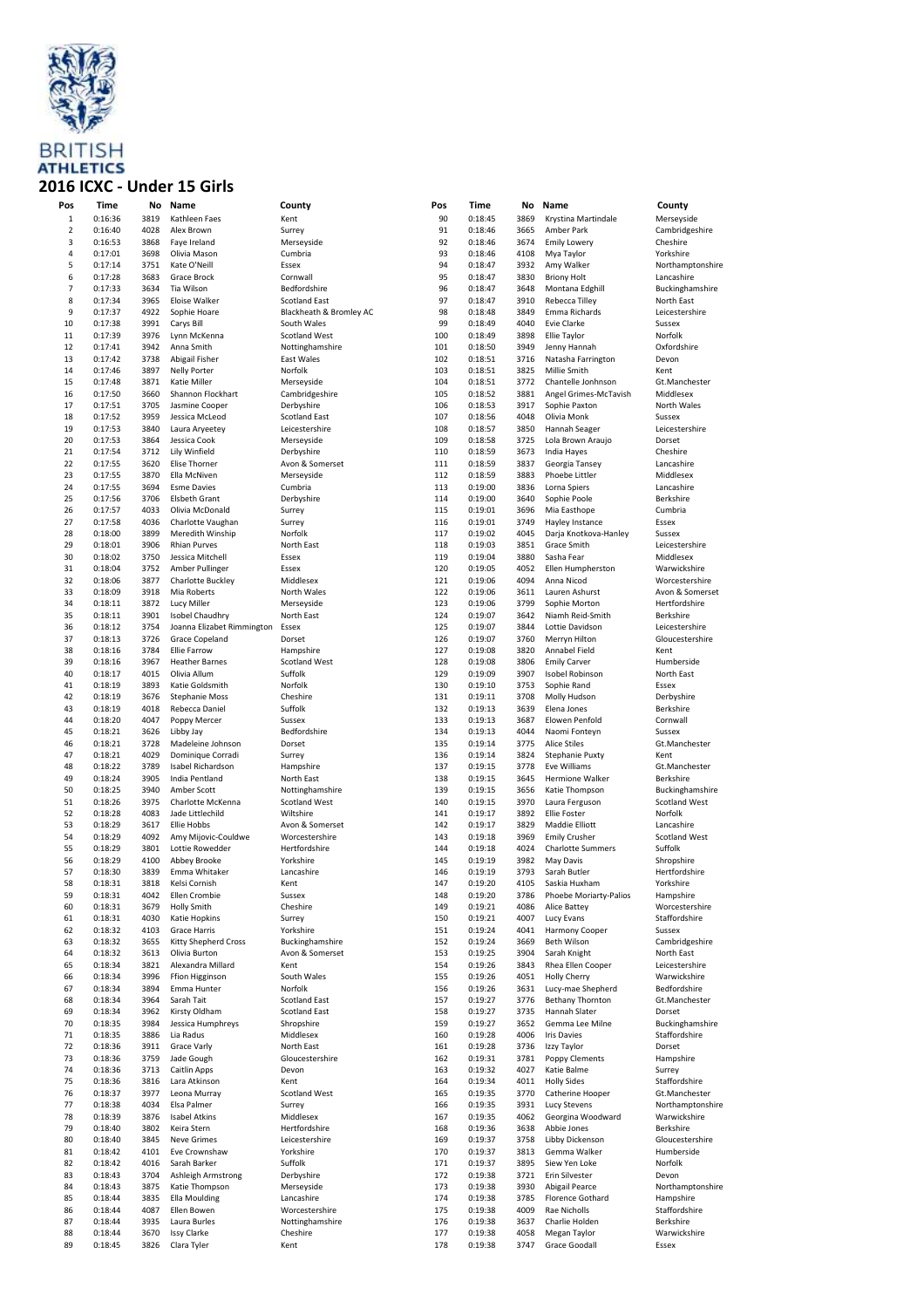

### **2016 ICXC - Under 15 Girls**

|                |                    |              | 016 ICXC - Under 15 Girls              |                              |            |                    |              |                                        |                                   |
|----------------|--------------------|--------------|----------------------------------------|------------------------------|------------|--------------------|--------------|----------------------------------------|-----------------------------------|
| Pos            | Time               |              | No Name                                | County                       | Pos        | Time               | No           | Name                                   | County                            |
| $\mathbf{1}$   | 0:16:36            | 3819         | Kathleen Faes                          | Kent                         | 90         | 0:18:45            | 3869         | Krystina Martindale                    | Merseyside                        |
| $\overline{2}$ | 0:16:40            | 4028         | Alex Brown                             | Surrey                       | 91         | 0:18:46            | 3665         | Amber Park                             | Cambridgeshire                    |
| 3              | 0:16:53            | 3868         | Faye Ireland                           | Merseyside                   | 92         | 0:18:46            | 3674         | <b>Emily Lowery</b>                    | Cheshire                          |
| 4<br>5         | 0:17:01<br>0:17:14 | 3698<br>3751 | Olivia Mason<br>Kate O'Neill           | Cumbria                      | 93<br>94   | 0:18:46            | 4108<br>3932 | Mya Taylor                             | Yorkshire                         |
| 6              | 0:17:28            | 3683         | Grace Brock                            | Essex<br>Cornwall            | 95         | 0:18:47<br>0:18:47 | 3830         | Amy Walker<br><b>Briony Holt</b>       | Northamptonshire<br>Lancashire    |
| $\overline{7}$ | 0:17:33            | 3634         | Tia Wilson                             | Bedfordshire                 | 96         | 0:18:47            | 3648         | Montana Edghill                        | Buckinghamshire                   |
| 8              | 0:17:34            | 3965         | Eloise Walker                          | <b>Scotland East</b>         | 97         | 0:18:47            | 3910         | Rebecca Tilley                         | North East                        |
| 9              | 0:17:37            | 4922         | Sophie Hoare                           | Blackheath & Bromley AC      | 98         | 0:18:48            | 3849         | Emma Richards                          | Leicestershire                    |
| 10             | 0:17:38            | 3991         | Carys Bill                             | South Wales                  | 99         | 0:18:49            | 4040         | Evie Clarke                            | Sussex                            |
| 11             | 0:17:39            | 3976         | Lynn McKenna                           | Scotland West                | 100        | 0:18:49            | 3898         | Ellie Taylor                           | Norfolk                           |
| 12             | 0:17:41            | 3942         | Anna Smith                             | Nottinghamshire              | 101        | 0:18:50            | 3949         | Jenny Hannah                           | Oxfordshire                       |
| 13             | 0:17:42            | 3738         | Abigail Fisher                         | East Wales                   | 102        | 0:18:51            | 3716         | Natasha Farrington                     | Devon                             |
| 14             | 0:17:46            | 3897         | <b>Nelly Porter</b>                    | Norfolk                      | 103        | 0:18:51            | 3825         | Millie Smith                           | Kent                              |
| 15             | 0:17:48            | 3871         | Katie Miller                           | Merseyside                   | 104        | 0:18:51            | 3772         | Chantelle Jonhnson                     | Gt.Manchester                     |
| 16             | 0:17:50            | 3660         | Shannon Flockhart                      | Cambridgeshire               | 105        | 0:18:52            | 3881         | Angel Grimes-McTavish                  | Middlesex                         |
| 17             | 0:17:51            | 3705         | Jasmine Cooper                         | Derbyshire                   | 106        | 0:18:53            | 3917         | Sophie Paxton                          | North Wales                       |
| 18<br>19       | 0:17:52<br>0:17:53 | 3959<br>3840 | Jessica McLeod<br>Laura Aryeetey       | <b>Scotland East</b>         | 107<br>108 | 0:18:56<br>0:18:57 | 4048<br>3850 | Olivia Monk                            | Sussex                            |
| 20             | 0:17:53            | 3864         | Jessica Cook                           | Leicestershire<br>Merseyside | 109        | 0:18:58            | 3725         | Hannah Seager<br>Lola Brown Araujo     | Leicestershire<br>Dorset          |
| 21             | 0:17:54            | 3712         | Lily Winfield                          | Derbyshire                   | 110        | 0:18:59            | 3673         | India Hayes                            | Cheshire                          |
| 22             | 0:17:55            | 3620         | Elise Thorner                          | Avon & Somerset              | 111        | 0:18:59            | 3837         | Georgia Tansey                         | Lancashire                        |
| 23             | 0:17:55            | 3870         | Ella McNiven                           | Merseyside                   | 112        | 0:18:59            | 3883         | Phoebe Littler                         | Middlesex                         |
| 24             | 0:17:55            | 3694         | <b>Esme Davies</b>                     | Cumbria                      | 113        | 0:19:00            | 3836         | Lorna Spiers                           | Lancashire                        |
| 25             | 0:17:56            | 3706         | <b>Elsbeth Grant</b>                   | Derbyshire                   | 114        | 0:19:00            | 3640         | Sophie Poole                           | Berkshire                         |
| 26             | 0:17:57            | 4033         | Olivia McDonald                        | Surrey                       | 115        | 0:19:01            | 3696         | Mia Easthope                           | Cumbria                           |
| 27             | 0:17:58            | 4036         | Charlotte Vaughan                      | Surrey                       | 116        | 0:19:01            | 3749         | Hayley Instance                        | Essex                             |
| 28             | 0:18:00            | 3899         | Meredith Winship                       | Norfolk                      | 117        | 0:19:02            | 4045         | Darja Knotkova-Hanley                  | Sussex                            |
| 29             | 0:18:01            | 3906         | <b>Rhian Purves</b>                    | North East                   | 118        | 0:19:03            | 3851         | Grace Smith                            | Leicestershire                    |
| 30             | 0:18:02            | 3750         | Jessica Mitchell                       | Essex                        | 119        | 0:19:04            | 3880         | Sasha Fear                             | Middlesex                         |
| 31             | 0:18:04            | 3752         | Amber Pullinger                        | Essex                        | 120        | 0:19:05            | 4052         | Ellen Humpherston                      | Warwickshire                      |
| 32<br>33       | 0:18:06            | 3877<br>3918 | Charlotte Buckley<br>Mia Roberts       | Middlesex                    | 121<br>122 | 0:19:06<br>0:19:06 | 4094<br>3611 | Anna Nicod                             | Worcestershire<br>Avon & Somerset |
| 34             | 0:18:09<br>0:18:11 | 3872         | Lucy Miller                            | North Wales<br>Merseyside    | 123        | 0:19:06            | 3799         | Lauren Ashurst<br>Sophie Morton        | Hertfordshire                     |
| 35             | 0:18:11            | 3901         | Isobel Chaudhry                        | North East                   | 124        | 0:19:07            | 3642         | Niamh Reid-Smith                       | Berkshire                         |
| 36             | 0:18:12            | 3754         | Joanna Elizabet Rimmington             | Essex                        | 125        | 0:19:07            | 3844         | Lottie Davidson                        | Leicestershire                    |
| 37             | 0:18:13            | 3726         | Grace Copeland                         | Dorset                       | 126        | 0:19:07            | 3760         | Merryn Hilton                          | Gloucestershire                   |
| 38             | 0:18:16            | 3784         | Ellie Farrow                           | Hampshire                    | 127        | 0:19:08            | 3820         | Annabel Field                          | Kent                              |
| 39             | 0:18:16            | 3967         | <b>Heather Barnes</b>                  | <b>Scotland West</b>         | 128        | 0:19:08            | 3806         | <b>Emily Carver</b>                    | Humberside                        |
| 40             | 0:18:17            | 4015         | Olivia Allum                           | Suffolk                      | 129        | 0:19:09            | 3907         | Isobel Robinson                        | North East                        |
| 41             | 0:18:19            | 3893         | Katie Goldsmith                        | Norfolk                      | 130        | 0:19:10            | 3753         | Sophie Rand                            | Essex                             |
| 42             | 0:18:19            | 3676         | <b>Stephanie Moss</b>                  | Cheshire                     | 131        | 0:19:11            | 3708         | Molly Hudson                           | Derbyshire                        |
| 43             | 0:18:19            | 4018         | Rebecca Daniel                         | Suffolk                      | 132        | 0:19:13            | 3639         | Elena Jones                            | Berkshire                         |
| 44             | 0:18:20            | 4047         | Poppy Mercer                           | Sussex                       | 133        | 0:19:13            | 3687         | Elowen Penfold                         | Cornwall                          |
| 45<br>46       | 0:18:21<br>0:18:21 | 3626<br>3728 | Libby Jay                              | Bedfordshire<br>Dorset       | 134<br>135 | 0:19:13<br>0:19:14 | 4044<br>3775 | Naomi Fonteyn                          | Sussex<br>Gt.Manchester           |
| 47             | 0:18:21            | 4029         | Madeleine Johnson<br>Dominique Corradi | Surrey                       | 136        | 0:19:14            | 3824         | <b>Alice Stiles</b><br>Stephanie Puxty | Kent                              |
| 48             | 0:18:22            | 3789         | Isabel Richardson                      | Hampshire                    | 137        | 0:19:15            | 3778         | Eve Williams                           | Gt.Manchester                     |
| 49             | 0:18:24            | 3905         | India Pentland                         | North East                   | 138        | 0:19:15            | 3645         | <b>Hermione Walker</b>                 | Berkshire                         |
| 50             | 0:18:25            | 3940         | Amber Scott                            | Nottinghamshire              | 139        | 0:19:15            | 3656         | Katie Thompson                         | Buckinghamshire                   |
| 51             | 0:18:26            | 3975         | Charlotte McKenna                      | <b>Scotland West</b>         | 140        | 0:19:15            | 3970         | Laura Ferguson                         | <b>Scotland West</b>              |
| 52             | 0:18:28            | 4083         | Jade Littlechild                       | Wiltshire                    | 141        | 0:19:17            | 3892         | <b>Ellie Foster</b>                    | Norfolk                           |
| 53             | 0:18:29            | 3617         | <b>Ellie Hobbs</b>                     | Avon & Somerset              | 142        | 0:19:17            | 3829         | Maddie Elliott                         | Lancashire                        |
| 54             | 0:18:29            | 4092         | Amy Mijovic-Couldwe                    | Worcestershire               | 143        | 0:19:18            | 3969         | <b>Emily Crusher</b>                   | <b>Scotland West</b>              |
| 55             | 0:18:29            | 3801         | Lottie Rowedder                        | Hertfordshire                | 144        | 0:19:18            | 4024         | <b>Charlotte Summers</b>               | Suffolk                           |
| 56             | 0:18:29            | 4100         | Abbey Brooke                           | Yorkshire                    | 145        | 0:19:19            | 3982         | May Davis                              | Shropshire                        |
| 57             | 0:18:30            | 3839         | Emma Whitaker                          | Lancashire                   | 146        | 0:19:19            | 3793         | Sarah Butler                           | Hertfordshire                     |
| 58             | 0:18:31            | 3818         | Kelsi Cornish                          | Kent                         | 147        | 0:19:20            | 4105         | Saskia Huxham                          | Yorkshire                         |
| 59<br>60       | 0:18:31<br>0:18:31 | 4042<br>3679 | Ellen Crombie<br><b>Holly Smith</b>    | Sussex<br>Cheshire           | 148<br>149 | 0:19:20<br>0:19:21 | 3786<br>4086 | Phoebe Moriarty-Palios                 | Hampshire<br>Worcestershire       |
| 61             | 0:18:31            | 4030         | Katie Hopkins                          | Surrey                       | 150        | 0:19:21            | 4007         | Alice Battey<br>Lucy Evans             | Staffordshire                     |
| 62             | 0:18:32            | 4103         | Grace Harris                           | Yorkshire                    | 151        | 0:19:24            | 4041         | Harmony Cooper                         | Sussex                            |
| 63             | 0:18:32            | 3655         | Kitty Shepherd Cross                   | Buckinghamshire              | 152        | 0:19:24            | 3669         | Beth Wilson                            | Cambridgeshire                    |
| 64             | 0:18:32            | 3613         | Olivia Burton                          | Avon & Somerset              | 153        | 0:19:25            | 3904         | Sarah Knight                           | North East                        |
| 65             | 0:18:34            | 3821         | Alexandra Millard                      | Kent                         | 154        | 0:19:26            | 3843         | Rhea Ellen Cooper                      | Leicestershire                    |
| 66             | 0:18:34            | 3996         | Ffion Higginson                        | South Wales                  | 155        | 0:19:26            | 4051         | <b>Holly Cherry</b>                    | Warwickshire                      |
| 67             | 0:18:34            | 3894         | Emma Hunter                            | Norfolk                      | 156        | 0:19:26            | 3631         | Lucy-mae Shepherd                      | Bedfordshire                      |
| 68             | 0:18:34            | 3964         | Sarah Tait                             | <b>Scotland East</b>         | 157        | 0:19:27            | 3776         | <b>Bethany Thornton</b>                | Gt.Manchester                     |
| 69             | 0:18:34            | 3962         | Kirsty Oldham                          | <b>Scotland East</b>         | 158        | 0:19:27            | 3735         | Hannah Slater                          | Dorset                            |
| 70             | 0:18:35            | 3984         | Jessica Humphreys                      | Shropshire                   | 159        | 0:19:27            | 3652         | Gemma Lee Milne                        | Buckinghamshire                   |
| 71             | 0:18:35            | 3886         | Lia Radus                              | Middlesex                    | 160        | 0:19:28            | 4006         | <b>Iris Davies</b>                     | Staffordshire                     |
| 72             | 0:18:36            | 3911         | Grace Varly                            | North East                   | 161        | 0:19:28            | 3736         | Izzy Taylor                            | Dorset                            |
| 73             | 0:18:36            | 3759         | Jade Gough                             | Gloucestershire              | 162        | 0:19:31            | 3781         | Poppy Clements                         | Hampshire                         |
| 74             | 0:18:36            | 3713         | <b>Caitlin Apps</b>                    | Devon                        | 163        | 0:19:32            | 4027         | Katie Balme                            | Surrey                            |
| 75<br>76       | 0:18:36<br>0:18:37 | 3816<br>3977 | Lara Atkinson<br>Leona Murray          | Kent<br>Scotland West        | 164<br>165 | 0:19:34<br>0:19:35 | 4011<br>3770 | <b>Holly Sides</b><br>Catherine Hooper | Staffordshire<br>Gt.Manchester    |
| 77             | 0:18:38            | 4034         | Elsa Palmer                            | Surrey                       | 166        | 0:19:35            | 3931         | Lucy Stevens                           | Northamptonshire                  |
| 78             | 0:18:39            | 3876         | <b>Isabel Atkins</b>                   | Middlesex                    | 167        | 0:19:35            | 4062         | Georgina Woodward                      | Warwickshire                      |
| 79             | 0:18:40            | 3802         | Keira Stern                            | Hertfordshire                | 168        | 0:19:36            | 3638         | Abbie Jones                            | Berkshire                         |
| 80             | 0:18:40            | 3845         | <b>Neve Grimes</b>                     | Leicestershire               | 169        | 0:19:37            | 3758         | Libby Dickenson                        | Gloucestershire                   |
| 81             | 0:18:42            | 4101         | Eve Crownshaw                          | Yorkshire                    | 170        | 0:19:37            | 3813         | Gemma Walker                           | Humberside                        |
| 82             | 0:18:42            | 4016         | Sarah Barker                           | Suffolk                      | 171        | 0:19:37            | 3895         | Siew Yen Loke                          | Norfolk                           |
| 83             | 0:18:43            | 3704         | Ashleigh Armstrong                     | Derbyshire                   | 172        | 0:19:38            | 3721         | Erin Silvester                         | Devon                             |
| 84             | 0:18:43            | 3875         | Katie Thompson                         | Merseyside                   | 173        | 0:19:38            | 3930         | Abigail Pearce                         | Northamptonshire                  |
| 85             | 0:18:44            | 3835         | <b>Ella Moulding</b>                   | Lancashire                   | 174        | 0:19:38            | 3785         | Florence Gothard                       | Hampshire                         |
| 86             | 0:18:44            | 4087         | Ellen Bowen                            | Worcestershire               | 175        | 0:19:38            | 4009         | Rae Nicholls                           | Staffordshire                     |
| 87             | 0:18:44            | 3935         | Laura Burles                           | Nottinghamshire              | 176        | 0:19:38            | 3637         | Charlie Holden                         | Berkshire                         |
| 88             | 0:18:44            | 3670         | <b>Issy Clarke</b>                     | Cheshire                     | 177        | 0:19:38            | 4058         | Megan Taylor                           | Warwickshire                      |
| 89             | 0:18:45            | 3826         | Clara Tyler                            | Kent                         | 178        | 0:19:38            | 3747         | Grace Goodall                          | Essex                             |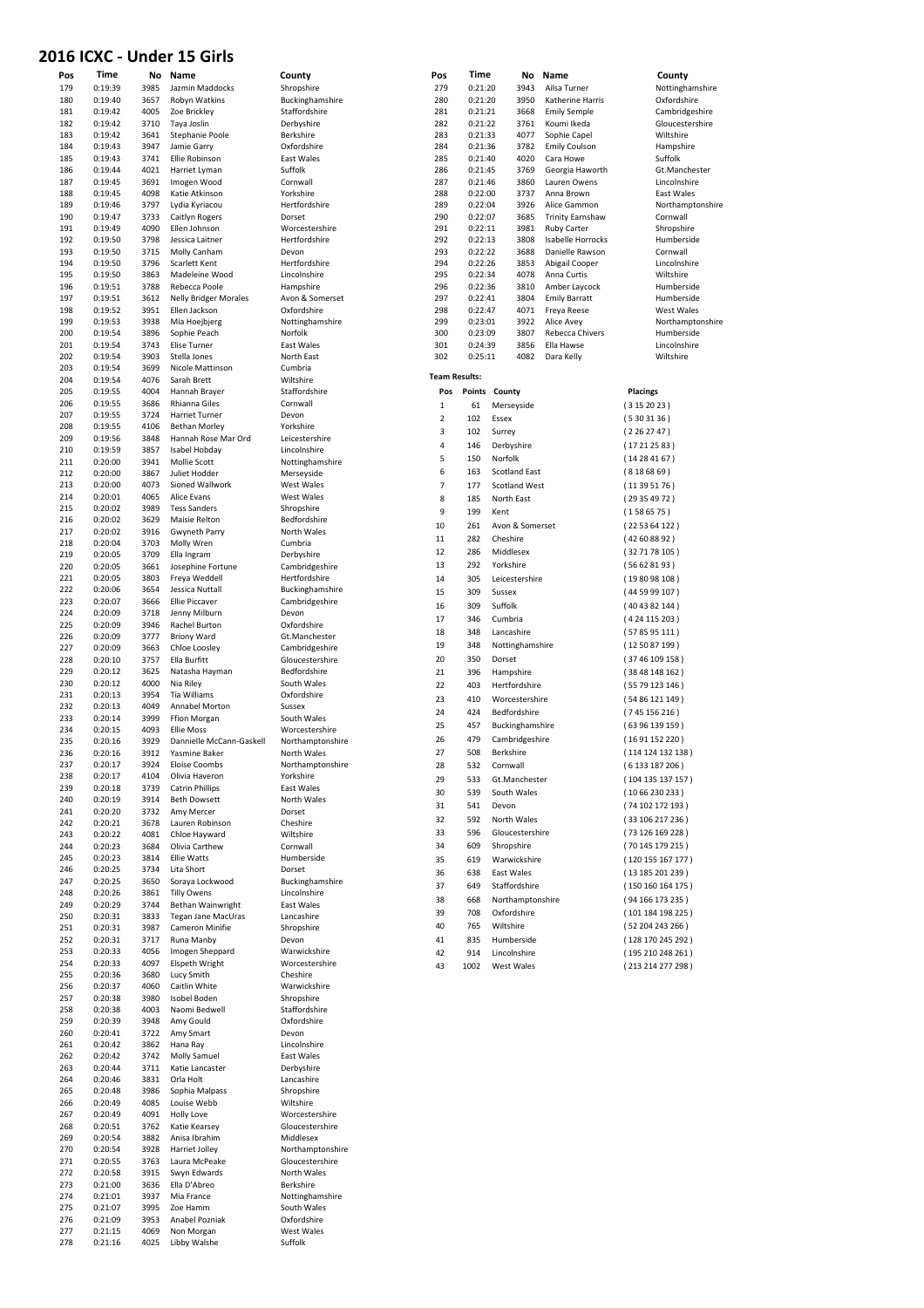# **2016 ICXC - Under 15 Girls**

| POS        | l ime              | NO           | Name                                  | County                           |
|------------|--------------------|--------------|---------------------------------------|----------------------------------|
| 179        | 0:19:39<br>0:19:40 | 3985<br>3657 | Jazmin Maddocks                       | Shropshire                       |
| 180<br>181 | 0:19:42            | 4005         | Robyn Watkins<br>Zoe Brickley         | Buckinghamshire<br>Staffordshire |
| 182        | 0:19:42            | 3710         | Taya Joslin                           | Derbyshire                       |
| 183        | 0:19:42            | 3641         | Stephanie Poole                       | Berkshire                        |
| 184        | 0:19:43            | 3947         | Jamie Garry                           | Oxfordshire                      |
| 185        | 0:19:43            | 3741         | Ellie Robinson                        | East Wales                       |
| 186        | 0:19:44            | 4021         | Harriet Lyman                         | Suffolk                          |
| 187        | 0:19:45            | 3691         | Imogen Wood                           | Cornwall                         |
| 188        | 0:19:45            | 4098         | Katie Atkinson                        | Yorkshire                        |
| 189        | 0:19:46            | 3797         | Lydia Kyriacou                        | Hertfordshire                    |
| 190        | 0:19:47            | 3733         | Caitlyn Rogers                        | Dorset                           |
| 191        | 0:19:49            | 4090         | Ellen Johnson                         | Worcestershire                   |
| 192        | 0:19:50            | 3798         | Jessica Laitner                       | Hertfordshire                    |
| 193<br>194 | 0:19:50<br>0:19:50 | 3715<br>3796 | Molly Canham<br>Scarlett Kent         | Devon<br>Hertfordshire           |
| 195        | 0:19:50            | 3863         | Madeleine Wood                        | Lincolnshire                     |
| 196        | 0:19:51            | 3788         | Rebecca Poole                         | Hampshire                        |
| 197        | 0:19:51            | 3612         | <b>Nelly Bridger Morales</b>          | Avon & Somerset                  |
| 198        | 0:19:52            | 3951         | Ellen Jackson                         | Oxfordshire                      |
| 199        | 0:19:53            | 3938         | Mia Hoejbjerg                         | Nottinghamshire                  |
| 200        | 0:19:54            | 3896         | Sophie Peach                          | Norfolk                          |
| 201        | 0:19:54            | 3743         | <b>Elise Turner</b>                   | East Wales                       |
| 202        | 0:19:54            | 3903         | Stella Jones                          | North East                       |
| 203        | 0:19:54            | 3699         | Nicole Mattinson                      | Cumbria                          |
| 204        | 0:19:54            | 4076         | Sarah Brett                           | Wiltshire<br>Staffordshire       |
| 205<br>206 | 0:19:55<br>0:19:55 | 4004<br>3686 | Hannah Brayer<br>Rhianna Giles        | Cornwall                         |
| 207        | 0:19:55            | 3724         | Harriet Turner                        | Devon                            |
| 208        | 0:19:55            | 4106         | <b>Bethan Morley</b>                  | Yorkshire                        |
| 209        | 0:19:56            | 3848         | Hannah Rose Mar Ord                   | Leicestershire                   |
| 210        | 0:19:59            | 3857         | Isabel Hobday                         | Lincolnshire                     |
| 211        | 0:20:00            | 3941         | Mollie Scott                          | Nottinghamshire                  |
| 212        | 0:20:00            | 3867         | Juliet Hodder                         | Merseyside                       |
| 213        | 0:20:00            | 4073         | Sioned Wallwork                       | <b>West Wales</b>                |
| 214        | 0:20:01            | 4065         | Alice Evans                           | West Wales                       |
| 215        | 0:20:02            | 3989         | <b>Tess Sanders</b>                   | Shropshire                       |
| 216        | 0:20:02            | 3629         | Maisie Relton                         | Bedfordshire                     |
| 217        | 0:20:02            | 3916         | Gwyneth Parry                         | North Wales                      |
| 218        | 0:20:04            | 3703         | Molly Wren                            | Cumbria                          |
| 219<br>220 | 0:20:05<br>0:20:05 | 3709<br>3661 | Ella Ingram<br>Josephine Fortune      | Derbyshire<br>Cambridgeshire     |
| 221        | 0:20:05            | 3803         | Freya Weddell                         | Hertfordshire                    |
| 222        | 0:20:06            | 3654         | Jessica Nuttall                       | Buckinghamshire                  |
| 223        | 0:20:07            | 3666         | <b>Ellie Piccaver</b>                 | Cambridgeshire                   |
| 224        | 0:20:09            | 3718         | Jenny Milburn                         | Devon                            |
| 225        | 0:20:09            | 3946         | Rachel Burton                         | Oxfordshire                      |
| 226        | 0:20:09            | 3777         | <b>Briony Ward</b>                    | Gt.Manchester                    |
| 227        | 0:20:09            | 3663         | Chloe Loosley                         | Cambridgeshire                   |
| 228        | 0:20:10            | 3757         | Ella Burfitt                          | Gloucestershire                  |
| 229        | 0:20:12            | 3625         | Natasha Hayman                        | Bedfordshire                     |
| 230        | 0:20:12            | 4000         | Nia Riley                             | South Wales                      |
| 231<br>232 | 0:20:13<br>0:20:13 | 3954<br>4049 | <b>Tia Williams</b><br>Annabel Morton | Oxfordshire<br>Sussex            |
| 233        | 0:20:14            | 3999         | Ffion Morgan                          | South Wales                      |
| 234        | 0:20:15            | 4093         | <b>Ellie Moss</b>                     | Worcestershire                   |
| 235        | 0:20:16            | 3929         | Dannielle McCann-Gaskell              | Northamptonshire                 |
| 236        | 0:20:16            | 3912         | Yasmine Baker                         | North Wales                      |
| 237        | 0:20:17            | 3924         | <b>Eloise Coombs</b>                  | Northamptonshire                 |
| 238        | 0:20:17            | 4104         | Olivia Haveron                        | Yorkshire                        |
| 239        | 0:20:18            | 3739         | <b>Catrin Phillips</b>                | <b>East Wales</b>                |
| 240        | 0:20:19            | 3914         | <b>Beth Dowsett</b>                   | North Wales                      |
| 241        | 0:20:20            | 3732         | Amy Mercer                            | Dorset                           |
| 242        | 0:20:21            | 3678         | Lauren Robinson                       | Cheshire                         |
| 243        | 0:20:22            | 4081<br>3684 | Chloe Hayward                         | Wiltshire                        |
| 244<br>245 | 0:20:23<br>0:20:23 | 3814         | Olivia Carthew<br><b>Ellie Watts</b>  | Cornwall<br>Humberside           |
| 246        | 0:20:25            | 3734         | Lita Short                            | Dorset                           |
| 247        | 0:20:25            | 3650         | Soraya Lockwood                       | Buckinghamshire                  |
| 248        | 0:20:26            | 3861         | <b>Tilly Owens</b>                    | Lincolnshire                     |
| 249        | 0:20:29            | 3744         | Bethan Wainwright                     | East Wales                       |
| 250        | 0:20:31            | 3833         | Tegan Jane MacUras                    | Lancashire                       |
| 251        | 0:20:31            | 3987         | Cameron Minifie                       | Shropshire                       |
| 252        | 0:20:31            | 3717         | Runa Manby                            | Devon                            |
| 253        | 0:20:33            | 4056         | Imogen Sheppard                       | Warwickshire                     |
| 254        | 0:20:33            | 4097         | Elspeth Wright                        | Worcestershire                   |
| 255        | 0:20:36            | 3680         | Lucy Smith<br>Caitlin White           | Cheshire<br>Warwickshire         |
| 256<br>257 |                    |              |                                       |                                  |
|            | 0:20:37            | 4060         |                                       |                                  |
|            | 0:20:38            | 3980         | Isobel Boden                          | Shropshire                       |
| 258        | 0:20:38            | 4003         | Naomi Bedwell                         | Staffordshire                    |
| 259        | 0:20:39            | 3948         | Amy Gould                             | Oxfordshire                      |
| 260<br>261 | 0:20:41<br>0:20:42 | 3722<br>3862 | Amy Smart<br>Hana Ray                 | Devon<br>Lincolnshire            |
| 262        | 0:20:42            | 3742         | <b>Molly Samuel</b>                   | East Wales                       |
| 263        | 0:20:44            | 3711         | Katie Lancaster                       | Derbyshire                       |
| 264        | 0:20:46            | 3831         | Orla Holt                             | Lancashire                       |
| 265        | 0:20:48            | 3986         | Sophia Malpass                        | Shropshire                       |
| 266        | 0:20:49            | 4085         | Louise Webb                           | Wiltshire                        |
| 267        | 0:20:49            | 4091         | <b>Holly Love</b>                     | Worcestershire                   |
| 268        | 0:20:51            | 3762         | Katie Kearsey                         | Gloucestershire                  |
| 269        | 0:20:54            | 3882         | Anisa Ibrahim                         | Middlesex                        |
| 270        | 0:20:54            | 3928         | Harriet Jolley                        | Northamptonshire                 |
| 271        | 0:20:55            | 3763         | Laura McPeake                         | Gloucestershire                  |
| 272        | 0:20:58            | 3915         | Swyn Edwards<br>Ella D'Abreo          | North Wales                      |
| 273<br>274 | 0:21:00<br>0:21:01 | 3636<br>3937 | Mia France                            | Berkshire<br>Nottinghamshire     |
| 275        | 0:21:07            | 3995         | Zoe Hamm                              | South Wales                      |
| 276        | 0:21:09            | 3953         | Anabel Pozniak                        | Oxfordshire                      |
| 277<br>278 | 0:21:15<br>0:21:16 | 4069<br>4025 | Non Morgan<br>Libby Walshe            | West Wales<br>Suffolk            |

| ∸∪         |                    |              | ייי                                      |                                 |                         |                    |                      |                               |                              |
|------------|--------------------|--------------|------------------------------------------|---------------------------------|-------------------------|--------------------|----------------------|-------------------------------|------------------------------|
| Pos        | Time               | No           | Name                                     | County                          | Pos                     | Time               | No                   | Name                          | County                       |
| 179        | 0:19:39            | 3985         | Jazmin Maddocks                          | Shropshire                      | 279                     | 0:21:20            | 3943                 | Ailsa Turner                  | Nottinghamshire              |
| 180        | 0:19:40            | 3657         | Robyn Watkins                            | Buckinghamshire                 | 280                     | 0:21:20            | 3950                 | Katherine Harris              | Oxfordshire                  |
| 181        | 0:19:42            | 4005         | Zoe Brickley                             | Staffordshire                   | 281                     | 0:21:21            | 3668                 | <b>Emily Semple</b>           | Cambridgeshire               |
| 182<br>183 | 0:19:42<br>0:19:42 | 3710<br>3641 | Taya Joslin<br>Stephanie Poole           | Derbyshire<br>Berkshire         | 282<br>283              | 0:21:22<br>0:21:33 | 3761<br>4077         | Koumi Ikeda<br>Sophie Capel   | Gloucestershire<br>Wiltshire |
| 184        | 0:19:43            | 3947         | Jamie Garry                              | Oxfordshire                     | 284                     | 0:21:36            | 3782                 | <b>Emily Coulson</b>          | Hampshire                    |
| 185        | 0:19:43            | 3741         | Ellie Robinson                           | <b>East Wales</b>               | 285                     | 0:21:40            | 4020                 | Cara Howe                     | Suffolk                      |
| 186        | 0:19:44            | 4021         | Harriet Lyman                            | Suffolk                         | 286                     | 0:21:45            | 3769                 | Georgia Haworth               | Gt.Manchester                |
| 187        | 0:19:45            | 3691         | Imogen Wood                              | Cornwall                        | 287                     | 0:21:46            | 3860                 | Lauren Owens                  | Lincolnshire                 |
| 188        | 0:19:45            | 4098         | Katie Atkinson                           | Yorkshire                       | 288                     | 0:22:00            | 3737                 | Anna Brown                    | East Wales                   |
| 189        | 0:19:46            | 3797         | Lydia Kyriacou                           | Hertfordshire                   | 289                     | 0:22:04            | 3926                 | Alice Gammon                  | Northamptonshire             |
| 190        | 0:19:47            | 3733         | <b>Caitlyn Rogers</b>                    | Dorset                          | 290                     | 0:22:07            | 3685                 | <b>Trinity Earnshaw</b>       | Cornwall                     |
| 191        | 0:19:49            | 4090         | Ellen Johnson                            | Worcestershire                  | 291                     | 0:22:11            | 3981                 | <b>Ruby Carter</b>            | Shropshire                   |
| 192        | 0:19:50            | 3798         | Jessica Laitner                          | Hertfordshire                   | 292                     | 0:22:13            | 3808                 | Isabelle Horrocks             | Humberside                   |
| 193        | 0:19:50            | 3715         | Molly Canham                             | Devon                           | 293                     | 0:22:22            | 3688                 | Danielle Rawson               | Cornwall                     |
| 194        | 0:19:50            | 3796         | Scarlett Kent                            | Hertfordshire<br>Lincolnshire   | 294                     | 0:22:26            | 3853                 | Abigail Cooper<br>Anna Curtis | Lincolnshire                 |
| 195<br>196 | 0:19:50<br>0:19:51 | 3863<br>3788 | Madeleine Wood<br>Rebecca Poole          | Hampshire                       | 295<br>296              | 0:22:34<br>0:22:36 | 4078<br>3810         | Amber Laycock                 | Wiltshire<br>Humberside      |
| 197        | 0:19:51            | 3612         | <b>Nelly Bridger Morales</b>             | Avon & Somerset                 | 297                     | 0:22:41            | 3804                 | <b>Emily Barratt</b>          | Humberside                   |
| 198        | 0:19:52            | 3951         | Ellen Jackson                            | Oxfordshire                     | 298                     | 0:22:47            | 4071                 | Freya Reese                   | West Wales                   |
| 199        | 0:19:53            | 3938         | Mia Hoejbjerg                            | Nottinghamshire                 | 299                     | 0:23:01            | 3922                 | Alice Avey                    | Northamptonshire             |
| 200        | 0:19:54            | 3896         | Sophie Peach                             | Norfolk                         | 300                     | 0:23:09            | 3807                 | Rebecca Chivers               | Humberside                   |
| 201        | 0:19:54            | 3743         | Elise Turner                             | <b>East Wales</b>               | 301                     | 0:24:39            | 3856                 | Ella Hawse                    | Lincolnshire                 |
| 202        | 0:19:54            | 3903         | Stella Jones                             | North East                      | 302                     | 0:25:11            | 4082                 | Dara Kelly                    | Wiltshire                    |
| 203        | 0:19:54            | 3699         | Nicole Mattinson                         | Cumbria                         |                         |                    |                      |                               |                              |
| 204        | 0:19:54            | 4076         | Sarah Brett                              | Wiltshire                       | <b>Team Results:</b>    |                    |                      |                               |                              |
| 205        | 0:19:55            | 4004         | Hannah Brayer                            | Staffordshire                   | Pos                     | Points             | County               |                               | Placings                     |
| 206        | 0:19:55            | 3686         | Rhianna Giles                            | Cornwall                        | $\mathbf{1}$            | 61                 | Merseyside           |                               | (3152023)                    |
| 207        | 0:19:55            | 3724         | Harriet Turner                           | Devon                           | $\overline{\mathbf{2}}$ | 102                | Essex                |                               | (5303136)                    |
| 208        | 0:19:55            | 4106         | <b>Bethan Morley</b>                     | Yorkshire<br>Leicestershire     | 3                       | 102                | Surrey               |                               | (2262747)                    |
| 209<br>210 | 0:19:56<br>0:19:59 | 3848<br>3857 | Hannah Rose Mar Ord<br>Isabel Hobday     | Lincolnshire                    | 4                       | 146                | Derbyshire           |                               | (17 21 25 83)                |
| 211        | 0:20:00            | 3941         | <b>Mollie Scott</b>                      | Nottinghamshire                 | 5                       | 150                | Norfolk              |                               | (14284167)                   |
| 212        | 0:20:00            | 3867         | Juliet Hodder                            | Merseyside                      | 6                       | 163                | <b>Scotland East</b> |                               | (8186869)                    |
| 213        | 0:20:00            | 4073         | Sioned Wallwork                          | West Wales                      | $\overline{7}$          | 177                | <b>Scotland West</b> |                               | (11395176)                   |
| 214        | 0:20:01            | 4065         | Alice Evans                              | West Wales                      | 8                       | 185                | North East           |                               | (29354972)                   |
| 215        | 0:20:02            | 3989         | <b>Tess Sanders</b>                      | Shropshire                      | 9                       | 199                | Kent                 |                               | (1586575)                    |
| 216        | 0:20:02            | 3629         | Maisie Relton                            | Bedfordshire                    | 10                      | 261                | Avon & Somerset      |                               | (225364122)                  |
| 217        | 0:20:02            | 3916         | Gwyneth Parry                            | North Wales                     | 11                      | 282                | Cheshire             |                               |                              |
| 218        | 0:20:04            | 3703         | Molly Wren                               | Cumbria                         |                         |                    |                      |                               | (42608892)                   |
| 219        | 0:20:05            | 3709         | Ella Ingram                              | Derbyshire                      | 12                      | 286                | Middlesex            |                               | (32 71 78 105)               |
| 220        | 0:20:05            | 3661         | Josephine Fortune                        | Cambridgeshire                  | 13                      | 292                | Yorkshire            |                               | (56 62 81 93)                |
| 221        | 0:20:05            | 3803         | Freya Weddell                            | Hertfordshire                   | 14                      | 305                | Leicestershire       |                               | (198098108)                  |
| 222<br>223 | 0:20:06<br>0:20:07 | 3654<br>3666 | Jessica Nuttall<br><b>Ellie Piccaver</b> | Buckinghamshire                 | 15                      | 309                | Sussex               |                               | (44 59 99 107)               |
| 224        | 0:20:09            | 3718         | Jenny Milburn                            | Cambridgeshire<br>Devon         | 16                      | 309                | Suffolk              |                               | (404382144)                  |
| 225        | 0:20:09            | 3946         | Rachel Burton                            | Oxfordshire                     | 17                      | 346                | Cumbria              |                               | (424115203)                  |
| 226        | 0:20:09            | 3777         | <b>Briony Ward</b>                       | Gt.Manchester                   | 18                      | 348                | Lancashire           |                               | (578595111)                  |
| 227        | 0:20:09            | 3663         | Chloe Loosley                            | Cambridgeshire                  | 19                      | 348                | Nottinghamshire      |                               | (125087199)                  |
| 228        | 0:20:10            | 3757         | Ella Burfitt                             | Gloucestershire                 | 20                      | 350                | Dorset               |                               | (3746109158)                 |
| 229        | 0:20:12            | 3625         | Natasha Hayman                           | Bedfordshire                    | 21                      | 396                | Hampshire            |                               | (38 48 148 162)              |
| 230        | 0:20:12            | 4000         | Nia Riley                                | South Wales                     | 22                      | 403                | Hertfordshire        |                               | (55 79 123 146)              |
| 231        | 0:20:13            | 3954         | Tia Williams                             | Oxfordshire                     | 23                      | 410                | Worcestershire       |                               | (5486121149)                 |
| 232        | 0:20:13            | 4049         | Annabel Morton                           | Sussex                          | 24                      | 424                | Bedfordshire         |                               | (745156216)                  |
| 233        | 0:20:14            | 3999         | Ffion Morgan                             | South Wales                     | 25                      | 457                | Buckinghamshire      |                               | (63 96 139 159)              |
| 234        | 0:20:15            | 4093         | <b>Ellie Moss</b>                        | Worcestershire                  | 26                      | 479                | Cambridgeshire       |                               | (1691152220)                 |
| 235        | 0:20:16            | 3929         | Dannielle McCann-Gaskell                 | Northamptonshire                | 27                      | 508                | Berkshire            |                               | (114 124 132 138)            |
| 236<br>237 | 0:20:16<br>0:20:17 | 3912<br>3924 | Yasmine Baker<br><b>Eloise Coombs</b>    | North Wales<br>Northamptonshire |                         |                    |                      |                               |                              |
| 238        | 0:20:17            | 4104         | Olivia Haveron                           | Yorkshire                       | 28                      | 532                | Cornwall             |                               | (6133187206)                 |
| 239        | 0:20:18            | 3739         | <b>Catrin Phillips</b>                   | East Wales                      | 29                      | 533                | Gt.Manchester        |                               | (104 135 137 157)            |
| 240        | 0:20:19            | 3914         | <b>Beth Dowsett</b>                      | North Wales                     | 30                      | 539                | South Wales          |                               | (1066230233)                 |
| 241        | 0:20:20            | 3732         | Amy Mercer                               | Dorset                          | 31                      | 541                | Devon                |                               | (74 102 172 193)             |
| 242        | 0:20:21            | 3678         | Lauren Robinson                          | Cheshire                        | 32                      | 592                | North Wales          |                               | (33 106 217 236)             |
| 243        | 0:20:22            | 4081         | Chloe Hayward                            | Wiltshire                       | 33                      | 596                | Gloucestershire      |                               | (73 126 169 228)             |
| 244        | 0:20:23            | 3684         | Olivia Carthew                           | Cornwall                        | 34                      | 609                | Shropshire           |                               | (70 145 179 215)             |
| 245        | 0:20:23            | 3814         | <b>Ellie Watts</b>                       | Humberside                      | 35                      | 619                | Warwickshire         |                               | (120155167177)               |
| 246        | 0:20:25            | 3734         | Lita Short                               | Dorset                          | 36                      | 638                | East Wales           |                               | (13 185 201 239)             |
| 247        | 0:20:25            | 3650         | Soraya Lockwood                          | Buckinghamshire                 | 37                      | 649                | Staffordshire        |                               | (150160164175)               |
| 248        | 0:20:26            | 3861         | <b>Tilly Owens</b>                       | Lincolnshire                    | 38                      | 668                | Northamptonshire     |                               | (94 166 173 235)             |
| 249        | 0:20:29            | 3744         | Bethan Wainwright<br>Tegan Jane MacUras  | East Wales                      | 39                      | 708                | Oxfordshire          |                               | (101 184 198 225)            |
| 250<br>251 | 0:20:31<br>0:20:31 | 3833<br>3987 | Cameron Minifie                          | Lancashire<br>Shropshire        | 40                      | 765                | Wiltshire            |                               | (52 204 243 266)             |
| 252        | 0:20:31            | 3717         | Runa Manby                               | Devon                           | 41                      | 835                | Humberside           |                               | (128 170 245 292)            |
| 253        | 0:20:33            | 4056         | Imogen Sheppard                          | Warwickshire                    | 42                      | 914                | Lincolnshire         |                               | (195 210 248 261)            |
| 254        | 0:20:33            | 4097         | Elspeth Wright                           | Worcestershire                  | 43                      | 1002               | West Wales           |                               |                              |
| 255        | 0.20.36            | 3680         | <b>Lucy Smith</b>                        | Cheshire                        |                         |                    |                      |                               | (213 214 277 298)            |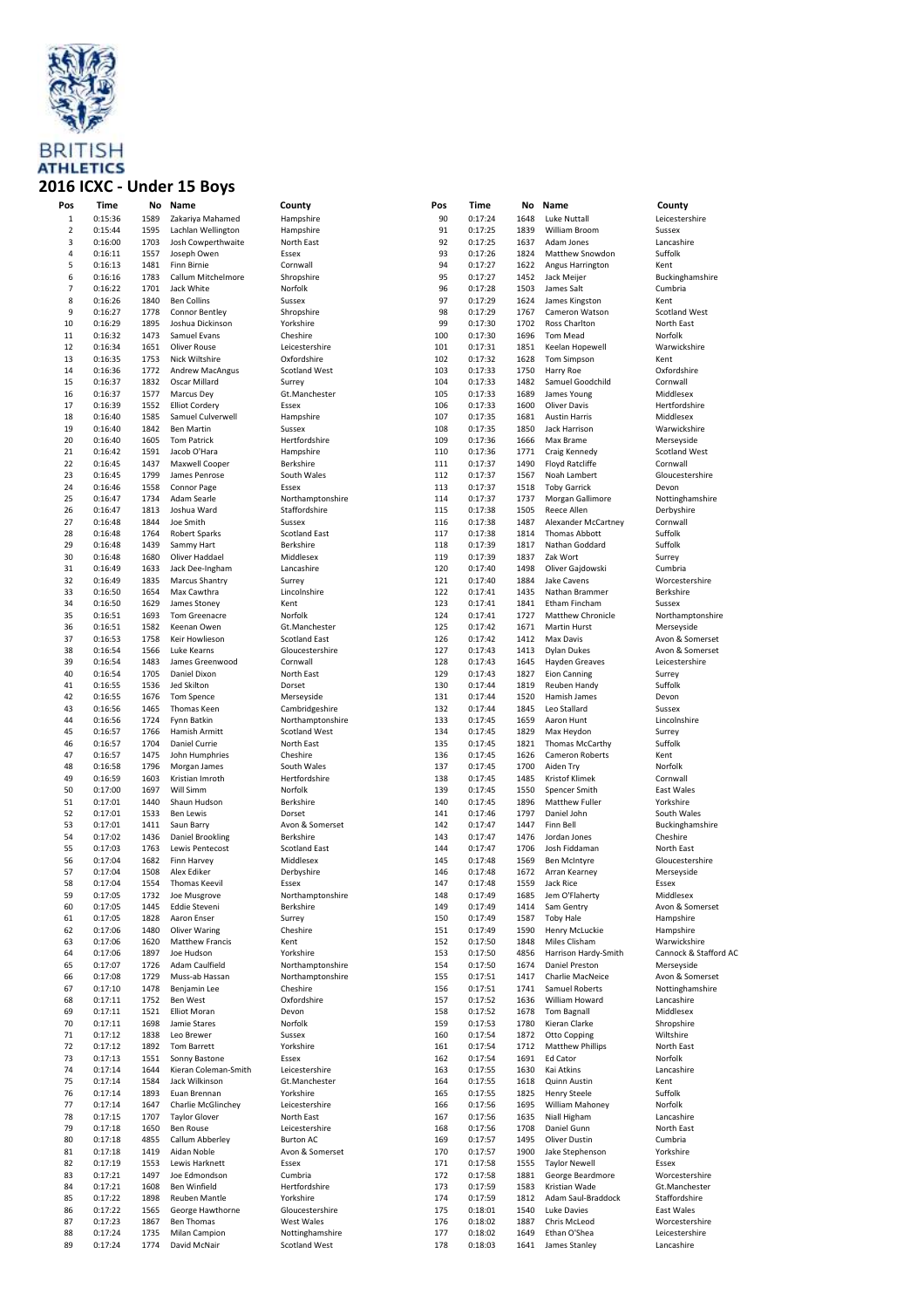

### **2016 ICXC - Under 15 Boys**

| Pos            | Time    | No   | Name                  | County               | Pos | Time    | No   | Name                    | County                |
|----------------|---------|------|-----------------------|----------------------|-----|---------|------|-------------------------|-----------------------|
| $\mathbf 1$    | 0:15:36 | 1589 | Zakariya Mahamed      | Hampshire            | 90  | 0:17:24 | 1648 | Luke Nuttall            | Leicestershire        |
| $\overline{2}$ | 0:15:44 | 1595 | Lachlan Wellington    | Hampshire            | 91  | 0:17:25 | 1839 | William Broom           | Sussex                |
| 3              | 0:16:00 | 1703 | Josh Cowperthwaite    | North East           | 92  | 0:17:25 | 1637 | Adam Jones              | Lancashire            |
|                |         |      |                       |                      |     |         |      |                         |                       |
| 4              | 0:16:11 | 1557 | Joseph Owen           | Essex                | 93  | 0:17:26 | 1824 | Matthew Snowdon         | Suffolk               |
| 5              | 0:16:13 | 1481 | Finn Birnie           | Cornwall             | 94  | 0:17:27 | 1622 | Angus Harrington        | Kent                  |
| 6              | 0:16:16 | 1783 | Callum Mitchelmore    | Shropshire           | 95  | 0:17:27 | 1452 | Jack Meijer             | Buckinghamshire       |
| $\overline{7}$ | 0:16:22 | 1701 | Jack White            | Norfolk              | 96  | 0:17:28 | 1503 | James Salt              | Cumbria               |
| 8              | 0:16:26 | 1840 | <b>Ben Collins</b>    | Sussex               | 97  | 0:17:29 | 1624 | James Kingston          | Kent                  |
| 9              | 0:16:27 | 1778 | <b>Connor Bentley</b> | Shropshire           | 98  | 0:17:29 | 1767 | Cameron Watson          | Scotland West         |
| 10             | 0:16:29 | 1895 | Joshua Dickinson      | Yorkshire            | 99  | 0:17:30 | 1702 | Ross Charlton           | North East            |
| $11\,$         | 0:16:32 | 1473 | Samuel Evans          | Cheshire             | 100 | 0:17:30 | 1696 | Tom Mead                | Norfolk               |
|                |         |      |                       |                      |     |         |      |                         |                       |
| 12             | 0:16:34 | 1651 | <b>Oliver Rouse</b>   | Leicestershire       | 101 | 0:17:31 | 1851 | Keelan Hopewell         | Warwickshire          |
| 13             | 0:16:35 | 1753 | Nick Wiltshire        | Oxfordshire          | 102 | 0:17:32 | 1628 | <b>Tom Simpson</b>      | Kent                  |
| 14             | 0:16:36 | 1772 | Andrew MacAngus       | <b>Scotland West</b> | 103 | 0:17:33 | 1750 | Harry Roe               | Oxfordshire           |
| 15             | 0:16:37 | 1832 | Oscar Millard         | Surrey               | 104 | 0:17:33 | 1482 | Samuel Goodchild        | Cornwall              |
| 16             | 0:16:37 | 1577 | Marcus Dey            | Gt.Manchester        | 105 | 0:17:33 | 1689 | James Young             | Middlesex             |
| 17             | 0:16:39 | 1552 | <b>Elliot Cordery</b> | Essex                | 106 | 0:17:33 | 1600 | Oliver Davis            | Hertfordshire         |
| 18             | 0:16:40 | 1585 | Samuel Culverwell     | Hampshire            | 107 | 0:17:35 | 1681 | <b>Austin Harris</b>    | Middlesex             |
|                |         |      |                       |                      |     |         |      |                         |                       |
| 19             | 0:16:40 | 1842 | <b>Ben Martin</b>     | Sussex               | 108 | 0:17:35 | 1850 | Jack Harrison           | Warwickshire          |
| 20             | 0:16:40 | 1605 | <b>Tom Patrick</b>    | Hertfordshire        | 109 | 0:17:36 | 1666 | Max Brame               | Merseyside            |
| 21             | 0:16:42 | 1591 | Jacob O'Hara          | Hampshire            | 110 | 0:17:36 | 1771 | Craig Kennedy           | Scotland West         |
| 22             | 0:16:45 | 1437 | Maxwell Cooper        | Berkshire            | 111 | 0:17:37 | 1490 | Floyd Ratcliffe         | Cornwall              |
| 23             | 0:16:45 | 1799 | James Penrose         | South Wales          | 112 | 0:17:37 | 1567 | Noah Lambert            | Gloucestershire       |
| 24             | 0:16:46 | 1558 | Connor Page           | Essex                | 113 | 0:17:37 | 1518 | <b>Toby Garrick</b>     | Devon                 |
| 25             | 0:16:47 | 1734 | Adam Searle           | Northamptonshire     | 114 | 0:17:37 | 1737 | Morgan Gallimore        | Nottinghamshire       |
|                |         |      |                       |                      |     |         |      |                         |                       |
| 26             | 0:16:47 | 1813 | Joshua Ward           | Staffordshire        | 115 | 0:17:38 | 1505 | Reece Allen             | Derbyshire            |
| 27             | 0:16:48 | 1844 | Joe Smith             | Sussex               | 116 | 0:17:38 | 1487 | Alexander McCartney     | Cornwall              |
| 28             | 0:16:48 | 1764 | <b>Robert Sparks</b>  | <b>Scotland East</b> | 117 | 0:17:38 | 1814 | <b>Thomas Abbott</b>    | Suffolk               |
| 29             | 0:16:48 | 1439 | Sammy Hart            | Berkshire            | 118 | 0:17:39 | 1817 | Nathan Goddard          | Suffolk               |
| 30             | 0:16:48 | 1680 | Oliver Haddael        | Middlesex            | 119 | 0:17:39 | 1837 | Zak Wort                | Surrey                |
| 31             | 0:16:49 | 1633 | Jack Dee-Ingham       | Lancashire           | 120 | 0:17:40 | 1498 | Oliver Gajdowski        | Cumbria               |
| 32             | 0:16:49 | 1835 | Marcus Shantry        | Surrey               | 121 | 0:17:40 | 1884 | Jake Cavens             | Worcestershire        |
| 33             | 0:16:50 | 1654 | Max Cawthra           | Lincolnshire         | 122 | 0:17:41 | 1435 | Nathan Brammer          | Berkshire             |
|                |         |      |                       |                      |     |         |      |                         |                       |
| 34             | 0:16:50 | 1629 | James Stoney          | Kent                 | 123 | 0:17:41 | 1841 | Etham Fincham           | Sussex                |
| 35             | 0:16:51 | 1693 | <b>Tom Greenacre</b>  | Norfolk              | 124 | 0:17:41 | 1727 | Matthew Chronicle       | Northamptonshire      |
| 36             | 0:16:51 | 1582 | Keenan Owen           | Gt.Manchester        | 125 | 0:17:42 | 1671 | Martin Hurst            | Merseyside            |
| 37             | 0:16:53 | 1758 | Keir Howlieson        | <b>Scotland East</b> | 126 | 0:17:42 | 1412 | Max Davis               | Avon & Somerset       |
| 38             | 0:16:54 | 1566 | Luke Kearns           | Gloucestershire      | 127 | 0:17:43 | 1413 | <b>Dylan Dukes</b>      | Avon & Somerset       |
| 39             | 0:16:54 | 1483 | James Greenwood       | Cornwall             | 128 | 0:17:43 | 1645 | <b>Hayden Greaves</b>   | Leicestershire        |
| 40             | 0:16:54 | 1705 | Daniel Dixon          | North East           | 129 | 0:17:43 | 1827 | <b>Eion Canning</b>     | Surrey                |
|                |         |      |                       |                      |     |         |      |                         |                       |
| 41             | 0:16:55 | 1536 | Jed Skilton           | Dorset               | 130 | 0:17:44 | 1819 | Reuben Handy            | Suffolk               |
| 42             | 0:16:55 | 1676 | Tom Spence            | Merseyside           | 131 | 0:17:44 | 1520 | Hamish James            | Devon                 |
| 43             | 0:16:56 | 1465 | Thomas Keen           | Cambridgeshire       | 132 | 0:17:44 | 1845 | Leo Stallard            | Sussex                |
| 44             | 0:16:56 | 1724 | Fynn Batkin           | Northamptonshire     | 133 | 0:17:45 | 1659 | Aaron Hunt              | Lincolnshire          |
| 45             | 0:16:57 | 1766 | Hamish Armitt         | <b>Scotland West</b> | 134 | 0:17:45 | 1829 | Max Heydon              | Surrey                |
| 46             | 0:16:57 | 1704 | Daniel Currie         | North East           | 135 | 0:17:45 | 1821 | Thomas McCarthy         | Suffolk               |
| 47             | 0:16:57 | 1475 | John Humphries        | Cheshire             | 136 | 0:17:45 | 1626 | Cameron Roberts         | Kent                  |
| 48             | 0:16:58 | 1796 | Morgan James          | South Wales          | 137 | 0:17:45 | 1700 | Aiden Try               | Norfolk               |
|                |         |      |                       |                      |     |         |      |                         |                       |
| 49             | 0:16:59 | 1603 | Kristian Imroth       | Hertfordshire        | 138 | 0:17:45 | 1485 | <b>Kristof Klimek</b>   | Cornwall              |
| 50             | 0:17:00 | 1697 | Will Simm             | Norfolk              | 139 | 0:17:45 | 1550 | Spencer Smith           | East Wales            |
| 51             | 0:17:01 | 1440 | Shaun Hudson          | Berkshire            | 140 | 0:17:45 | 1896 | <b>Matthew Fuller</b>   | Yorkshire             |
| 52             | 0:17:01 | 1533 | <b>Ben Lewis</b>      | Dorset               | 141 | 0:17:46 | 1797 | Daniel John             | South Wales           |
| 53             | 0:17:01 | 1411 | Saun Barry            | Avon & Somerset      | 142 | 0:17:47 | 1447 | Finn Bell               | Buckinghamshire       |
| 54             | 0:17:02 | 1436 | Daniel Brookling      | Berkshire            | 143 | 0:17:47 | 1476 | Jordan Jones            | Cheshire              |
| 55             | 0:17:03 | 1763 | Lewis Pentecost       | <b>Scotland East</b> | 144 | 0:17:47 | 1706 | Josh Fiddaman           | North East            |
| 56             | 0:17:04 | 1682 | Finn Harvey           | Middlesex            | 145 | 0:17:48 | 1569 |                         | Gloucestershire       |
|                |         |      |                       |                      |     |         |      | Ben McIntyre            |                       |
| 57             | 0:17:04 | 1508 | Alex Ediker           | Derbyshire           | 146 | 0:17:48 | 1672 | Arran Kearney           | Merseyside            |
| 58             | 0:17:04 | 1554 | Thomas Keevil         | Essex                | 147 | 0:17:48 | 1559 | Jack Rice               | Essex                 |
| 59             | 0:17:05 | 1732 | Joe Musgrove          | Northamptonshire     | 148 | 0:17:49 | 1685 | Jem O'Flaherty          | Middlesex             |
| 60             | 0:17:05 | 1445 | Eddie Steveni         | Berkshire            | 149 | 0:17:49 | 1414 | Sam Gentry              | Avon & Somerset       |
| 61             | 0:17:05 | 1828 | Aaron Enser           | Surrey               | 150 | 0:17:49 | 1587 | <b>Toby Hale</b>        | Hampshire             |
| 62             | 0:17:06 | 1480 | Oliver Waring         | Cheshire             | 151 | 0:17:49 | 1590 | <b>Henry McLuckie</b>   | Hampshire             |
| 63             | 0:17:06 | 1620 | Matthew Francis       | Kent                 | 152 | 0:17:50 | 1848 | Miles Clisham           | Warwickshire          |
|                |         |      |                       |                      |     |         |      |                         |                       |
| 64             | 0:17:06 | 1897 | Joe Hudson            | Yorkshire            | 153 | 0:17:50 | 4856 | Harrison Hardy-Smith    | Cannock & Stafford AC |
| 65             | 0:17:07 | 1726 | Adam Caulfield        | Northamptonshire     | 154 | 0:17:50 | 1674 | <b>Daniel Preston</b>   | Merseyside            |
| 66             | 0:17:08 | 1729 | Muss-ab Hassan        | Northamptonshire     | 155 | 0:17:51 | 1417 | Charlie MacNeice        | Avon & Somerset       |
| 67             | 0:17:10 | 1478 | Benjamin Lee          | Cheshire             | 156 | 0:17:51 | 1741 | Samuel Roberts          | Nottinghamshire       |
| 68             | 0:17:11 | 1752 | Ben West              | Oxfordshire          | 157 | 0:17:52 | 1636 | William Howard          | Lancashire            |
| 69             | 0:17:11 | 1521 | <b>Elliot Moran</b>   | Devon                | 158 | 0:17:52 | 1678 | Tom Bagnall             | Middlesex             |
| 70             | 0:17:11 | 1698 | Jamie Stares          | Norfolk              | 159 | 0:17:53 | 1780 | Kieran Clarke           | Shropshire            |
|                |         |      |                       |                      |     |         |      |                         |                       |
| 71             | 0:17:12 | 1838 | Leo Brewer            | Sussex               | 160 | 0:17:54 | 1872 | Otto Copping            | Wiltshire             |
| 72             | 0:17:12 | 1892 | Tom Barrett           | Yorkshire            | 161 | 0:17:54 | 1712 | <b>Matthew Phillips</b> | North East            |
| 73             | 0:17:13 | 1551 | Sonny Bastone         | Essex                | 162 | 0:17:54 | 1691 | Ed Cator                | Norfolk               |
| 74             | 0:17:14 | 1644 | Kieran Coleman-Smith  | Leicestershire       | 163 | 0:17:55 | 1630 | Kai Atkins              | Lancashire            |
| 75             | 0:17:14 | 1584 | Jack Wilkinson        | Gt.Manchester        | 164 | 0:17:55 | 1618 | <b>Quinn Austin</b>     | Kent                  |
| 76             | 0:17:14 | 1893 | Euan Brennan          | Yorkshire            | 165 | 0:17:55 | 1825 | <b>Henry Steele</b>     | Suffolk               |
| 77             | 0:17:14 | 1647 | Charlie McGlinchey    | Leicestershire       | 166 | 0:17:56 | 1695 | William Mahoney         | Norfolk               |
|                |         |      |                       |                      |     |         |      |                         |                       |
| 78             | 0:17:15 | 1707 | <b>Taylor Glover</b>  | North East           | 167 | 0:17:56 | 1635 | Niall Higham            | Lancashire            |
| 79             | 0:17:18 | 1650 | <b>Ben Rouse</b>      | Leicestershire       | 168 | 0:17:56 | 1708 | Daniel Gunn             | North East            |
| 80             | 0:17:18 | 4855 | Callum Abberley       | <b>Burton AC</b>     | 169 | 0:17:57 | 1495 | Oliver Dustin           | Cumbria               |
| 81             | 0:17:18 | 1419 | Aidan Noble           | Avon & Somerset      | 170 | 0:17:57 | 1900 | Jake Stephenson         | Yorkshire             |
| 82             | 0:17:19 | 1553 | Lewis Harknett        | Essex                | 171 | 0:17:58 | 1555 | <b>Taylor Newell</b>    | Essex                 |
| 83             | 0:17:21 | 1497 | Joe Edmondson         | Cumbria              | 172 | 0:17:58 | 1881 | George Beardmore        | Worcestershire        |
| 84             | 0:17:21 | 1608 | <b>Ben Winfield</b>   | Hertfordshire        | 173 | 0:17:59 | 1583 | Kristian Wade           | Gt.Manchester         |
|                |         |      |                       |                      |     |         |      |                         |                       |
| 85             | 0:17:22 | 1898 | Reuben Mantle         | Yorkshire            | 174 | 0:17:59 | 1812 | Adam Saul-Braddock      | Staffordshire         |
| 86             | 0:17:22 | 1565 | George Hawthorne      | Gloucestershire      | 175 | 0:18:01 | 1540 | Luke Davies             | East Wales            |
| 87             | 0:17:23 | 1867 | Ben Thomas            | West Wales           | 176 | 0:18:02 | 1887 | Chris McLeod            | Worcestershire        |
| 88             | 0:17:24 | 1735 | Milan Campion         | Nottinghamshire      | 177 | 0:18:02 | 1649 | Ethan O'Shea            | Leicestershire        |
| 89             | 0:17:24 | 1774 | David McNair          | Scotland West        | 178 | 0:18:03 | 1641 | James Stanley           | Lancashire            |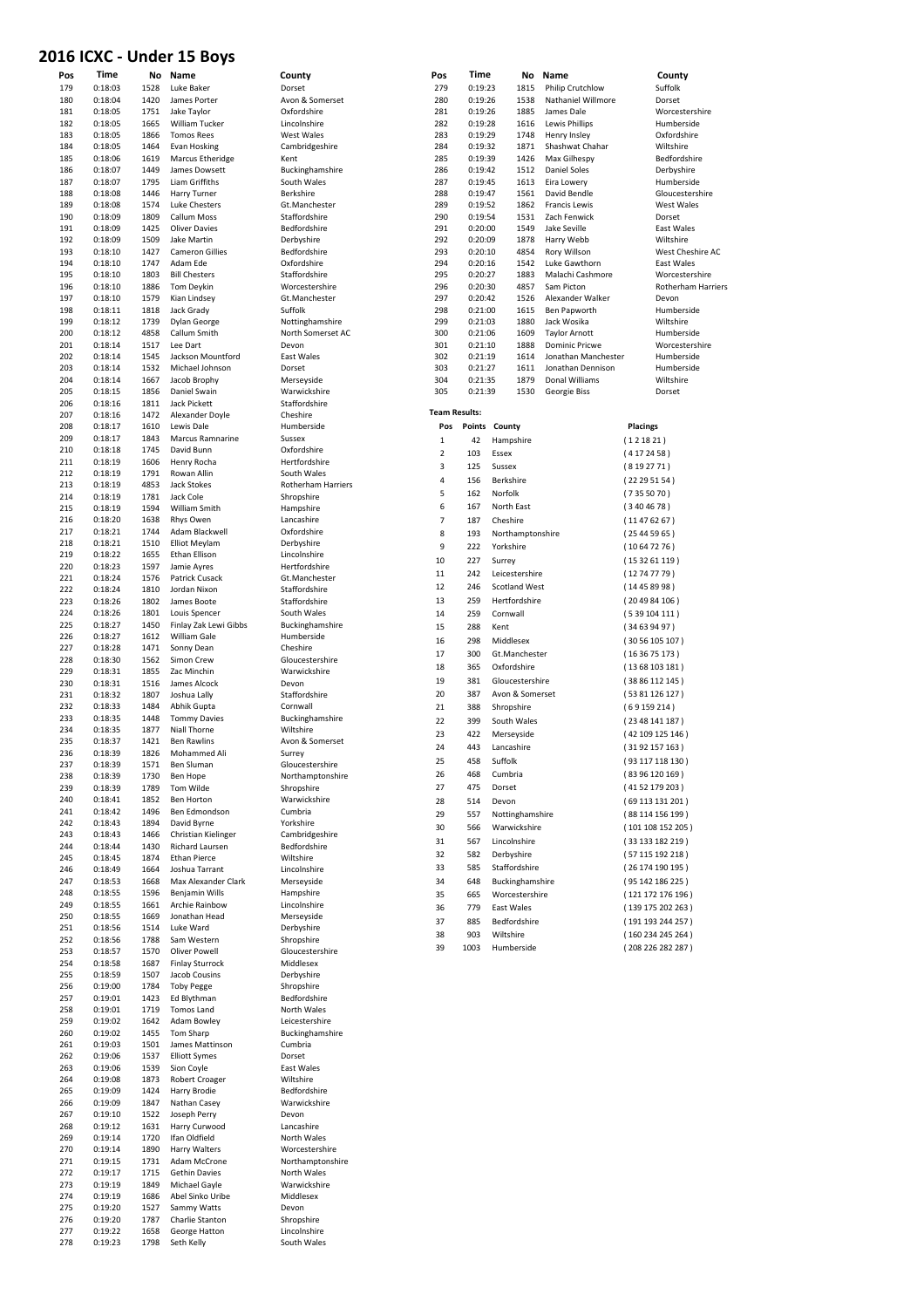### **2016 ICXC - Under 15 Boys**

| Pos | Time    | No   | Name                   | County             | Pos              | Time                 | No                   | Name                  |                 | County                    |
|-----|---------|------|------------------------|--------------------|------------------|----------------------|----------------------|-----------------------|-----------------|---------------------------|
| 179 | 0:18:03 | 1528 | Luke Baker             | Dorset             | 279              | 0:19:23              | 1815                 | Philip Crutchlow      |                 | Suffolk                   |
| 180 | 0:18:04 | 1420 | James Porter           | Avon & Somerset    | 280              | 0:19:26              | 1538                 | Nathaniel Willmore    |                 | Dorset                    |
| 181 | 0:18:05 | 1751 | Jake Taylor            | Oxfordshire        | 281              | 0:19:26              | 1885                 | James Dale            |                 | Worcestershire            |
|     |         |      |                        |                    |                  |                      |                      |                       |                 |                           |
| 182 | 0:18:05 | 1665 | William Tucker         | Lincolnshire       | 282              | 0:19:28              | 1616                 | <b>Lewis Phillips</b> |                 | Humberside                |
| 183 | 0:18:05 | 1866 | <b>Tomos Rees</b>      | West Wales         | 283              | 0:19:29              | 1748                 | Henry Insley          |                 | Oxfordshire               |
| 184 | 0:18:05 | 1464 | <b>Evan Hosking</b>    | Cambridgeshire     | 284              | 0:19:32              | 1871                 | Shashwat Chahar       |                 | Wiltshire                 |
| 185 | 0:18:06 | 1619 | Marcus Etheridge       | Kent               | 285              | 0:19:39              | 1426                 | Max Gilhespy          |                 | Bedfordshire              |
| 186 | 0:18:07 | 1449 | James Dowsett          | Buckinghamshire    | 286              | 0:19:42              | 1512                 | Daniel Soles          |                 | Derbyshire                |
| 187 | 0:18:07 | 1795 | Liam Griffiths         | South Wales        | 287              | 0:19:45              | 1613                 | Eira Lowery           |                 | Humberside                |
| 188 | 0:18:08 | 1446 | Harry Turner           | Berkshire          | 288              | 0:19:47              | 1561                 | David Bendle          |                 | Gloucestershire           |
| 189 | 0:18:08 | 1574 | <b>Luke Chesters</b>   | Gt.Manchester      | 289              | 0:19:52              | 1862                 | <b>Francis Lewis</b>  |                 | West Wales                |
|     |         |      |                        |                    |                  |                      |                      |                       |                 |                           |
| 190 | 0:18:09 | 1809 | <b>Callum Moss</b>     | Staffordshire      | 290              | 0:19:54              | 1531                 | Zach Fenwick          |                 | Dorset                    |
| 191 | 0:18:09 | 1425 | <b>Oliver Davies</b>   | Bedfordshire       | 291              | 0:20:00              | 1549                 | Jake Seville          |                 | East Wales                |
| 192 | 0:18:09 | 1509 | <b>Jake Martin</b>     | Derbyshire         | 292              | 0:20:09              | 1878                 | Harry Webb            |                 | Wiltshire                 |
| 193 | 0:18:10 | 1427 | <b>Cameron Gillies</b> | Bedfordshire       | 293              | 0:20:10              | 4854                 | Rory Willson          |                 | West Cheshire AC          |
| 194 | 0:18:10 | 1747 | Adam Ede               | Oxfordshire        | 294              | 0:20:16              | 1542                 | Luke Gawthorn         |                 | East Wales                |
| 195 | 0:18:10 | 1803 | <b>Bill Chesters</b>   | Staffordshire      | 295              | 0:20:27              | 1883                 | Malachi Cashmore      |                 | Worcestershire            |
| 196 | 0:18:10 | 1886 | Tom Deykin             | Worcestershire     | 296              | 0:20:30              | 4857                 | Sam Picton            |                 | <b>Rotherham Harriers</b> |
| 197 | 0:18:10 | 1579 | Kian Lindsey           | Gt.Manchester      | 297              | 0:20:42              | 1526                 | Alexander Walker      |                 | Devon                     |
|     |         |      |                        |                    |                  |                      |                      |                       |                 |                           |
| 198 | 0:18:11 | 1818 | Jack Grady             | Suffolk            | 298              | 0:21:00              | 1615                 | Ben Papworth          |                 | Humberside                |
| 199 | 0:18:12 | 1739 | Dylan George           | Nottinghamshire    | 299              | 0:21:03              | 1880                 | Jack Wosika           |                 | Wiltshire                 |
| 200 | 0:18:12 | 4858 | Callum Smith           | North Somerset AC  | 300              | 0:21:06              | 1609                 | <b>Taylor Arnott</b>  |                 | Humberside                |
| 201 | 0:18:14 | 1517 | Lee Dart               | Devon              | 301              | 0:21:10              | 1888                 | <b>Dominic Pricwe</b> |                 | Worcestershire            |
| 202 | 0:18:14 | 1545 | Jackson Mountford      | <b>East Wales</b>  | 302              | 0:21:19              | 1614                 | Jonathan Manchester   |                 | Humberside                |
| 203 | 0:18:14 | 1532 | Michael Johnson        | Dorset             | 303              | 0:21:27              | 1611                 | Jonathan Dennison     |                 | Humberside                |
| 204 | 0:18:14 | 1667 | Jacob Brophy           | Merseyside         | 304              | 0:21:35              | 1879                 | Donal Williams        |                 | Wiltshire                 |
| 205 | 0:18:15 | 1856 | Daniel Swain           | Warwickshire       | 305              | 0:21:39              | 1530                 | Georgie Biss          |                 | Dorset                    |
|     |         |      |                        |                    |                  |                      |                      |                       |                 |                           |
| 206 | 0:18:16 | 1811 | Jack Pickett           | Staffordshire      |                  | <b>Team Results:</b> |                      |                       |                 |                           |
| 207 | 0:18:16 | 1472 | Alexander Doyle        | Cheshire           |                  |                      |                      |                       |                 |                           |
| 208 | 0:18:17 | 1610 | Lewis Dale             | Humberside         | Pos              |                      | Points County        |                       | <b>Placings</b> |                           |
| 209 | 0:18:17 | 1843 | Marcus Ramnarine       | Sussex             | $\mathbf 1$      | 42                   | Hampshire            |                       | (121821)        |                           |
| 210 | 0:18:18 | 1745 | David Bunn             | Oxfordshire        | $\overline{2}$   | 103                  |                      |                       | (4172458)       |                           |
| 211 | 0:18:19 | 1606 | Henry Rocha            | Hertfordshire      |                  |                      | Essex                |                       |                 |                           |
| 212 | 0:18:19 | 1791 | Rowan Allin            | South Wales        | 3                | 125                  | Sussex               |                       | (8192771)       |                           |
|     |         |      | Jack Stokes            |                    | $\overline{4}$   | 156                  | Berkshire            |                       | (22295154)      |                           |
| 213 | 0:18:19 | 4853 |                        | Rotherham Harriers | 5                | 162                  | Norfolk              |                       | (7355070)       |                           |
| 214 | 0:18:19 | 1781 | Jack Cole              | Shropshire         |                  |                      |                      |                       |                 |                           |
| 215 | 0:18:19 | 1594 | William Smith          | Hampshire          | $\boldsymbol{6}$ | 167                  | North East           |                       | (3404678)       |                           |
| 216 | 0:18:20 | 1638 | Rhys Owen              | Lancashire         | $\overline{7}$   | 187                  | Cheshire             |                       | (11476267)      |                           |
| 217 | 0:18:21 | 1744 | Adam Blackwell         | Oxfordshire        | 8                | 193                  | Northamptonshire     |                       | (25445965)      |                           |
| 218 | 0:18:21 | 1510 | <b>Elliot Meylam</b>   | Derbyshire         |                  |                      |                      |                       |                 |                           |
|     |         |      |                        |                    | 9                | 222                  | Yorkshire            |                       | (10647276)      |                           |
| 219 | 0:18:22 | 1655 | Ethan Ellison          | Lincolnshire       | 10               | 227                  | Surrey               |                       | (153261119)     |                           |
| 220 | 0:18:23 | 1597 | Jamie Ayres            | Hertfordshire      | 11               |                      |                      |                       |                 |                           |
| 221 | 0:18:24 | 1576 | Patrick Cusack         | Gt.Manchester      |                  | 242                  | Leicestershire       |                       | (12747779)      |                           |
| 222 | 0:18:24 | 1810 | Jordan Nixon           | Staffordshire      | 12               | 246                  | <b>Scotland West</b> |                       | (14458998)      |                           |
| 223 | 0:18:26 | 1802 | James Boote            | Staffordshire      | 13               | 259                  | Hertfordshire        |                       | (204984106)     |                           |
| 224 | 0:18:26 | 1801 | Louis Spencer          | South Wales        | 14               | 259                  | Cornwall             |                       |                 |                           |
| 225 | 0:18:27 | 1450 | Finlay Zak Lewi Gibbs  | Buckinghamshire    |                  |                      |                      |                       | (539104111)     |                           |
|     |         |      |                        |                    | 15               | 288                  | Kent                 |                       | (34639497)      |                           |
| 226 | 0:18:27 | 1612 | William Gale           | Humberside         | 16               | 298                  | Middlesex            |                       |                 | (3056105107)              |
| 227 | 0:18:28 | 1471 | Sonny Dean             | Cheshire           | 17               | 300                  | Gt.Manchester        |                       | (163675173)     |                           |
| 228 | 0:18:30 | 1562 | Simon Crew             | Gloucestershire    |                  |                      |                      |                       |                 |                           |
| 229 | 0:18:31 | 1855 | Zac Minchin            | Warwickshire       | 18               | 365                  | Oxfordshire          |                       |                 | (1368103181)              |
| 230 | 0:18:31 | 1516 | James Alcock           | Devon              | 19               | 381                  | Gloucestershire      |                       |                 | (38 86 112 145)           |
| 231 | 0:18:32 | 1807 | Joshua Lally           | Staffordshire      | 20               | 387                  | Avon & Somerset      |                       |                 | (53 81 126 127)           |
|     |         |      |                        |                    |                  |                      |                      |                       |                 |                           |
| 232 | 0:18:33 | 1484 | Abhik Gupta            | Cornwall           | 21               | 388                  | Shropshire           |                       | (69159214)      |                           |
| 233 | 0:18:35 | 1448 | <b>Tommy Davies</b>    | Buckinghamshire    | 22               | 399                  | South Wales          |                       |                 | (2348141187)              |
| 234 | 0:18:35 | 1877 | Niall Thorne           | Wiltshire          | 23               | 422                  | Merseyside           |                       |                 | (42 109 125 146)          |
| 235 | 0:18:37 | 1421 | <b>Ben Rawlins</b>     | Avon & Somerset    | 24               | 443                  | Lancashire           |                       |                 | (3192157163)              |
| 236 | 0:18:39 | 1826 | Mohammed Ali           | Surrey             |                  |                      |                      |                       |                 |                           |
| 237 | 0:18:39 | 1571 | Ben Sluman             | Gloucestershire    | 25               | 458                  | Suffolk              |                       |                 | (93 117 118 130)          |
| 238 | 0:18:39 | 1730 | Ben Hope               | Northamptonshire   | 26               | 468                  | Cumbria              |                       |                 | (83 96 120 169)           |
|     |         |      |                        |                    | 27               | 475                  |                      |                       |                 |                           |
| 239 | 0:18:39 | 1789 | Tom Wilde              | Shropshire         |                  |                      | Dorset               |                       |                 | (41 52 179 203)           |
| 240 | 0:18:41 | 1852 | <b>Ben Horton</b>      | Warwickshire       | 28               | 514                  | Devon                |                       |                 | (69 113 131 201)          |
| 241 | 0:18:42 | 1496 | Ben Edmondson          | Cumbria            | 29               | 557                  | Nottinghamshire      |                       |                 | (88 114 156 199)          |
| 242 | 0:18:43 | 1894 | David Byrne            | Yorkshire          |                  |                      |                      |                       |                 |                           |
| 243 | 0:18:43 | 1466 | Christian Kielinger    | Cambridgeshire     | 30               | 566                  | Warwickshire         |                       |                 | (101 108 152 205)         |
| 244 | 0:18:44 | 1430 | Richard Laursen        | Bedfordshire       | 31               | 567                  | Lincolnshire         |                       |                 | (33 133 182 219)          |
|     |         | 1874 | <b>Ethan Pierce</b>    |                    | 32               | 582                  | Derbyshire           |                       |                 | (57 115 192 218)          |
| 245 | 0:18:45 |      |                        | Wiltshire          |                  |                      |                      |                       |                 |                           |
| 246 | 0:18:49 | 1664 | Joshua Tarrant         | Lincolnshire       | 33               | 585                  | Staffordshire        |                       |                 | (26 174 190 195)          |
| 247 | 0:18:53 | 1668 | Max Alexander Clark    | Merseyside         | 34               | 648                  | Buckinghamshire      |                       |                 | (95 142 186 225)          |
| 248 | 0:18:55 | 1596 | Benjamin Wills         | Hampshire          | 35               | 665                  | Worcestershire       |                       |                 | (121 172 176 196)         |
| 249 | 0:18:55 | 1661 | Archie Rainbow         | Lincolnshire       | 36               | 779                  | East Wales           |                       |                 | (139 175 202 263)         |
| 250 | 0:18:55 | 1669 | Jonathan Head          | Merseyside         |                  |                      |                      |                       |                 |                           |
| 251 | 0:18:56 | 1514 | Luke Ward              | Derbyshire         | 37               | 885                  | Bedfordshire         |                       |                 | (191 193 244 257)         |
|     |         |      |                        |                    | 38               | 903                  | Wiltshire            |                       |                 | (160 234 245 264)         |
| 252 | 0:18:56 | 1788 | Sam Western            | Shropshire         | 39               | 1003                 | Humberside           |                       |                 | (208 226 282 287)         |
| 253 | 0:18:57 | 1570 | Oliver Powell          | Gloucestershire    |                  |                      |                      |                       |                 |                           |
| 254 | 0:18:58 | 1687 | <b>Finlay Sturrock</b> | Middlesex          |                  |                      |                      |                       |                 |                           |
| 255 | 0:18:59 | 1507 | Jacob Cousins          | Derbyshire         |                  |                      |                      |                       |                 |                           |
| 256 | 0:19:00 | 1784 | <b>Toby Pegge</b>      | Shropshire         |                  |                      |                      |                       |                 |                           |
| 257 | 0:19:01 | 1423 | Ed Blythman            | Bedfordshire       |                  |                      |                      |                       |                 |                           |
| 258 | 0:19:01 | 1719 | Tomos Land             | North Wales        |                  |                      |                      |                       |                 |                           |
|     |         |      |                        |                    |                  |                      |                      |                       |                 |                           |
| 259 | 0:19:02 | 1642 | <b>Adam Bowley</b>     | Leicestershire     |                  |                      |                      |                       |                 |                           |
| 260 | 0:19:02 | 1455 | Tom Sharp              | Buckinghamshire    |                  |                      |                      |                       |                 |                           |
| 261 | 0:19:03 | 1501 | James Mattinson        | Cumbria            |                  |                      |                      |                       |                 |                           |
| 262 | 0:19:06 | 1537 | <b>Elliott Symes</b>   | Dorset             |                  |                      |                      |                       |                 |                           |
| 263 | 0:19:06 | 1539 | Sion Coyle             | East Wales         |                  |                      |                      |                       |                 |                           |
| 264 | 0:19:08 | 1873 | Robert Croager         | Wiltshire          |                  |                      |                      |                       |                 |                           |
|     |         |      |                        |                    |                  |                      |                      |                       |                 |                           |
| 265 | 0:19:09 | 1424 | Harry Brodie           | Bedfordshire       |                  |                      |                      |                       |                 |                           |
| 266 | 0:19:09 | 1847 | Nathan Casey           | Warwickshire       |                  |                      |                      |                       |                 |                           |
| 267 | 0:19:10 | 1522 | Joseph Perry           | Devon              |                  |                      |                      |                       |                 |                           |
| 268 | 0:19:12 | 1631 | Harry Curwood          | Lancashire         |                  |                      |                      |                       |                 |                           |
| 269 | 0:19:14 | 1720 | Ifan Oldfield          | North Wales        |                  |                      |                      |                       |                 |                           |
| 270 | 0:19:14 | 1890 | Harry Walters          | Worcestershire     |                  |                      |                      |                       |                 |                           |
| 271 | 0:19:15 | 1731 | Adam McCrone           | Northamptonshire   |                  |                      |                      |                       |                 |                           |
|     |         |      |                        |                    |                  |                      |                      |                       |                 |                           |
| 272 | 0:19:17 | 1715 | <b>Gethin Davies</b>   | North Wales        |                  |                      |                      |                       |                 |                           |
| 273 | 0:19:19 | 1849 | Michael Gayle          | Warwickshire       |                  |                      |                      |                       |                 |                           |
| 274 | 0:19:19 | 1686 | Abel Sinko Uribe       | Middlesex          |                  |                      |                      |                       |                 |                           |
| 275 | 0:19:20 | 1527 | Sammy Watts            | Devon              |                  |                      |                      |                       |                 |                           |
| 276 | 0:19:20 | 1787 | Charlie Stanton        | Shropshire         |                  |                      |                      |                       |                 |                           |
| 277 | 0:19:22 | 1658 | George Hatton          | Lincolnshire       |                  |                      |                      |                       |                 |                           |
|     |         |      |                        |                    |                  |                      |                      |                       |                 |                           |
| 278 | 0:19:23 | 1798 | Seth Kelly             | South Wales        |                  |                      |                      |                       |                 |                           |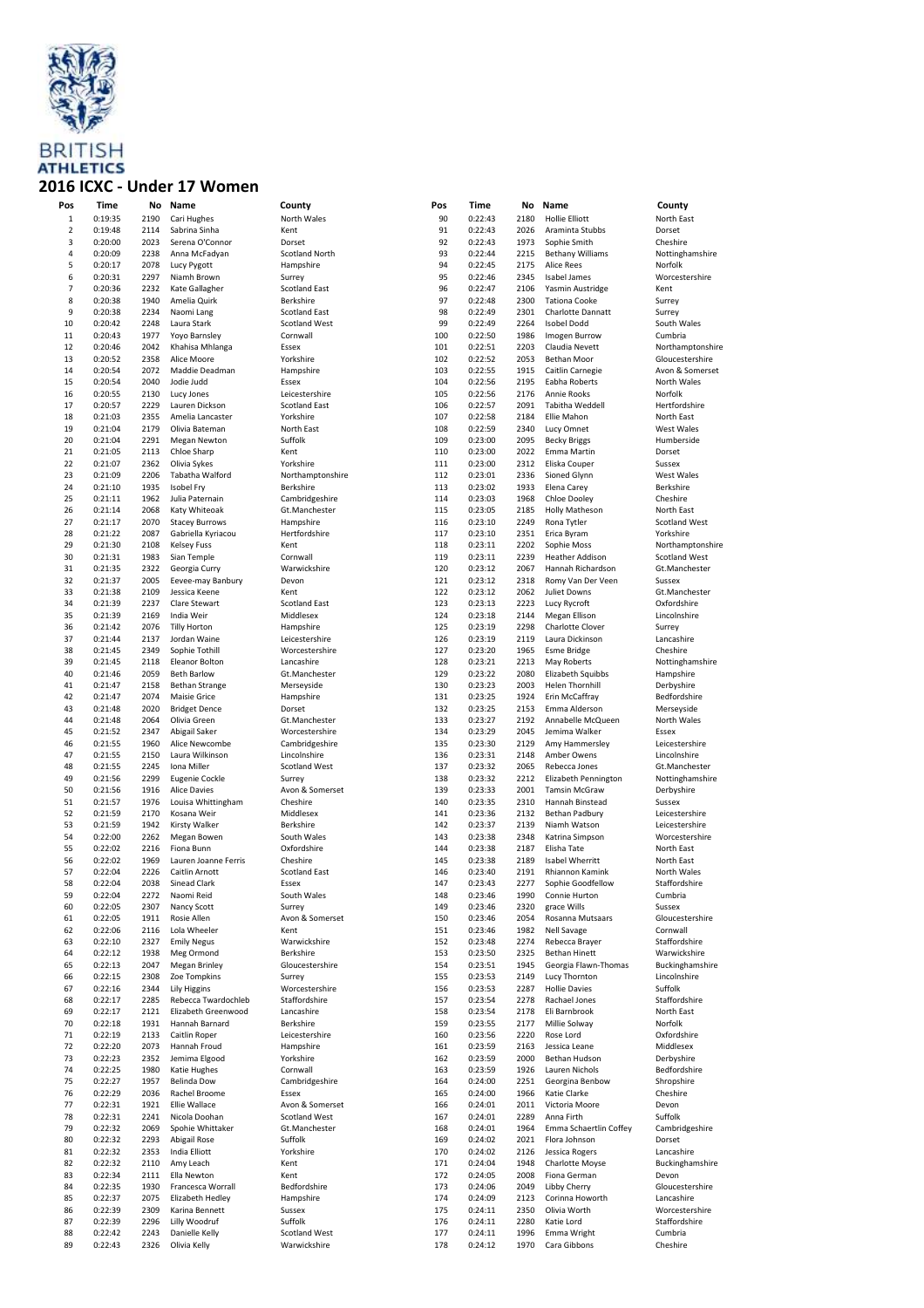

#### **2016 ICXC - Under 17 Women**

| Pos            | Time    | No   | Name                  | County               | Pos | Time    | No   | Name                    | County               |
|----------------|---------|------|-----------------------|----------------------|-----|---------|------|-------------------------|----------------------|
| $\mathbf 1$    | 0:19:35 | 2190 | Cari Hughes           | North Wales          | 90  | 0:22:43 | 2180 | <b>Hollie Elliott</b>   | North East           |
| $\overline{2}$ | 0:19:48 | 2114 | Sabrina Sinha         | Kent                 | 91  | 0:22:43 | 2026 | Araminta Stubbs         | Dorset               |
|                |         |      |                       |                      |     | 0:22:43 |      |                         |                      |
| 3              | 0:20:00 | 2023 | Serena O'Connor       | Dorset               | 92  |         | 1973 | Sophie Smith            | Cheshire             |
| $\sqrt{4}$     | 0:20:09 | 2238 | Anna McFadyan         | Scotland North       | 93  | 0:22:44 | 2215 | <b>Bethany Williams</b> | Nottinghamshire      |
| 5              | 0:20:17 | 2078 | Lucy Pygott           | Hampshire            | 94  | 0:22:45 | 2175 | Alice Rees              | Norfolk              |
| 6              | 0:20:31 | 2297 | Niamh Brown           | Surrey               | 95  | 0:22:46 | 2345 | Isabel James            | Worcestershire       |
| $\overline{7}$ | 0:20:36 | 2232 | Kate Gallagher        | <b>Scotland East</b> | 96  | 0:22:47 | 2106 | Yasmin Austridge        | Kent                 |
|                |         |      |                       |                      |     |         |      |                         |                      |
| 8              | 0:20:38 | 1940 | Amelia Quirk          | Berkshire            | 97  | 0:22:48 | 2300 | <b>Tationa Cooke</b>    | Surrey               |
| 9              | 0:20:38 | 2234 | Naomi Lang            | <b>Scotland East</b> | 98  | 0:22:49 | 2301 | Charlotte Dannatt       | Surrey               |
| 10             | 0:20:42 | 2248 | Laura Stark           | Scotland West        | 99  | 0:22:49 | 2264 | Isobel Dodd             | South Wales          |
| 11             | 0:20:43 | 1977 | Yoyo Barnsley         | Cornwall             | 100 | 0:22:50 | 1986 | Imogen Burrow           | Cumbria              |
|                |         |      |                       |                      |     |         |      |                         |                      |
| 12             | 0:20:46 | 2042 | Khahisa Mhlanga       | Essex                | 101 | 0:22:51 | 2203 | Claudia Nevett          | Northamptonshire     |
| 13             | 0:20:52 | 2358 | Alice Moore           | Yorkshire            | 102 | 0:22:52 | 2053 | <b>Bethan Moor</b>      | Gloucestershire      |
| 14             | 0:20:54 | 2072 | Maddie Deadman        | Hampshire            | 103 | 0:22:55 | 1915 | Caitlin Carnegie        | Avon & Somerset      |
| 15             | 0:20:54 | 2040 | Jodie Judd            | Essex                | 104 | 0:22:56 | 2195 | Eabha Roberts           | North Wales          |
|                |         |      |                       |                      |     |         |      |                         |                      |
| 16             | 0:20:55 | 2130 | Lucy Jones            | Leicestershire       | 105 | 0:22:56 | 2176 | Annie Rooks             | Norfolk              |
| 17             | 0:20:57 | 2229 | Lauren Dickson        | <b>Scotland East</b> | 106 | 0:22:57 | 2091 | Tabitha Weddell         | Hertfordshire        |
| 18             | 0:21:03 | 2355 | Amelia Lancaster      | Yorkshire            | 107 | 0:22:58 | 2184 | Ellie Mahon             | North East           |
| 19             | 0:21:04 | 2179 | Olivia Bateman        | North East           | 108 | 0:22:59 | 2340 | Lucy Omnet              | West Wales           |
| 20             | 0:21:04 | 2291 |                       | Suffolk              | 109 | 0:23:00 | 2095 |                         |                      |
|                |         |      | Megan Newton          |                      |     |         |      | <b>Becky Briggs</b>     | Humberside           |
| 21             | 0:21:05 | 2113 | Chloe Sharp           | Kent                 | 110 | 0:23:00 | 2022 | Emma Martin             | Dorset               |
| 22             | 0:21:07 | 2362 | Olivia Sykes          | Yorkshire            | 111 | 0:23:00 | 2312 | Eliska Couper           | Sussex               |
| 23             | 0:21:09 | 2206 | Tabatha Walford       | Northamptonshire     | 112 | 0:23:01 | 2336 | Sioned Glynn            | West Wales           |
| 24             | 0:21:10 | 1935 | Isobel Fry            | Berkshire            | 113 | 0:23:02 | 1933 | Elena Carey             | Berkshire            |
|                |         |      |                       |                      |     |         |      |                         |                      |
| 25             | 0:21:11 | 1962 | Julia Paternain       | Cambridgeshire       | 114 | 0:23:03 | 1968 | Chloe Dooley            | Cheshire             |
| 26             | 0:21:14 | 2068 | Katy Whiteoak         | Gt.Manchester        | 115 | 0:23:05 | 2185 | Holly Matheson          | North East           |
| 27             | 0:21:17 | 2070 | <b>Stacey Burrows</b> | Hampshire            | 116 | 0:23:10 | 2249 | Rona Tytler             | <b>Scotland West</b> |
| 28             | 0:21:22 | 2087 | Gabriella Kyriacou    | Hertfordshire        | 117 | 0:23:10 | 2351 | Erica Byram             | Yorkshire            |
|                |         |      |                       |                      |     |         |      |                         |                      |
| 29             | 0:21:30 | 2108 | <b>Kelsey Fuss</b>    | Kent                 | 118 | 0:23:11 | 2202 | Sophie Moss             | Northamptonshire     |
| 30             | 0:21:31 | 1983 | Sian Temple           | Cornwall             | 119 | 0:23:11 | 2239 | <b>Heather Addison</b>  | <b>Scotland West</b> |
| 31             | 0:21:35 | 2322 | Georgia Curry         | Warwickshire         | 120 | 0:23:12 | 2067 | Hannah Richardson       | Gt.Manchester        |
| 32             | 0:21:37 | 2005 |                       | Devon                | 121 | 0:23:12 | 2318 |                         | Sussex               |
|                |         |      | Eevee-may Banbury     |                      |     |         |      | Romy Van Der Veen       |                      |
| 33             | 0:21:38 | 2109 | Jessica Keene         | Kent                 | 122 | 0:23:12 | 2062 | <b>Juliet Downs</b>     | Gt.Manchester        |
| 34             | 0:21:39 | 2237 | Clare Stewart         | <b>Scotland East</b> | 123 | 0:23:13 | 2223 | Lucy Rycroft            | Oxfordshire          |
| 35             | 0:21:39 | 2169 | India Weir            | Middlesex            | 124 | 0:23:18 | 2144 | Megan Ellison           | Lincolnshire         |
|                |         |      |                       |                      |     |         |      | Charlotte Clover        |                      |
| 36             | 0:21:42 | 2076 | <b>Tilly Horton</b>   | Hampshire            | 125 | 0:23:19 | 2298 |                         | Surrey               |
| 37             | 0:21:44 | 2137 | Jordan Waine          | Leicestershire       | 126 | 0:23:19 | 2119 | Laura Dickinson         | Lancashire           |
| 38             | 0:21:45 | 2349 | Sophie Tothill        | Worcestershire       | 127 | 0:23:20 | 1965 | <b>Esme Bridge</b>      | Cheshire             |
| 39             | 0:21:45 | 2118 | Eleanor Bolton        | Lancashire           | 128 | 0:23:21 | 2213 | May Roberts             | Nottinghamshire      |
|                |         |      |                       |                      |     |         |      |                         |                      |
| 40             | 0:21:46 | 2059 | <b>Beth Barlow</b>    | Gt.Manchester        | 129 | 0:23:22 | 2080 | Elizabeth Squibbs       | Hampshire            |
| 41             | 0:21:47 | 2158 | <b>Bethan Strange</b> | Merseyside           | 130 | 0:23:23 | 2003 | <b>Helen Thornhill</b>  | Derbyshire           |
| 42             | 0:21:47 | 2074 | <b>Maisie Grice</b>   | Hampshire            | 131 | 0:23:25 | 1924 | Erin McCaffray          | Bedfordshire         |
| 43             | 0:21:48 | 2020 | <b>Bridget Dence</b>  | Dorset               | 132 | 0:23:25 | 2153 | Emma Alderson           | Merseyside           |
|                |         |      |                       |                      |     |         |      |                         |                      |
| 44             | 0:21:48 | 2064 | Olivia Green          | Gt.Manchester        | 133 | 0:23:27 | 2192 | Annabelle McQueen       | North Wales          |
| 45             | 0:21:52 | 2347 | Abigail Saker         | Worcestershire       | 134 | 0:23:29 | 2045 | Jemima Walker           | Essex                |
| 46             | 0:21:55 | 1960 | Alice Newcombe        | Cambridgeshire       | 135 | 0:23:30 | 2129 | Amy Hammersley          | Leicestershire       |
| 47             | 0:21:55 | 2150 | Laura Wilkinson       | Lincolnshire         | 136 | 0:23:31 | 2148 | Amber Owens             | Lincolnshire         |
|                |         |      |                       |                      |     |         |      |                         |                      |
| 48             | 0:21:55 | 2245 | Iona Miller           | <b>Scotland West</b> | 137 | 0:23:32 | 2065 | Rebecca Jones           | Gt.Manchester        |
| 49             | 0:21:56 | 2299 | Eugenie Cockle        | Surrey               | 138 | 0:23:32 | 2212 | Elizabeth Pennington    | Nottinghamshire      |
| 50             | 0:21:56 | 1916 | <b>Alice Davies</b>   | Avon & Somerset      | 139 | 0:23:33 | 2001 | <b>Tamsin McGraw</b>    | Derbyshire           |
| 51             | 0:21:57 | 1976 | Louisa Whittingham    | Cheshire             | 140 | 0:23:35 | 2310 | Hannah Binstead         | Sussex               |
|                |         |      |                       |                      |     |         |      |                         |                      |
| 52             | 0:21:59 | 2170 | Kosana Weir           | Middlesex            | 141 | 0:23:36 | 2132 | Bethan Padbury          | Leicestershire       |
| 53             | 0:21:59 | 1942 | Kirsty Walker         | Berkshire            | 142 | 0:23:37 | 2139 | Niamh Watson            | Leicestershire       |
| 54             | 0:22:00 | 2262 | Megan Bowen           | South Wales          | 143 | 0:23:38 | 2348 | Katrina Simpson         | Worcestershire       |
| 55             | 0:22:02 | 2216 | Fiona Bunn            | Oxfordshire          | 144 | 0:23:38 | 2187 | Elisha Tate             | North East           |
|                |         |      |                       |                      |     |         |      |                         |                      |
| 56             | 0:22:02 | 1969 | Lauren Joanne Ferris  | Cheshire             | 145 | 0:23:38 | 2189 | Isabel Wherritt         | North East           |
| 57             | 0:22:04 | 2226 | Caitlin Arnott        | <b>Scotland East</b> | 146 | 0:23:40 | 2191 | Rhiannon Kamink         | North Wales          |
| 58             | 0:22:04 | 2038 | Sinead Clark          | Essex                | 147 | 0:23:43 | 2277 | Sophie Goodfellow       | Staffordshire        |
| 59             | 0:22:04 | 2272 | Naomi Reid            | South Wales          | 148 | 0:23:46 | 1990 | Connie Hurton           | Cumbria              |
|                |         |      |                       |                      |     |         |      |                         |                      |
| 60             | 0:22:05 | 2307 | Nancy Scott           | Surrey               | 149 | 0:23:46 | 2320 | grace Wills             | Sussex               |
| 61             | 0:22:05 | 1911 | Rosie Allen           | Avon & Somerset      | 150 | 0:23:46 | 2054 | Rosanna Mutsaars        | Gloucestershire      |
| 62             | 0:22:06 | 2116 | Lola Wheeler          | Kent                 | 151 | 0:23:46 | 1982 | Nell Savage             | Cornwall             |
| 63             | 0:22:10 | 2327 | <b>Emily Negus</b>    | Warwickshire         | 152 | 0:23:48 | 2274 | Rebecca Brayer          | Staffordshire        |
| 64             | 0:22:12 | 1938 | Meg Ormond            | Berkshire            | 153 | 0:23:50 | 2325 | <b>Bethan Hinett</b>    | Warwickshire         |
|                |         |      |                       |                      |     |         |      |                         |                      |
| 65             | 0:22:13 | 2047 | <b>Megan Brinley</b>  | Gloucestershire      | 154 | 0:23:51 | 1945 | Georgia Flawn-Thomas    | Buckinghamshire      |
| 66             | 0:22:15 | 2308 | Zoe Tompkins          | Surrey               | 155 | 0:23:53 | 2149 | Lucy Thornton           | Lincolnshire         |
| 67             | 0:22:16 | 2344 | Lily Higgins          | Worcestershire       | 156 | 0:23:53 | 2287 | <b>Hollie Davies</b>    | Suffolk              |
|                |         | 2285 |                       | Staffordshire        | 157 |         | 2278 |                         |                      |
| 68             | 0:22:17 |      | Rebecca Twardochleb   |                      |     | 0:23:54 |      | Rachael Jones           | Staffordshire        |
| 69             | 0:22:17 | 2121 | Elizabeth Greenwood   | Lancashire           | 158 | 0:23:54 | 2178 | Eli Barnbrook           | North East           |
| 70             | 0:22:18 | 1931 | Hannah Barnard        | Berkshire            | 159 | 0:23:55 | 2177 | Millie Solway           | Norfolk              |
| 71             | 0:22:19 | 2133 | Caitlin Roper         | Leicestershire       | 160 | 0:23:56 | 2220 | Rose Lord               | Oxfordshire          |
|                |         |      |                       |                      |     |         |      |                         |                      |
| 72             | 0:22:20 | 2073 | Hannah Froud          | Hampshire            | 161 | 0:23:59 | 2163 | Jessica Leane           | Middlesex            |
| 73             | 0:22:23 | 2352 | Jemima Elgood         | Yorkshire            | 162 | 0:23:59 | 2000 | Bethan Hudson           | Derbyshire           |
| 74             | 0:22:25 | 1980 | Katie Hughes          | Cornwall             | 163 | 0:23:59 | 1926 | Lauren Nichols          | Bedfordshire         |
| 75             | 0:22:27 | 1957 | Belinda Dow           | Cambridgeshire       | 164 | 0:24:00 | 2251 | Georgina Benbow         | Shropshire           |
|                |         |      |                       |                      |     |         |      |                         |                      |
| 76             | 0:22:29 | 2036 | Rachel Broome         | Essex                | 165 | 0:24:00 | 1966 | Katie Clarke            | Cheshire             |
| 77             | 0:22:31 | 1921 | Ellie Wallace         | Avon & Somerset      | 166 | 0:24:01 | 2011 | Victoria Moore          | Devon                |
| 78             | 0:22:31 | 2241 | Nicola Doohan         | <b>Scotland West</b> | 167 | 0:24:01 | 2289 | Anna Firth              | Suffolk              |
| 79             | 0:22:32 | 2069 | Spohie Whittaker      | Gt.Manchester        | 168 | 0:24:01 | 1964 | Emma Schaertlin Coffey  | Cambridgeshire       |
|                |         |      |                       |                      |     |         |      |                         |                      |
| 80             | 0:22:32 | 2293 | Abigail Rose          | Suffolk              | 169 | 0:24:02 | 2021 | Flora Johnson           | Dorset               |
| 81             | 0:22:32 | 2353 | India Elliott         | Yorkshire            | 170 | 0:24:02 | 2126 | Jessica Rogers          | Lancashire           |
| 82             | 0:22:32 | 2110 | Amy Leach             | Kent                 | 171 | 0:24:04 | 1948 | Charlotte Moyse         | Buckinghamshire      |
|                | 0:22:34 | 2111 | Ella Newton           | Kent                 |     |         | 2008 |                         | Devon                |
| 83             |         |      |                       |                      | 172 | 0:24:05 |      | Fiona German            |                      |
| 84             | 0:22:35 | 1930 | Francesca Worrall     | Bedfordshire         | 173 | 0:24:06 | 2049 | Libby Cherry            | Gloucestershire      |
| 85             | 0:22:37 | 2075 | Elizabeth Hedley      | Hampshire            | 174 | 0:24:09 | 2123 | Corinna Howorth         | Lancashire           |
| 86             | 0:22:39 | 2309 | Karina Bennett        | Sussex               | 175 | 0:24:11 | 2350 | Olivia Worth            | Worcestershire       |
| 87             | 0:22:39 | 2296 | Lilly Woodruf         | Suffolk              | 176 | 0:24:11 | 2280 | Katie Lord              | Staffordshire        |
|                |         |      |                       |                      |     |         |      |                         |                      |
| 88             | 0:22:42 | 2243 | Danielle Kelly        | Scotland West        | 177 | 0:24:11 | 1996 | Emma Wright             | Cumbria              |
| 89             | 0:22:43 | 2326 | Olivia Kelly          | Warwickshire         | 178 | 0:24:12 | 1970 | Cara Gibbons            | Cheshire             |
|                |         |      |                       |                      |     |         |      |                         |                      |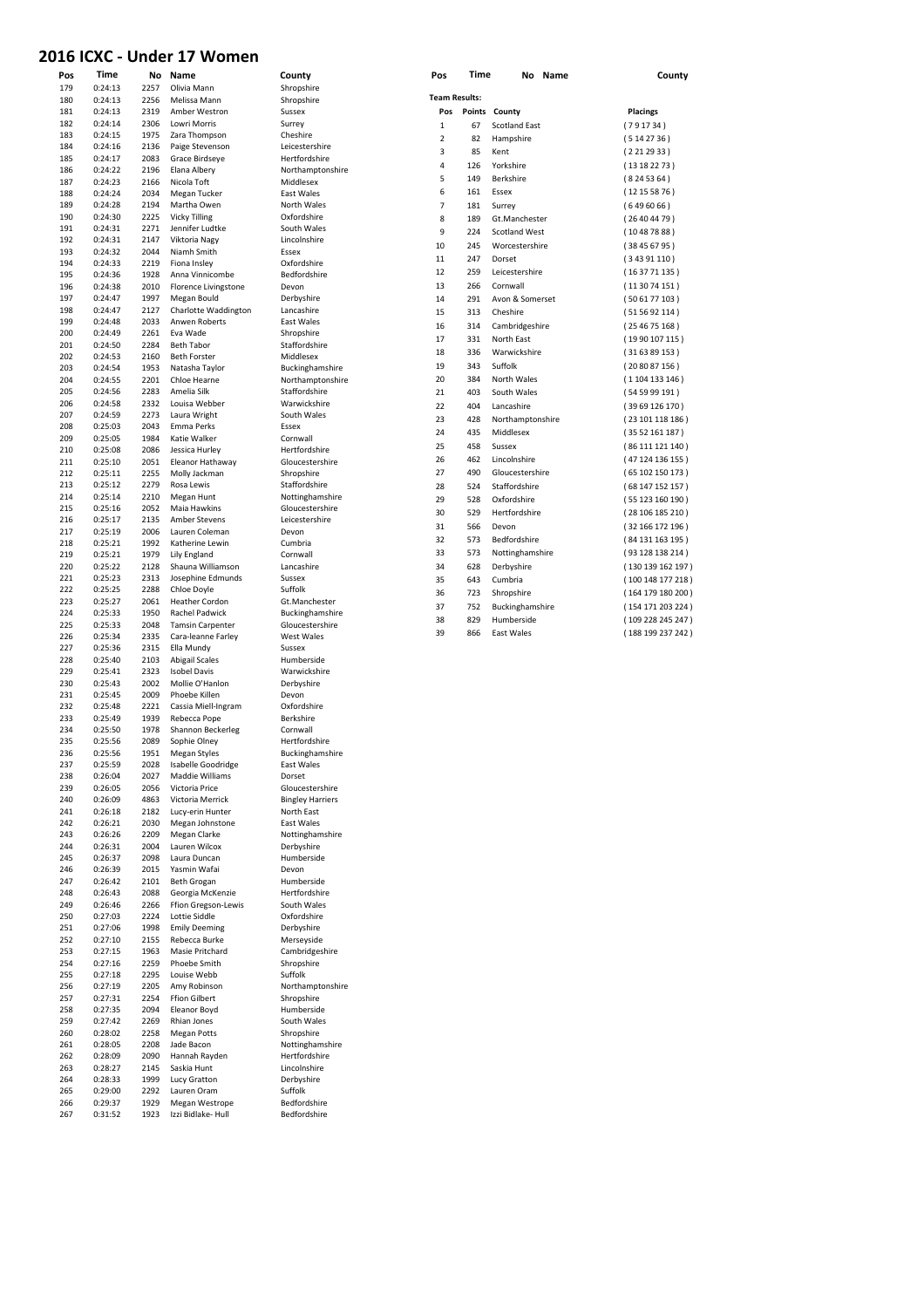#### **2016 ICXC - Under 17 Women**

| Pos        | Time               | No           | Name                                   | County                       | Pos         |                      | Time                 | No Name | County           |
|------------|--------------------|--------------|----------------------------------------|------------------------------|-------------|----------------------|----------------------|---------|------------------|
| 179        | 0:24:13            | 2257         | Olivia Mann                            | Shropshire                   |             |                      |                      |         |                  |
| 180        | 0:24:13            | 2256         | Melissa Mann                           | Shropshire                   |             | <b>Team Results:</b> |                      |         |                  |
| 181        | 0:24:13            | 2319         | Amber Westron                          | Sussex                       |             | Pos<br>Points        | County               |         | Placings         |
| 182        | 0:24:14            | 2306         | Lowri Morris                           | Surrey                       | $\mathbf 1$ | 67                   | Scotland East        |         | (791734)         |
| 183<br>184 | 0:24:15<br>0:24:16 | 1975<br>2136 | Zara Thompson<br>Paige Stevenson       | Cheshire<br>Leicestershire   |             | $\overline{2}$<br>82 | Hampshire            |         | (5142736)        |
| 185        | 0:24:17            | 2083         | Grace Birdseye                         | Hertfordshire                |             | 3<br>85              | Kent                 |         | (2212933)        |
| 186        | 0:24:22            | 2196         | Elana Albery                           | Northamptonshire             |             | 4<br>126             | Yorkshire            |         | (13182273)       |
| 187        | 0:24:23            | 2166         | Nicola Toft                            | Middlesex                    |             | 5<br>149             | Berkshire            |         | (8245364)        |
| 188        | 0:24:24            | 2034         | Megan Tucker                           | East Wales                   |             | 6<br>161             | Essex                |         | (12155876)       |
| 189        | 0:24:28            | 2194         | Martha Owen                            | North Wales                  |             | 7<br>181             | Surrey               |         | (6496066)        |
| 190        | 0:24:30            | 2225         | <b>Vicky Tilling</b>                   | Oxfordshire                  | 8           | 189                  | Gt.Manchester        |         | (26404479)       |
| 191        | 0:24:31            | 2271         | Jennifer Ludtke                        | South Wales                  | 9           | 224                  | <b>Scotland West</b> |         | (10487888)       |
| 192        | 0:24:31            | 2147         | Viktoria Nagy                          | Lincolnshire                 | 10          | 245                  | Worcestershire       |         | (38456795)       |
| 193        | 0:24:32            | 2044         | Niamh Smith                            | Essex                        | 11          | 247                  | Dorset               |         | (34391110)       |
| 194        | 0:24:33            | 2219         | Fiona Insley<br>Anna Vinnicombe        | Oxfordshire<br>Bedfordshire  | 12          | 259                  | Leicestershire       |         | (163771135)      |
| 195<br>196 | 0:24:36<br>0:24:38 | 1928<br>2010 | Florence Livingstone                   | Devon                        | 13          | 266                  | Cornwall             |         | (113074151)      |
| 197        | 0:24:47            | 1997         | Megan Bould                            | Derbyshire                   | 14          | 291                  | Avon & Somerset      |         | (506177103)      |
| 198        | 0:24:47            | 2127         | Charlotte Waddington                   | Lancashire                   | 15          | 313                  | Cheshire             |         | (515692114)      |
| 199        | 0:24:48            | 2033         | Anwen Roberts                          | East Wales                   | 16          | 314                  | Cambridgeshire       |         |                  |
| 200        | 0:24:49            | 2261         | Eva Wade                               | Shropshire                   | 17          | 331                  | North East           |         | (254675168)      |
| 201        | 0:24:50            | 2284         | <b>Beth Tabor</b>                      | Staffordshire                |             | 336                  |                      |         | (19 90 107 115)  |
| 202        | 0:24:53            | 2160         | <b>Beth Forster</b>                    | Middlesex                    | 18          |                      | Warwickshire         |         | (316389153)      |
| 203        | 0:24:54            | 1953         | Natasha Taylor                         | Buckinghamshire              | 19          | 343                  | Suffolk              |         | (208087156)      |
| 204        | 0:24:55            | 2201         | Chloe Hearne                           | Northamptonshire             | 20          | 384                  | North Wales          |         | (1104133146)     |
| 205        | 0:24:56            | 2283         | Amelia Silk                            | Staffordshire                | 21          | 403                  | South Wales          |         | (54 59 99 191)   |
| 206<br>207 | 0:24:58<br>0:24:59 | 2332<br>2273 | Louisa Webber<br>Laura Wright          | Warwickshire<br>South Wales  | 22          | 404                  | Lancashire           |         | (3969126170)     |
| 208        | 0:25:03            | 2043         | Emma Perks                             | Essex                        | 23          | 428                  | Northamptonshire     |         | (23 101 118 186) |
| 209        | 0:25:05            | 1984         | Katie Walker                           | Cornwall                     | 24          | 435                  | Middlesex            |         | (3552161187)     |
| 210        | 0:25:08            | 2086         | Jessica Hurley                         | Hertfordshire                | 25          | 458                  | Sussex               |         | (86 111 121 140) |
| 211        | 0:25:10            | 2051         | Eleanor Hathaway                       | Gloucestershire              | 26          | 462                  | Lincolnshire         |         | (47 124 136 155) |
| 212        | 0:25:11            | 2255         | Molly Jackman                          | Shropshire                   | 27          | 490                  | Gloucestershire      |         | (65 102 150 173) |
| 213        | 0:25:12            | 2279         | Rosa Lewis                             | Staffordshire                | 28          | 524                  | Staffordshire        |         | (68 147 152 157) |
| 214        | 0:25:14            | 2210         | Megan Hunt                             | Nottinghamshire              | 29          | 528                  | Oxfordshire          |         | (55 123 160 190) |
| 215        | 0:25:16            | 2052         | Maia Hawkins                           | Gloucestershire              | 30          | 529                  | Hertfordshire        |         | (28 106 185 210) |
| 216        | 0:25:17            | 2135         | Amber Stevens                          | Leicestershire               | 31          | 566                  | Devon                |         | (32 166 172 196) |
| 217        | 0:25:19            | 2006         | Lauren Coleman                         | Devon                        | 32          | 573                  | Bedfordshire         |         | (84 131 163 195) |
| 218        | 0:25:21            | 1992<br>1979 | Katherine Lewin                        | Cumbria                      | 33          | 573                  | Nottinghamshire      |         | (93 128 138 214) |
| 219<br>220 | 0:25:21<br>0:25:22 | 2128         | Lily England<br>Shauna Williamson      | Cornwall<br>Lancashire       | 34          | 628                  | Derbyshire           |         | (130 139 162 197 |
| 221        | 0:25:23            | 2313         | Josephine Edmunds                      | Sussex                       | 35          | 643                  | Cumbria              |         | (100 148 177 218 |
| 222        | 0:25:25            | 2288         | Chloe Doyle                            | Suffolk                      |             |                      |                      |         |                  |
| 223        | 0:25:27            | 2061         | Heather Cordon                         | Gt.Manchester                | 36          | 723                  | Shropshire           |         | (164 179 180 200 |
| 224        | 0:25:33            | 1950         | Rachel Padwick                         | Buckinghamshire              | 37          | 752                  | Buckinghamshire      |         | (154 171 203 224 |
| 225        | 0:25:33            | 2048         | <b>Tamsin Carpenter</b>                | Gloucestershire              | 38          | 829                  | Humberside           |         | (109 228 245 247 |
| 226        | 0:25:34            | 2335         | Cara-leanne Farley                     | West Wales                   | 39          | 866                  | East Wales           |         | (188 199 237 242 |
| 227        | 0:25:36            | 2315         | Ella Mundy                             | Sussex                       |             |                      |                      |         |                  |
| 228        | 0:25:40            | 2103         | <b>Abigail Scales</b>                  | Humberside                   |             |                      |                      |         |                  |
| 229        | 0:25:41<br>0:25:43 | 2323         | <b>Isobel Davis</b><br>Mollie O'Hanlon | Warwickshire                 |             |                      |                      |         |                  |
| 230<br>231 | 0:25:45            | 2002<br>2009 | Phoebe Killen                          | Derbyshire<br>Devon          |             |                      |                      |         |                  |
| 232        | 0:25:48            | 2221         | Cassia Miell-Ingram                    | Oxfordshire                  |             |                      |                      |         |                  |
| 233        | 0:25:49            | 1939         | Rebecca Pope                           | Berkshire                    |             |                      |                      |         |                  |
| 234        | 0:25:50            | 1978         | Shannon Beckerleg                      | Cornwall                     |             |                      |                      |         |                  |
| 235        | 0:25:56            | 2089         | Sophie Olney                           | Hertfordshire                |             |                      |                      |         |                  |
| 236        | 0:25:56            | 1951         | Megan Styles                           | Buckinghamshire              |             |                      |                      |         |                  |
| 237        | 0:25:59            | 2028         | Isabelle Goodridge                     | East Wales                   |             |                      |                      |         |                  |
| 238        | 0:26:04            | 2027         | Maddie Williams                        | Dorset                       |             |                      |                      |         |                  |
| 239        | 0:26:05            | 2056         | Victoria Price                         | Gloucestershire              |             |                      |                      |         |                  |
| 240        | 0:26:09            | 4863         | Victoria Merrick                       | <b>Bingley Harriers</b>      |             |                      |                      |         |                  |
| 241<br>242 | 0:26:18            | 2182<br>2030 | Lucy-erin Hunter<br>Megan Johnstone    | North East<br>East Wales     |             |                      |                      |         |                  |
| 243        | 0:26:21<br>0:26:26 | 2209         | Megan Clarke                           | Nottinghamshire              |             |                      |                      |         |                  |
| 244        | 0:26:31            | 2004         | Lauren Wilcox                          | Derbyshire                   |             |                      |                      |         |                  |
| 245        | 0:26:37            | 2098         | Laura Duncan                           | Humberside                   |             |                      |                      |         |                  |
| 246        | 0:26:39            | 2015         | Yasmin Wafai                           | Devon                        |             |                      |                      |         |                  |
| 247        | 0:26:42            | 2101         | Beth Grogan                            | Humberside                   |             |                      |                      |         |                  |
| 248        | 0:26:43            | 2088         | Georgia McKenzie                       | Hertfordshire                |             |                      |                      |         |                  |
| 249        | 0:26:46            | 2266         | Ffion Gregson-Lewis                    | South Wales                  |             |                      |                      |         |                  |
| 250        | 0:27:03            | 2224         | Lottie Siddle                          | Oxfordshire                  |             |                      |                      |         |                  |
| 251        | 0:27:06            | 1998         | <b>Emily Deeming</b>                   | Derbyshire                   |             |                      |                      |         |                  |
| 252        | 0:27:10            | 2155         | Rebecca Burke                          | Merseyside                   |             |                      |                      |         |                  |
| 253<br>254 | 0:27:15            | 1963<br>2259 | Masie Pritchard<br>Phoebe Smith        | Cambridgeshire<br>Shropshire |             |                      |                      |         |                  |
| 255        | 0:27:16<br>0:27:18 | 2295         | Louise Webb                            | Suffolk                      |             |                      |                      |         |                  |
| 256        | 0:27:19            | 2205         | Amy Robinson                           | Northamptonshire             |             |                      |                      |         |                  |
| 257        | 0:27:31            | 2254         | <b>Ffion Gilbert</b>                   | Shropshire                   |             |                      |                      |         |                  |
| 258        | 0:27:35            | 2094         | Eleanor Boyd                           | Humberside                   |             |                      |                      |         |                  |
| 259        | 0:27:42            | 2269         | Rhian Jones                            | South Wales                  |             |                      |                      |         |                  |
| 260        | 0:28:02            | 2258         | <b>Megan Potts</b>                     | Shropshire                   |             |                      |                      |         |                  |
| 261        | 0:28:05            | 2208         | Jade Bacon                             | Nottinghamshire              |             |                      |                      |         |                  |
| 262        | 0:28:09            | 2090         | Hannah Rayden                          | Hertfordshire                |             |                      |                      |         |                  |
| 263        | 0:28:27            | 2145         | Saskia Hunt                            | Lincolnshire                 |             |                      |                      |         |                  |
| 264        | 0:28:33            | 1999         | Lucy Gratton                           | Derbyshire                   |             |                      |                      |         |                  |
| 265<br>266 | 0:29:00<br>0:29:37 | 2292<br>1929 | Lauren Oram<br>Megan Westrope          | Suffolk<br>Bedfordshire      |             |                      |                      |         |                  |
| 267        | 0:31:52            | 1923         | Izzi Bidlake-Hull                      | Bedfordshire                 |             |                      |                      |         |                  |
|            |                    |              |                                        |                              |             |                      |                      |         |                  |

| County                               |
|--------------------------------------|
| Shropshire                           |
| Shropshire                           |
| Sussex                               |
| Surrey                               |
| Cheshire<br>Leicestershire           |
| Hertfordshire                        |
| Northamptonshire                     |
| Middlesex                            |
| East Wales                           |
| North Wales                          |
| Oxfordshire                          |
| South Wales                          |
| Lincolnshire<br>Essex                |
| Oxfordshire                          |
| Bedfordshire                         |
| Devon                                |
| Derbyshire                           |
| Lancashire                           |
| East Wales                           |
| Shropshire                           |
| Staffordshire                        |
| Middlesex<br>Buckinghamshire         |
| Northamptonshire                     |
| Staffordshire                        |
| Warwickshire                         |
| South Wales                          |
| Essex                                |
| Cornwall                             |
| Hertfordshire                        |
| Gloucestershire                      |
| Shropshire                           |
| Staffordshire<br>Nottinghamshire     |
| Gloucestershire                      |
| Leicestershire                       |
| Devon                                |
| Cumbria                              |
| Cornwall                             |
| Lancashire                           |
| Sussex                               |
| Suffolk                              |
| Gt.Manchester                        |
| Buckinghamshire                      |
| Gloucestershire<br><b>West Wales</b> |
| <b>Sussex</b>                        |
| Humberside                           |
| Warwickshire                         |
| Derbyshire                           |
|                                      |
| Devon                                |
| Oxfordshire                          |
| Berkshire                            |
| Cornwall                             |
| Hertfordshire                        |
| Buckinghamshire                      |
| East Wales                           |
| Dorset                               |
| Gloucestershire                      |
| <b>Bingley Harriers</b>              |
| North East                           |
| East Wales<br>Nottinghamshire        |
| Derbyshire                           |
| Humberside                           |
| Devon                                |
| Humberside                           |
| Hertfordshire                        |
| South Wales                          |
| Oxfordshire                          |
| Derbyshire                           |
| Merseyside                           |
| Cambridgeshire                       |
| Shropshire<br>Suffolk                |
| Northamptonshire                     |
| Shropshire                           |
| Humberside                           |
| South Wales                          |
| Shropshire                           |
| Nottinghamshire                      |
| Hertfordshire                        |
| Lincolnshire<br>Derbyshire           |

| Pos                  | Time   | Name<br>No           | County            |
|----------------------|--------|----------------------|-------------------|
| <b>Team Results:</b> |        |                      |                   |
| Pos                  | Points | County               | <b>Placings</b>   |
| 1                    | 67     | <b>Scotland East</b> | (791734)          |
| $\overline{2}$       | 82     | Hampshire            | (5142736)         |
| 3                    | 85     | Kent                 | (2212933)         |
| 4                    | 126    | Yorkshire            | (13182273)        |
| 5                    | 149    | Berkshire            | (8245364)         |
| 6                    | 161    | Essex                | (12155876)        |
| 7                    | 181    | Surrey               | (649606)          |
| 8                    | 189    | Gt.Manchester        | (26404479)        |
| 9                    | 224    | Scotland West        | (10487888)        |
| 10                   | 245    | Worcestershire       | (38456795)        |
| 11                   | 247    | Dorset               | (34391110)        |
| 12                   | 259    | Leicestershire       | (16 37 71 135)    |
| 13                   | 266    | Cornwall             | (113074151)       |
| 14                   | 291    | Avon & Somerset      | (506177103)       |
| 15                   | 313    | Cheshire             | (515692114)       |
| 16                   | 314    | Cambridgeshire       | (254675168)       |
| 17                   | 331    | North East           | (19 90 107 115)   |
| 18                   | 336    | Warwickshire         | (316389153)       |
| 19                   | 343    | Suffolk              | (208087156)       |
| 20                   | 384    | North Wales          | (1104133146)      |
| 21                   | 403    | South Wales          | (54 59 99 191)    |
| 22                   | 404    | Lancashire           | (3969126170)      |
| 23                   | 428    | Northamptonshire     | (23 101 118 186)  |
| 24                   | 435    | Middlesex            | (35 52 161 187)   |
| 25                   | 458    | Sussex               | (86 111 121 140)  |
| 26                   | 462    | Lincolnshire         | (47 124 136 155)  |
| 27                   | 490    | Gloucestershire      | (65 102 150 173)  |
| 28                   | 524    | Staffordshire        | (68 147 152 157)  |
| 29                   | 528    | Oxfordshire          | (55123160190)     |
| 30                   | 529    | Hertfordshire        | (28 106 185 210)  |
| 31                   | 566    | Devon                | (32 166 172 196)  |
| 32                   | 573    | Bedfordshire         | (84 131 163 195)  |
| 33                   | 573    | Nottinghamshire      | (93 128 138 214)  |
| 34                   | 628    | Derbyshire           | (130 139 162 197) |
| 35                   | 643    | Cumbria              | (100 148 177 218) |
| 36                   | 723    | Shropshire           | (164 179 180 200) |
| 37                   | 752    | Buckinghamshire      | (154 171 203 224) |
| 38                   | 829    | Humberside           | (109 228 245 247) |
| 39                   | 866    | East Wales           | (188 199 237 242) |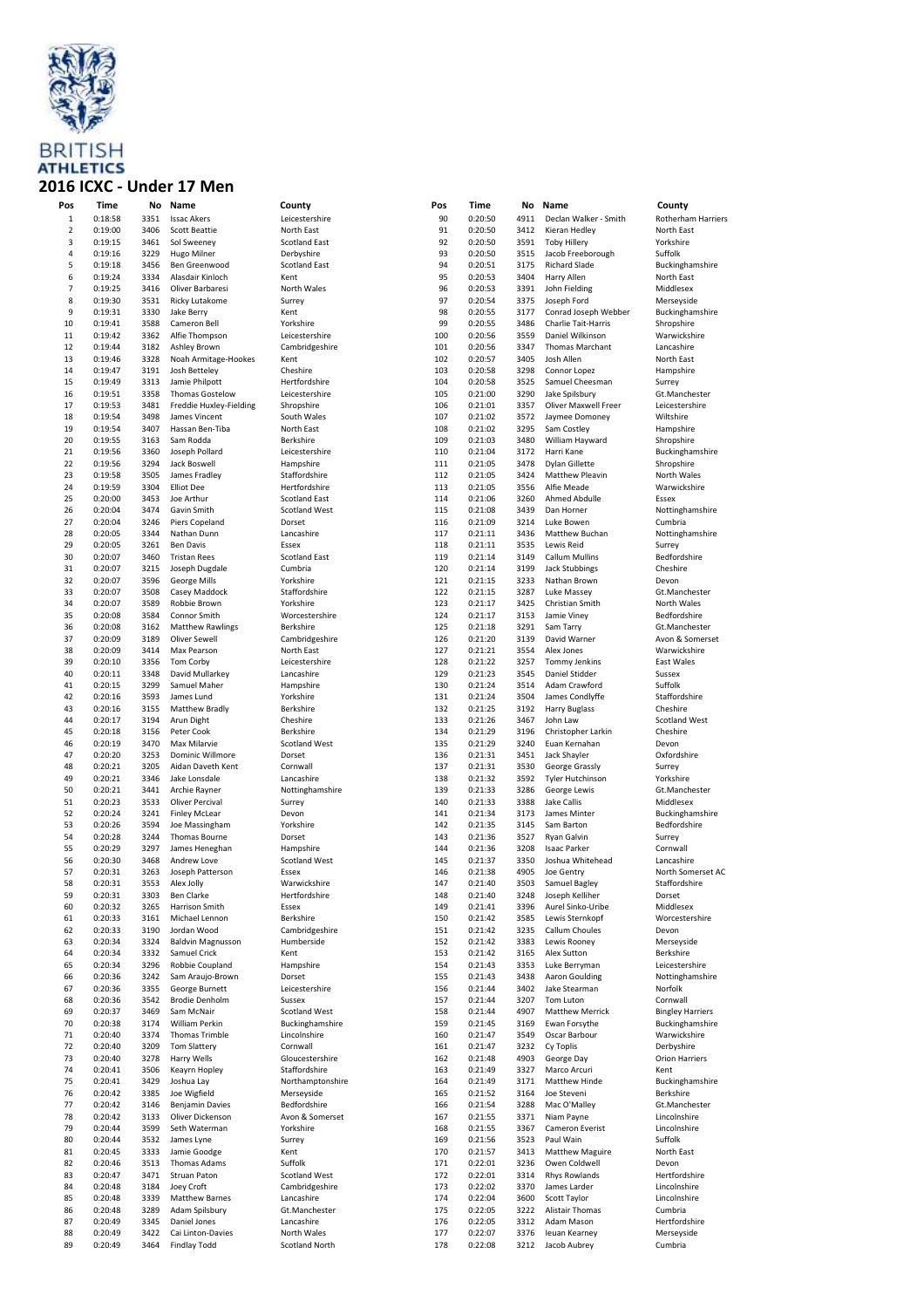

#### **ATHLETICS 2016 ICXC - Under 17 Men**

| Pos            | Time    | No   | Name                         | County                         | Pos | Time    | No   | Name                            | County                  |
|----------------|---------|------|------------------------------|--------------------------------|-----|---------|------|---------------------------------|-------------------------|
| $\mathbf 1$    | 0:18:58 | 3351 | <b>Issac Akers</b>           | Leicestershire                 | 90  | 0:20:50 | 4911 | Declan Walker - Smith           | Rotherham Harriers      |
| $\overline{2}$ | 0:19:00 | 3406 | <b>Scott Beattie</b>         | North East                     | 91  | 0:20:50 | 3412 | Kieran Hedley                   | North East              |
| 3              | 0:19:15 | 3461 | Sol Sweeney                  | <b>Scotland East</b>           | 92  | 0:20:50 | 3591 | <b>Toby Hillery</b>             | Yorkshire               |
| $\sqrt{4}$     | 0:19:16 | 3229 | Hugo Milner                  | Derbyshire                     | 93  | 0:20:50 | 3515 | Jacob Freeborough               | Suffolk                 |
| 5              | 0:19:18 | 3456 | Ben Greenwood                | <b>Scotland East</b>           | 94  | 0:20:51 | 3175 | <b>Richard Slade</b>            | Buckinghamshire         |
| 6              | 0:19:24 | 3334 | Alasdair Kinloch             | Kent                           | 95  | 0:20:53 | 3404 | Harry Allen                     | North East              |
| $\overline{7}$ | 0:19:25 | 3416 | Oliver Barbaresi             | North Wales                    | 96  | 0:20:53 | 3391 | John Fielding                   | Middlesex               |
| 8              | 0:19:30 | 3531 | Ricky Lutakome               | Surrey                         | 97  | 0:20:54 | 3375 | Joseph Ford                     | Merseyside              |
| 9              | 0:19:31 | 3330 | Jake Berry                   | Kent                           | 98  | 0:20:55 | 3177 | Conrad Joseph Webber            | Buckinghamshire         |
| 10             | 0:19:41 | 3588 | Cameron Bell                 | Yorkshire                      | 99  | 0:20:55 | 3486 | Charlie Tait-Harris             | Shropshire              |
| 11             | 0:19:42 | 3362 | Alfie Thompson               | Leicestershire                 | 100 | 0:20:56 | 3559 | Daniel Wilkinson                | Warwickshire            |
| 12             | 0:19:44 | 3182 | Ashley Brown                 | Cambridgeshire                 | 101 | 0:20:56 | 3347 | <b>Thomas Marchant</b>          | Lancashire              |
| 13             | 0:19:46 | 3328 |                              | Kent                           | 102 | 0:20:57 | 3405 | Josh Allen                      | North East              |
| 14             | 0:19:47 | 3191 | Noah Armitage-Hookes         |                                | 103 | 0:20:58 | 3298 |                                 |                         |
|                |         |      | Josh Betteley                | Cheshire<br>Hertfordshire      | 104 |         |      | Connor Lopez<br>Samuel Cheesman | Hampshire               |
| 15             | 0:19:49 | 3313 | Jamie Philpott               |                                |     | 0:20:58 | 3525 |                                 | Surrey                  |
| 16             | 0:19:51 | 3358 | <b>Thomas Gostelow</b>       | Leicestershire                 | 105 | 0:21:00 | 3290 | Jake Spilsbury                  | Gt.Manchester           |
| 17             | 0:19:53 | 3481 | Freddie Huxley-Fielding      | Shropshire                     | 106 | 0:21:01 | 3357 | Oliver Maxwell Freer            | Leicestershire          |
| 18             | 0:19:54 | 3498 | James Vincent                | South Wales                    | 107 | 0:21:02 | 3572 | Jaymee Domoney                  | Wiltshire               |
| 19             | 0:19:54 | 3407 | Hassan Ben-Tiba              | North East                     | 108 | 0:21:02 | 3295 | Sam Costley                     | Hampshire               |
| 20             | 0:19:55 | 3163 | Sam Rodda                    | Berkshire                      | 109 | 0:21:03 | 3480 | William Hayward                 | Shropshire              |
| 21             | 0:19:56 | 3360 | Joseph Pollard               | Leicestershire                 | 110 | 0:21:04 | 3172 | Harri Kane                      | Buckinghamshire         |
| 22             | 0:19:56 | 3294 | Jack Boswell                 | Hampshire                      | 111 | 0:21:05 | 3478 | Dylan Gillette                  | Shropshire              |
| 23             | 0:19:58 | 3505 | James Fradley                | Staffordshire                  | 112 | 0:21:05 | 3424 | Matthew Pleavin                 | North Wales             |
| 24             | 0:19:59 | 3304 | <b>Elliot Dee</b>            | Hertfordshire                  | 113 | 0:21:05 | 3556 | Alfie Meade                     | Warwickshire            |
| 25             | 0:20:00 | 3453 | Joe Arthur                   | <b>Scotland East</b>           | 114 | 0:21:06 | 3260 | Ahmed Abdulle                   | Essex                   |
| 26             | 0:20:04 | 3474 | Gavin Smith                  | <b>Scotland West</b>           | 115 | 0:21:08 | 3439 | Dan Horner                      | Nottinghamshire         |
| 27             | 0:20:04 | 3246 | Piers Copeland               | Dorset                         | 116 | 0:21:09 | 3214 | Luke Bowen                      | Cumbria                 |
| 28             | 0:20:05 | 3344 | Nathan Dunn                  | Lancashire                     | 117 | 0:21:11 | 3436 | Matthew Buchan                  | Nottinghamshire         |
| 29             | 0:20:05 | 3261 | <b>Ben Davis</b>             | Essex                          | 118 | 0:21:11 | 3535 | Lewis Reid                      | Surrey                  |
| 30             | 0:20:07 | 3460 | <b>Tristan Rees</b>          | <b>Scotland East</b>           | 119 | 0:21:14 | 3149 | <b>Callum Mullins</b>           | Bedfordshire            |
| 31             | 0:20:07 | 3215 | Joseph Dugdale               | Cumbria                        | 120 | 0:21:14 | 3199 | <b>Jack Stubbings</b>           | Cheshire                |
| 32             | 0:20:07 | 3596 | <b>George Mills</b>          | Yorkshire                      | 121 | 0:21:15 | 3233 | Nathan Brown                    | Devon                   |
| 33             | 0:20:07 | 3508 | Casey Maddock                | Staffordshire                  | 122 | 0:21:15 | 3287 | Luke Massey                     | Gt.Manchester           |
| 34             | 0:20:07 | 3589 | Robbie Brown                 | Yorkshire                      | 123 | 0:21:17 | 3425 | Christian Smith                 | North Wales             |
| 35             | 0:20:08 | 3584 | Connor Smith                 | Worcestershire                 | 124 | 0:21:17 | 3153 | Jamie Viney                     | Bedfordshire            |
| 36             | 0:20:08 | 3162 | <b>Matthew Rawlings</b>      | Berkshire                      | 125 | 0:21:18 | 3291 | Sam Tarry                       | Gt.Manchester           |
| 37             | 0:20:09 | 3189 | <b>Oliver Sewell</b>         | Cambridgeshire                 | 126 | 0:21:20 | 3139 | David Warner                    | Avon & Somerset         |
| 38             | 0:20:09 | 3414 | Max Pearson                  | North East                     | 127 | 0:21:21 | 3554 | Alex Jones                      | Warwickshire            |
| 39             | 0:20:10 | 3356 | Tom Corby                    | Leicestershire                 | 128 | 0:21:22 | 3257 | <b>Tommy Jenkins</b>            | East Wales              |
| 40             | 0:20:11 | 3348 | David Mullarkey              | Lancashire                     | 129 | 0:21:23 | 3545 | Daniel Stidder                  | Sussex                  |
| 41             | 0:20:15 | 3299 | Samuel Maher                 | Hampshire                      | 130 | 0:21:24 | 3514 | Adam Crawford                   | Suffolk                 |
| 42             | 0:20:16 | 3593 | James Lund                   | Yorkshire                      | 131 | 0:21:24 | 3504 | James Condlyffe                 | Staffordshire           |
| 43             | 0:20:16 | 3155 | Matthew Bradly               | Berkshire                      | 132 | 0:21:25 | 3192 | <b>Harry Buglass</b>            | Cheshire                |
| 44             | 0:20:17 | 3194 | Arun Dight                   | Cheshire                       | 133 | 0:21:26 | 3467 | John Law                        | Scotland West           |
| 45             | 0:20:18 | 3156 | Peter Cook                   | Berkshire                      | 134 | 0:21:29 | 3196 | Christopher Larkin              | Cheshire                |
| 46             | 0:20:19 | 3470 | Max Milarvie                 | <b>Scotland West</b>           | 135 | 0:21:29 | 3240 | Euan Kernahan                   | Devon                   |
| 47             | 0:20:20 | 3253 | Dominic Willmore             | Dorset                         | 136 | 0:21:31 | 3451 | Jack Shayler                    | Oxfordshire             |
| 48             | 0:20:21 | 3205 | Aidan Daveth Kent            | Cornwall                       | 137 | 0:21:31 | 3530 | George Grassly                  | Surrey                  |
| 49             | 0:20:21 | 3346 | Jake Lonsdale                |                                | 138 | 0:21:32 | 3592 |                                 | Yorkshire               |
|                |         |      |                              | Lancashire                     |     |         |      | <b>Tyler Hutchinson</b>         |                         |
| 50             | 0:20:21 | 3441 | Archie Rayner                | Nottinghamshire                | 139 | 0:21:33 | 3286 | George Lewis                    | Gt.Manchester           |
| 51             | 0:20:23 | 3533 | Oliver Percival              | Surrey                         | 140 | 0:21:33 | 3388 | <b>Jake Callis</b>              | Middlesex               |
| 52             | 0:20:24 | 3241 | <b>Finley McLear</b>         | Devon                          | 141 | 0:21:34 | 3173 | James Minter                    | Buckinghamshire         |
| 53             | 0:20:26 | 3594 | Joe Massingham               | Yorkshire                      | 142 | 0:21:35 | 3145 | Sam Barton                      | Bedfordshire            |
| 54             | 0:20:28 | 3244 | Thomas Bourne                | Dorset                         | 143 | 0:21:36 | 3527 | Ryan Galvin                     | Surrey                  |
| 55             | 0:20:29 | 3297 | James Heneghan               | Hampshire                      | 144 | 0:21:36 | 3208 | <b>Isaac Parker</b>             | Cornwall                |
| 56             | 0:20:30 | 3468 | Andrew Love                  | <b>Scotland West</b>           | 145 | 0:21:37 | 3350 | Joshua Whitehead                | Lancashire              |
| 57             | 0:20:31 | 3263 | Joseph Patterson             | Essex                          | 146 | 0:21:38 | 4905 | Joe Gentry                      | North Somerset AC       |
| 58             | 0:20:31 | 3553 | Alex Jolly                   | Warwickshire                   | 147 | 0:21:40 | 3503 | Samuel Bagley                   | Staffordshire           |
| 59             | 0:20:31 | 3303 | Ben Clarke                   | Hertfordshire                  | 148 | 0:21:40 | 3248 | Joseph Kelliher                 | porset                  |
| 60             | 0:20:32 | 3265 | Harrison Smith               | Essex                          | 149 | 0:21:41 | 3396 | Aurel Sinko-Uribe               | Middlesex               |
| 61             | 0:20:33 | 3161 | Michael Lennon               | Berkshire                      | 150 | 0:21:42 | 3585 | Lewis Sternkopf                 | Worcestershire          |
| 62             | 0:20:33 | 3190 | Jordan Wood                  | Cambridgeshire                 | 151 | 0:21:42 | 3235 | Callum Choules                  | Devon                   |
| 63             | 0:20:34 | 3324 | <b>Baldvin Magnusson</b>     | Humberside                     | 152 | 0:21:42 | 3383 | Lewis Rooney                    | Merseyside              |
| 64             | 0:20:34 | 3332 | Samuel Crick                 | Kent                           | 153 | 0:21:42 | 3165 | Alex Sutton                     | Berkshire               |
| 65             | 0:20:34 | 3296 | Robbie Coupland              | Hampshire                      | 154 | 0:21:43 | 3353 | Luke Berryman                   | Leicestershire          |
| 66             | 0:20:36 | 3242 | Sam Araujo-Brown             | Dorset                         | 155 | 0:21:43 | 3438 | <b>Aaron Goulding</b>           | Nottinghamshire         |
| 67             | 0:20:36 | 3355 | George Burnett               | Leicestershire                 | 156 | 0:21:44 | 3402 | Jake Stearman                   | Norfolk                 |
| 68             | 0:20:36 | 3542 | <b>Brodie Denholm</b>        | Sussex                         | 157 | 0:21:44 | 3207 | Tom Luton                       | Cornwall                |
| 69             | 0:20:37 | 3469 | Sam McNair                   | <b>Scotland West</b>           | 158 | 0:21:44 | 4907 | Matthew Merrick                 | <b>Bingley Harriers</b> |
| 70             | 0:20:38 | 3174 | William Perkin               | Buckinghamshire                | 159 | 0:21:45 | 3169 | Ewan Forsythe                   | Buckinghamshire         |
| 71             | 0:20:40 | 3374 | Thomas Trimble               | Lincolnshire                   | 160 | 0:21:47 | 3549 | Oscar Barbour                   | Warwickshire            |
| 72             | 0:20:40 | 3209 | Tom Slattery                 | Cornwall                       | 161 | 0:21:47 | 3232 | Cy Toplis                       | Derbyshire              |
| 73             | 0:20:40 | 3278 |                              | Gloucestershire                | 162 | 0:21:48 | 4903 |                                 | Orion Harriers          |
| 74             | 0:20:41 | 3506 | Harry Wells<br>Keayrn Hopley | Staffordshire                  | 163 | 0:21:49 | 3327 | George Day<br>Marco Arcuri      | Kent                    |
|                |         |      |                              |                                |     |         |      |                                 |                         |
| 75             | 0:20:41 | 3429 | Joshua Lay                   | Northamptonshire<br>Merseyside | 164 | 0:21:49 | 3171 | Matthew Hinde                   | Buckinghamshire         |
| 76             | 0:20:42 | 3385 | Joe Wigfield                 |                                | 165 | 0:21:52 | 3164 | Joe Steveni                     | Berkshire               |
| 77             | 0:20:42 | 3146 | Benjamin Davies              | Bedfordshire                   | 166 | 0:21:54 | 3288 | Mac O'Malley                    | Gt.Manchester           |
| 78             | 0:20:42 | 3133 | Oliver Dickenson             | Avon & Somerset                | 167 | 0:21:55 | 3371 | Niam Payne                      | Lincolnshire            |
| 79             | 0:20:44 | 3599 | Seth Waterman                | Yorkshire                      | 168 | 0:21:55 | 3367 | Cameron Everist                 | Lincolnshire            |
| 80             | 0:20:44 | 3532 | James Lyne                   | Surrey                         | 169 | 0:21:56 | 3523 | Paul Wain                       | Suffolk                 |
| 81             | 0:20:45 | 3333 | Jamie Goodge                 | Kent                           | 170 | 0:21:57 | 3413 | Matthew Maguire                 | North East              |
| 82             | 0:20:46 | 3513 | Thomas Adams                 | Suffolk                        | 171 | 0:22:01 | 3236 | Owen Coldwell                   | Devon                   |
| 83             | 0:20:47 | 3471 | Struan Paton                 | <b>Scotland West</b>           | 172 | 0:22:01 | 3314 | <b>Rhys Rowlands</b>            | Hertfordshire           |
| 84             | 0:20:48 | 3184 | Joey Croft                   | Cambridgeshire                 | 173 | 0:22:02 | 3370 | James Larder                    | Lincolnshire            |
| 85             | 0:20:48 | 3339 | Matthew Barnes               | Lancashire                     | 174 | 0:22:04 | 3600 | Scott Taylor                    | Lincolnshire            |
| 86             | 0:20:48 | 3289 | Adam Spilsbury               | Gt.Manchester                  | 175 | 0:22:05 | 3222 | Alistair Thomas                 | Cumbria                 |
| 87             | 0:20:49 | 3345 | Daniel Jones                 | Lancashire                     | 176 | 0:22:05 | 3312 | Adam Mason                      | Hertfordshire           |
| 88             | 0:20:49 | 3422 | Cai Linton-Davies            | North Wales                    | 177 | 0:22:07 | 3376 | leuan Kearney                   | Merseyside              |
| 89             | 0:20:49 | 3464 | Findlay Todd                 | <b>Scotland North</b>          | 178 | 0:22:08 | 3212 | Jacob Aubrey                    | Cumbria                 |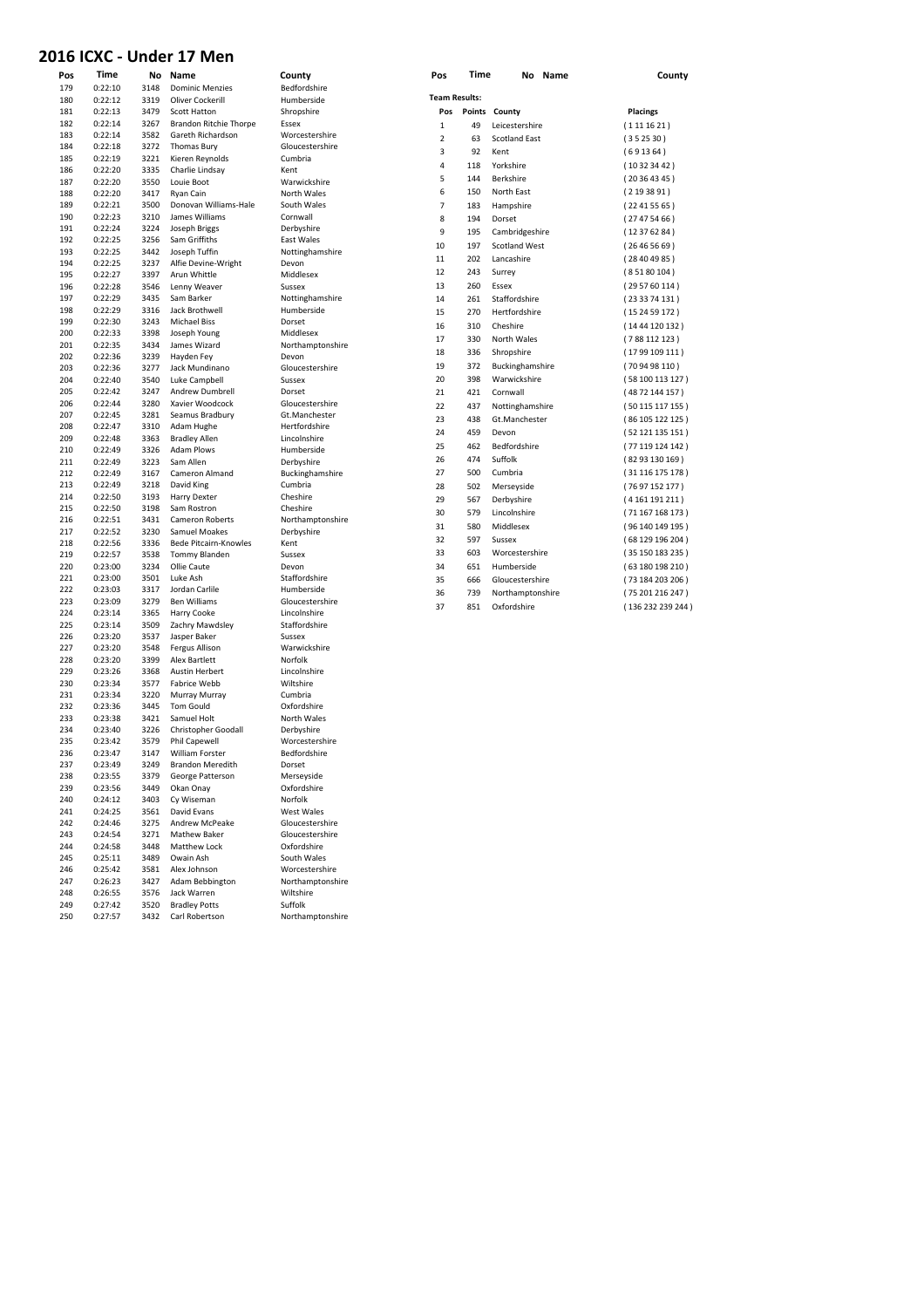#### **2016 ICXC - Under 17 Men**

| Pos        | Time               | No           | Name                       | County                      | Pos                      | Time   |                      | No Name | County           |
|------------|--------------------|--------------|----------------------------|-----------------------------|--------------------------|--------|----------------------|---------|------------------|
| 179        | 0:22:10            | 3148         | <b>Dominic Menzies</b>     | Bedfordshire                |                          |        |                      |         |                  |
| 180        | 0:22:12            | 3319         | <b>Oliver Cockerill</b>    | Humberside                  | <b>Team Results:</b>     |        |                      |         |                  |
| 181        | 0:22:13            | 3479         | Scott Hatton               | Shropshire                  | Pos                      | Points | County               |         | Placings         |
| 182        | 0:22:14            | 3267         | Brandon Ritchie Thorpe     | Essex                       | $\mathbf 1$              | 49     | Leicestershire       |         | (1111621)        |
| 183        | 0:22:14            | 3582         | Gareth Richardson          | Worcestershire              | $\overline{2}$           | 63     | <b>Scotland East</b> |         | (352530)         |
| 184        | 0:22:18            | 3272         | <b>Thomas Bury</b>         | Gloucestershire             |                          |        |                      |         |                  |
| 185        | 0:22:19            | 3221         | Kieren Reynolds            | Cumbria                     | 3                        | 92     | Kent                 |         | (691364)         |
| 186        | 0:22:20            | 3335         | Charlie Lindsay            | Kent                        | 4                        | 118    | Yorkshire            |         | (10323442)       |
| 187        | 0:22:20            | 3550         | Louie Boot                 | Warwickshire                | 5                        | 144    | Berkshire            |         | (20364345)       |
| 188        | 0:22:20            | 3417         | Ryan Cain                  | North Wales                 | 6                        | 150    | North East           |         | (2193891)        |
| 189        | 0:22:21            | 3500         | Donovan Williams-Hale      | South Wales                 | $\overline{\phantom{a}}$ | 183    | Hampshire            |         | (22415565)       |
| 190        | 0:22:23            | 3210         | James Williams             | Cornwall                    | 8                        | 194    | Dorset               |         | (27475466)       |
| 191        | 0:22:24            | 3224         | Joseph Briggs              | Derbyshire                  | 9                        | 195    | Cambridgeshire       |         | (12376284)       |
| 192        | 0:22:25            | 3256         | Sam Griffiths              | East Wales                  | 10                       | 197    | <b>Scotland West</b> |         | (26465669)       |
| 193        | 0:22:25            | 3442         | Joseph Tuffin              | Nottinghamshire             |                          |        |                      |         |                  |
| 194        | 0:22:25            | 3237         | Alfie Devine-Wright        | Devon                       | 11                       | 202    | Lancashire           |         | (28404985)       |
| 195        | 0:22:27            | 3397         | Arun Whittle               | Middlesex                   | 12                       | 243    | Surrey               |         | (85180104)       |
| 196        | 0:22:28            | 3546         | Lenny Weaver               | Sussex                      | 13                       | 260    | Essex                |         | (295760114)      |
| 197        | 0:22:29            | 3435         | Sam Barker                 | Nottinghamshire             | 14                       | 261    | Staffordshire        |         | (233374131)      |
| 198        | 0:22:29            | 3316         | Jack Brothwell             | Humberside                  | 15                       | 270    | Hertfordshire        |         | (152459172)      |
| 199        | 0:22:30            | 3243         | Michael Biss               | Dorset                      | 16                       | 310    | Cheshire             |         | (14 44 120 132)  |
| 200        | 0:22:33            | 3398         | Joseph Young               | Middlesex                   | 17                       | 330    | North Wales          |         | (788112123)      |
| 201        | 0:22:35            | 3434         | James Wizard               | Northamptonshire            | 18                       | 336    | Shropshire           |         | (1799109111)     |
| 202        | 0:22:36            | 3239         | Hayden Fey                 | Devon                       | 19                       |        |                      |         |                  |
| 203        | 0:22:36            | 3277         | Jack Mundinano             | Gloucestershire             |                          | 372    | Buckinghamshire      |         | (709498110)      |
| 204        | 0:22:40            | 3540         | Luke Campbell              | Sussex                      | 20                       | 398    | Warwickshire         |         | (58 100 113 127) |
| 205        | 0:22:42            | 3247         | Andrew Dumbrell            | Dorset                      | 21                       | 421    | Cornwall             |         | (48 72 144 157)  |
| 206        | 0:22:44            | 3280         | Xavier Woodcock            | Gloucestershire             | 22                       | 437    | Nottinghamshire      |         | (50 115 117 155) |
| 207        | 0:22:45            | 3281         | Seamus Bradbury            | Gt.Manchester               | 23                       | 438    | Gt.Manchester        |         | (86 105 122 125) |
| 208        | 0:22:47            | 3310         | Adam Hughe                 | Hertfordshire               | 24                       | 459    | Devon                |         | (52 121 135 151) |
| 209        | 0:22:48            | 3363         | <b>Bradley Allen</b>       | Lincolnshire                | 25                       | 462    | Bedfordshire         |         | (77 119 124 142) |
| 210        | 0:22:49            | 3326         | <b>Adam Plows</b>          | Humberside                  | 26                       | 474    | Suffolk              |         |                  |
| 211        | 0:22:49            | 3223         | Sam Allen                  | Derbyshire                  |                          |        |                      |         | (82 93 130 169)  |
| 212        | 0:22:49            | 3167         | Cameron Almand             | Buckinghamshire             | 27                       | 500    | Cumbria              |         | (31 116 175 178) |
| 213        | 0:22:49            | 3218         | David King                 | Cumbria                     | 28                       | 502    | Merseyside           |         | (76 97 152 177)  |
| 214        | 0:22:50            | 3193         | Harry Dexter               | Cheshire                    | 29                       | 567    | Derbyshire           |         | (4161191211)     |
| 215        | 0:22:50            | 3198         | Sam Rostron                | Cheshire                    | 30                       | 579    | Lincolnshire         |         | (71 167 168 173) |
| 216        | 0:22:51            | 3431         | Cameron Roberts            | Northamptonshire            | 31                       | 580    | Middlesex            |         | (96 140 149 195) |
| 217        | 0:22:52            | 3230         | Samuel Moakes              | Derbyshire                  | 32                       | 597    | Sussex               |         | (68 129 196 204) |
| 218        | 0:22:56            | 3336         | Bede Pitcairn-Knowles      | Kent                        | 33                       | 603    | Worcestershire       |         | (35 150 183 235) |
| 219        | 0:22:57            | 3538         | Tommy Blanden              | Sussex                      |                          |        |                      |         |                  |
| 220<br>221 | 0:23:00<br>0:23:00 | 3234<br>3501 | Ollie Caute                | Devon                       | 34                       | 651    | Humberside           |         | (63 180 198 210) |
| 222        | 0:23:03            | 3317         | Luke Ash<br>Jordan Carlile | Staffordshire<br>Humberside | 35                       | 666    | Gloucestershire      |         | (73 184 203 206) |
| 223        | 0:23:09            | 3279         | <b>Ben Williams</b>        | Gloucestershire             | 36                       | 739    | Northamptonshire     |         | (75 201 216 247) |
| 224        | 0:23:14            | 3365         | Harry Cooke                | Lincolnshire                | 37                       | 851    | Oxfordshire          |         | (136 232 239 244 |
| 225        | 0:23:14            | 3509         | Zachry Mawdsley            | Staffordshire               |                          |        |                      |         |                  |
| 226        | 0:23:20            | 3537         | Jasper Baker               | Sussex                      |                          |        |                      |         |                  |
| 227        | 0:23:20            | 3548         | Fergus Allison             | Warwickshire                |                          |        |                      |         |                  |
| 228        | 0:23:20            | 3399         | Alex Bartlett              | Norfolk                     |                          |        |                      |         |                  |
| 229        | 0:23:26            | 3368         | Austin Herbert             | Lincolnshire                |                          |        |                      |         |                  |
| 230        | 0:23:34            | 3577         | Fabrice Webb               | Wiltshire                   |                          |        |                      |         |                  |
| 231        | 0:23:34            | 3220         | Murray Murray              | Cumbria                     |                          |        |                      |         |                  |
| 232        | 0:23:36            | 3445         | Tom Gould                  | Oxfordshire                 |                          |        |                      |         |                  |
| 233        | 0:23:38            | 3421         | Samuel Holt                | North Wales                 |                          |        |                      |         |                  |
| 234        | 0:23:40            | 3226         | Christopher Goodall        | Derbyshire                  |                          |        |                      |         |                  |
| 235        | 0:23:42            | 3579         | Phil Capewell              | Worcestershire              |                          |        |                      |         |                  |
| 236        | 0:23:47            | 3147         | William Forster            | Bedfordshire                |                          |        |                      |         |                  |
| 237        | 0:23:49            | 3249         | <b>Brandon Meredith</b>    | Dorset                      |                          |        |                      |         |                  |
| 238        | 0:23:55            | 3379         | George Patterson           | Merseyside                  |                          |        |                      |         |                  |
| 239        | 0:23:56            | 3449         | Okan Onay                  | Oxfordshire                 |                          |        |                      |         |                  |
| 240        | 0:24:12            | 3403         | Cy Wiseman                 | Norfolk                     |                          |        |                      |         |                  |
| 241        | 0:24:25            | 3561         | David Evans                | West Wales                  |                          |        |                      |         |                  |
| 242        | 0:24:46            | 3275         | Andrew McPeake             | Gloucestershire             |                          |        |                      |         |                  |
| 243        | 0:24:54            | 3271         | Mathew Baker               | Gloucestershire             |                          |        |                      |         |                  |
| 244        | 0:24:58            | 3448         | Matthew Lock               | Oxfordshire                 |                          |        |                      |         |                  |
| 245        | 0:25:11            | 3489         | Owain Ash                  | South Wales                 |                          |        |                      |         |                  |
| 246        | 0:25:42            | 3581         | Alex Johnson               | Worcestershire              |                          |        |                      |         |                  |
| 247        | 0:26:23            | 3427         | Adam Bebbington            | Northamptonshire            |                          |        |                      |         |                  |
| 248        | 0:26:55            | 3576         | Jack Warren                | Wiltshire                   |                          |        |                      |         |                  |
| 249        | 0:27:42            | 3520         | <b>Bradley Potts</b>       | Suffolk                     |                          |        |                      |         |                  |
| 250        | 0:27:57            | 3432         | Carl Robertson             | Northamptonshire            |                          |        |                      |         |                  |

| County                            |
|-----------------------------------|
| Bedfordshire                      |
| Humberside                        |
| Shropshire                        |
| Essex                             |
| Worcestershire<br>Gloucestershire |
| Cumbria                           |
| Kent                              |
| Warwickshire                      |
| North Wales                       |
| South Wales                       |
| Cornwall                          |
| Derbyshire                        |
| East Wales                        |
| Nottinghamshire                   |
| Devon                             |
| Middlesex                         |
| Sussex                            |
| Nottinghamshire<br>Humberside     |
| Dorset                            |
| Middlesex                         |
| Northamptonshire                  |
| Devon                             |
| Gloucestershire                   |
| Sussex                            |
| Dorset                            |
| Gloucestershire                   |
| Gt.Manchester                     |
| Hertfordshire                     |
| Lincolnshire<br>Humberside        |
| Derbyshire                        |
| Buckinghamshire                   |
| Cumbria                           |
| Cheshire                          |
| Cheshire                          |
| Northamptonshire                  |
| Derbyshire                        |
| Kent                              |
| Sussex                            |
| Devon                             |
| Staffordshire                     |
| Humberside<br>Gloucestershire     |
| Lincolnshire                      |
| Staffordshire                     |
| Sussex                            |
| Warwickshire                      |
| Norfolk                           |
| Lincolnshire                      |
| Wiltshire                         |
| Cumbria                           |
| Oxfordshire                       |
| North Wales                       |
| Derbyshire                        |
| Worcestershire                    |
| Bedfordshire<br>Dorset            |
| Merseyside                        |
| Oxfordshire                       |
| Norfolk                           |
| West Wales                        |
| Gloucestershire                   |
| Gloucestershire                   |
| Oxfordshire                       |
| South Wales                       |

| Pos<br>Time          |               | No<br>Name           | County            |
|----------------------|---------------|----------------------|-------------------|
| <b>Team Results:</b> |               |                      |                   |
| Pos                  | <b>Points</b> | County               | <b>Placings</b>   |
| $\mathbf{1}$         | 49            | Leicestershire       | (1111621)         |
| $\overline{2}$       | 63            | Scotland Fast        | (352530)          |
| 3                    | 92            | Kent                 | (691364)          |
| 4                    | 118           | Yorkshire            | (10323442)        |
| 5                    | 144           | <b>Berkshire</b>     | (20364345)        |
| 6                    | 150           | North East           | (2193891)         |
| 7                    | 183           | Hampshire            | (22415565)        |
| 8                    | 194           | Dorset               | (27475466)        |
| 9                    | 195           | Cambridgeshire       | (12376284)        |
| 10                   | 197           | <b>Scotland West</b> | (26465669)        |
| 11                   | 202           | Lancashire           | (28404985)        |
| 12                   | 243           | Surrey               | (85180104)        |
| 13                   | 260           | <b>Fssex</b>         | (295760114)       |
| 14                   | 261           | Staffordshire        | (23 33 74 131)    |
| 15                   | 270           | Hertfordshire        | (15 24 59 172)    |
| 16                   | 310           | Cheshire             | (14 44 120 132)   |
| 17                   | 330           | North Wales          | (788112123)       |
| 18                   | 336           | Shropshire           | (17 99 109 111)   |
| 19                   | 372           | Buckinghamshire      | (70 94 98 110)    |
| 20                   | 398           | Warwickshire         | (58 100 113 127)  |
| 21                   | 421           | Cornwall             | (48 72 144 157)   |
| 22                   | 437           | Nottinghamshire      | (50 115 117 155)  |
| 23                   | 438           | Gt.Manchester        | (86 105 122 125)  |
| 24                   | 459           | Devon                | (52 121 135 151)  |
| 25                   | 462           | <b>Bedfordshire</b>  | (77 119 124 142)  |
| 26                   | 474           | Suffolk              | (82 93 130 169)   |
| 27                   | 500           | Cumbria              | (31 116 175 178)  |
| 28                   | 502           | Merseyside           | (76 97 152 177)   |
| 29                   | 567           | Derbyshire           | (4 161 191 211)   |
| 30                   | 579           | Lincolnshire         | (71 167 168 173)  |
| 31                   | 580           | Middlesex            | (96 140 149 195)  |
| 32                   | 597           | Sussex               | (68129196204)     |
| 33                   | 603           | Worcestershire       | (35 150 183 235)  |
| 34                   | 651           | Humberside           | (63 180 198 210)  |
| 35                   | 666           | Gloucestershire      | (73 184 203 206)  |
| 36                   | 739           | Northamptonshire     | (75 201 216 247)  |
| 37                   | 851           | Oxfordshire          | (136 232 239 244) |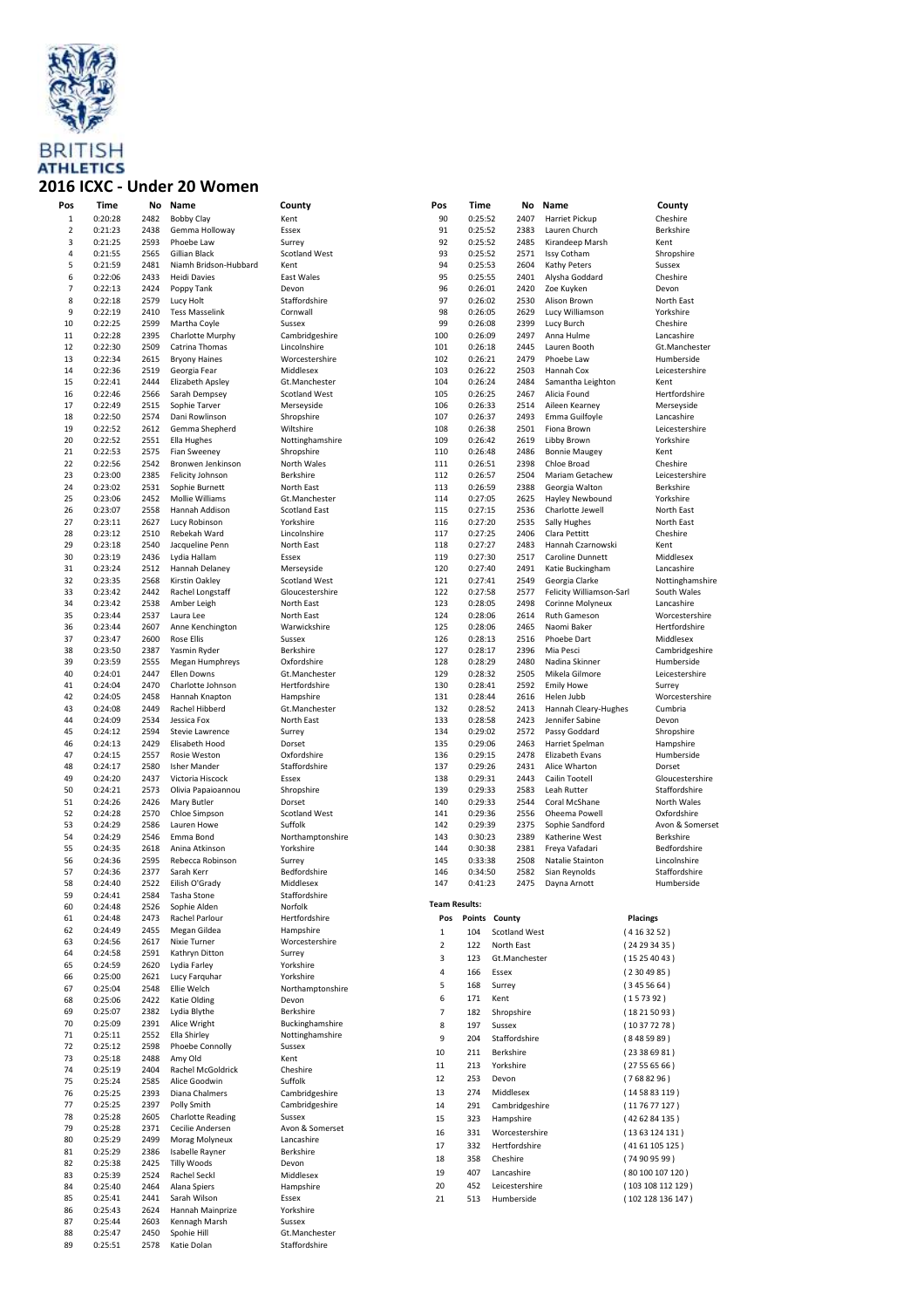

### **2016 ICXC - Under 20 Women**

| Pos            | Time               | No           | Name                                  | County                    | Pos                      | Time               | No                   | Name                           |                 | County                       |
|----------------|--------------------|--------------|---------------------------------------|---------------------------|--------------------------|--------------------|----------------------|--------------------------------|-----------------|------------------------------|
| $\mathbf{1}$   | 0:20:28            | 2482         | <b>Bobby Clay</b>                     | Kent                      | 90                       | 0:25:52            | 2407                 | Harriet Pickup                 |                 | Cheshire                     |
| 2              | 0:21:23            | 2438         | Gemma Holloway                        | Essex                     | 91                       | 0:25:52            | 2383                 | Lauren Church                  |                 | Berkshire                    |
| 3              | 0:21:25            | 2593         | Phoebe Law                            | Surrey                    | 92                       | 0:25:52            | 2485                 | Kirandeep Marsh                |                 | Kent                         |
| $\overline{4}$ | 0:21:55            | 2565         | Gillian Black                         | Scotland West             | 93                       | 0:25:52            | 2571                 | Issy Cotham                    |                 | Shropshire                   |
| 5              | 0:21:59            | 2481         | Niamh Bridson-Hubbard                 | Kent                      | 94                       | 0:25:53            | 2604                 | Kathy Peters                   |                 | Sussex                       |
| 6              | 0:22:06            | 2433         | <b>Heidi Davies</b>                   | East Wales                | 95                       | 0:25:55            | 2401                 | Alysha Goddard                 |                 | Cheshire                     |
| $\overline{7}$ | 0:22:13<br>0:22:18 | 2424         | Poppy Tank                            | Devon                     | 96                       | 0:26:01            | 2420                 | Zoe Kuyken                     |                 | Devon                        |
| 8<br>9         | 0:22:19            | 2579<br>2410 | Lucy Holt                             | Staffordshire<br>Cornwall | 97                       | 0:26:02<br>0:26:05 | 2530<br>2629         | Alison Brown                   |                 | North East<br>Yorkshire      |
| 10             | 0:22:25            | 2599         | <b>Tess Masselink</b><br>Martha Coyle | Sussex                    | 98<br>99                 | 0:26:08            | 2399                 | Lucy Williamson<br>Lucy Burch  |                 | Cheshire                     |
| 11             | 0:22:28            | 2395         | Charlotte Murphy                      | Cambridgeshire            | 100                      | 0:26:09            | 2497                 | Anna Hulme                     |                 | Lancashire                   |
| 12             | 0:22:30            | 2509         | Catrina Thomas                        | Lincolnshire              | 101                      | 0:26:18            | 2445                 | Lauren Booth                   |                 | Gt.Manchester                |
| 13             | 0:22:34            | 2615         | <b>Bryony Haines</b>                  | Worcestershire            | 102                      | 0:26:21            | 2479                 | Phoebe Law                     |                 | Humberside                   |
| 14             | 0:22:36            | 2519         | Georgia Fear                          | Middlesex                 | 103                      | 0:26:22            | 2503                 | Hannah Cox                     |                 | Leicestershire               |
| 15             | 0:22:41            | 2444         | Elizabeth Apsley                      | Gt.Manchester             | 104                      | 0:26:24            | 2484                 | Samantha Leighton              |                 | Kent                         |
| 16             | 0:22:46            | 2566         | Sarah Dempsey                         | Scotland West             | 105                      | 0:26:25            | 2467                 | Alicia Found                   |                 | Hertfordshire                |
| 17             | 0:22:49            | 2515         | Sophie Tarver                         | Merseyside                | 106                      | 0:26:33            | 2514                 | Aileen Kearney                 |                 | Merseyside                   |
| 18             | 0:22:50            | 2574         | Dani Rowlinson                        | Shropshire                | 107                      | 0:26:37            | 2493                 | Emma Guilfoyle                 |                 | Lancashire                   |
| 19             | 0:22:52            | 2612         | Gemma Shepherd                        | Wiltshire                 | 108                      | 0:26:38            | 2501                 | Fiona Brown                    |                 | Leicestershire               |
| 20             | 0:22:52            | 2551         | Ella Hughes                           | Nottinghamshire           | 109                      | 0:26:42            | 2619                 | Libby Brown                    |                 | Yorkshire                    |
| 21             | 0:22:53            | 2575         | Fian Sweeney                          | Shropshire                | 110                      | 0:26:48            | 2486                 | <b>Bonnie Maugey</b>           |                 | Kent                         |
| 22             | 0:22:56            | 2542         | Bronwen Jenkinson                     | North Wales               | 111                      | 0:26:51            | 2398                 | Chloe Broad                    |                 | Cheshire                     |
| 23             | 0:23:00            | 2385         | Felicity Johnson                      | Berkshire                 | 112                      | 0:26:57            | 2504                 | Mariam Getachew                |                 | Leicestershire               |
| 24             | 0:23:02            | 2531         | Sophie Burnett                        | North East                | 113                      | 0:26:59            | 2388                 | Georgia Walton                 |                 | Berkshire                    |
| 25             | 0:23:06            | 2452         | Mollie Williams                       | Gt.Manchester             | 114                      | 0:27:05            | 2625                 | Hayley Newbound                |                 | Yorkshire                    |
| 26<br>27       | 0:23:07            | 2558         | Hannah Addison                        | <b>Scotland East</b>      | 115                      | 0:27:15            | 2536                 | Charlotte Jewell               |                 | North East                   |
| 28             | 0:23:11<br>0:23:12 | 2627<br>2510 | Lucy Robinson<br>Rebekah Ward         | Yorkshire<br>Lincolnshire | 116<br>117               | 0:27:20<br>0:27:25 | 2535<br>2406         | Sally Hughes<br>Clara Pettitt  |                 | North East                   |
| 29             | 0:23:18            | 2540         | Jacqueline Penn                       | North East                | 118                      | 0:27:27            | 2483                 | Hannah Czarnowski              |                 | Cheshire<br>Kent             |
| 30             | 0:23:19            | 2436         | Lydia Hallam                          | Essex                     | 119                      | 0:27:30            | 2517                 | Caroline Dunnett               |                 | Middlesex                    |
| 31             | 0:23:24            | 2512         | Hannah Delaney                        | Merseyside                | 120                      | 0:27:40            | 2491                 | Katie Buckingham               |                 | Lancashire                   |
| 32             | 0:23:35            | 2568         | Kirstin Oakley                        | Scotland West             | 121                      | 0:27:41            | 2549                 | Georgia Clarke                 |                 | Nottinghamshire              |
| 33             | 0:23:42            | 2442         | Rachel Longstaff                      | Gloucestershire           | 122                      | 0:27:58            | 2577                 | Felicity Williamson-Sarl       |                 | South Wales                  |
| 34             | 0:23:42            | 2538         | Amber Leigh                           | North East                | 123                      | 0:28:05            | 2498                 | Corinne Molyneux               |                 | Lancashire                   |
| 35             | 0:23:44            | 2537         | Laura Lee                             | North East                | 124                      | 0:28:06            | 2614                 | <b>Ruth Gameson</b>            |                 | Worcestershire               |
| 36             | 0:23:44            | 2607         | Anne Kenchington                      | Warwickshire              | 125                      | 0:28:06            | 2465                 | Naomi Baker                    |                 | Hertfordshire                |
| 37             | 0:23:47            | 2600         | <b>Rose Ellis</b>                     | Sussex                    | 126                      | 0:28:13            | 2516                 | Phoebe Dart                    |                 | Middlesex                    |
| 38             | 0:23:50            | 2387         | Yasmin Ryder                          | Berkshire                 | 127                      | 0:28:17            | 2396                 | Mia Pesci                      |                 | Cambridgeshire               |
| 39             | 0:23:59            | 2555         | Megan Humphreys                       | Oxfordshire               | 128                      | 0:28:29            | 2480                 | Nadina Skinner                 |                 | Humberside                   |
| 40             | 0:24:01            | 2447         | <b>Ellen Downs</b>                    | Gt.Manchester             | 129                      | 0:28:32            | 2505                 | Mikela Gilmore                 |                 | Leicestershire               |
| 41             | 0:24:04            | 2470         | Charlotte Johnson                     | Hertfordshire             | 130                      | 0:28:41            | 2592                 | <b>Emily Howe</b>              |                 | Surrey                       |
| 42             | 0:24:05            | 2458         | Hannah Knapton                        | Hampshire                 | 131                      | 0:28:44            | 2616                 | Helen Jubb                     |                 | Worcestershire               |
| 43             | 0:24:08            | 2449         | Rachel Hibberd                        | Gt.Manchester             | 132                      | 0:28:52            | 2413                 | Hannah Cleary-Hughes           |                 | Cumbria                      |
| 44             | 0:24:09            | 2534         | Jessica Fox                           | North East                | 133                      | 0:28:58            | 2423                 | Jennifer Sabine                |                 | Devon                        |
| 45             | 0:24:12            | 2594         | Stevie Lawrence                       | Surrey                    | 134                      | 0:29:02            | 2572                 | Passy Goddard                  |                 | Shropshire                   |
| 46             | 0:24:13            | 2429         | Elisabeth Hood                        | Dorset                    | 135                      | 0:29:06            | 2463                 | Harriet Spelman                |                 | Hampshire                    |
| 47             | 0:24:15            | 2557         | Rosie Weston                          | Oxfordshire               | 136                      | 0:29:15            | 2478                 | Elizabeth Evans                |                 | Humberside                   |
| 48             | 0:24:17            | 2580         | <b>Isher Mander</b>                   | Staffordshire             | 137                      | 0:29:26            | 2431                 | Alice Wharton                  |                 | Dorset                       |
| 49             | 0:24:20            | 2437         | Victoria Hiscock                      | Essex                     | 138                      | 0:29:31            | 2443                 | Cailin Tootell                 |                 | Gloucestershire              |
| 50             | 0:24:21            | 2573         | Olivia Papaioannou                    | Shropshire<br>Dorset      | 139                      | 0:29:33            | 2583                 | Leah Rutter                    |                 | Staffordshire<br>North Wales |
| 51<br>52       | 0:24:26<br>0:24:28 | 2426<br>2570 | Mary Butler<br>Chloe Simpson          | Scotland West             | 140<br>141               | 0:29:33<br>0:29:36 | 2544<br>2556         | Coral McShane<br>Oheema Powell |                 | Oxfordshire                  |
| 53             | 0:24:29            | 2586         | Lauren Howe                           | Suffolk                   | 142                      | 0:29:39            | 2375                 | Sophie Sandford                |                 | Avon & Somerset              |
| 54             | 0:24:29            | 2546         | Emma Bond                             | Northamptonshire          | 143                      | 0:30:23            | 2389                 | Katherine West                 |                 | Berkshire                    |
| 55             | 0:24:35            | 2618         | Anina Atkinson                        | Yorkshire                 | 144                      | 0:30:38            | 2381                 | Freya Vafadari                 |                 | Bedfordshire                 |
| 56             | 0:24:36            | 2595         | Rebecca Robinson                      | Surrey                    | 145                      | 0:33:38            | 2508                 | Natalie Stainton               |                 | Lincolnshire                 |
| 57             | 0:24:36            | 2377         | Sarah Kerr                            | Bedfordshire              | 146                      | 0:34:50            | 2582                 | Sian Reynolds                  |                 | Staffordshire                |
| 58             | 0:24:40            | 2522         | Eilish O'Grady                        | Middlesex                 | 147                      | 0:41:23            | 2475                 | Dayna Arnott                   |                 | Humberside                   |
| 59             | 0:24:41            | 2584         | Tasha Stone                           | Staffordshire             |                          |                    |                      |                                |                 |                              |
| 60             | 0:24:48            | 2526         | Sophie Alden                          | Norfolk                   | <b>Team Results:</b>     |                    |                      |                                |                 |                              |
| 61             | 0:24:48            | 2473         | Rachel Parlour                        | Hertfordshire             | Pos                      | Points             | County               |                                | <b>Placings</b> |                              |
| 62             | 0:24:49            | 2455         | Megan Gildea                          | Hampshire                 | $\mathbf{1}$             | 104                | <b>Scotland West</b> |                                | (4163252)       |                              |
| 63             | 0:24:56            | 2617         | Nixie Turner                          | Worcestershire            | $\overline{\mathbf{2}}$  | 122                | North East           |                                | (24293435)      |                              |
| 64             | 0:24:58            | 2591         | Kathryn Ditton                        | Surrey                    | 3                        | 123                | Gt.Manchester        |                                | (15254043)      |                              |
| 65             | 0:24:59            | 2620         | Lydia Farley                          | Yorkshire                 | 4                        | 166                | Essex                |                                | (2304985)       |                              |
| 66             | 0:25:00            | 2621         | Lucy Farquhar                         | Yorkshire                 | 5                        | 168                | Surrey               |                                | (3455664)       |                              |
| 67             | 0:25:04            | 2548         | Ellie Welch                           | Northamptonshire          |                          |                    |                      |                                |                 |                              |
| 68             | 0:25:06            | 2422         | Katie Olding                          | Devon                     | 6                        | 171                | Kent                 |                                | (157392)        |                              |
| 69             | 0:25:07            | 2382         | Lydia Blythe                          | Berkshire                 | $\overline{\phantom{a}}$ | 182                | Shropshire           |                                | (18215093)      |                              |
| 70             | 0:25:09            | 2391         | Alice Wright                          | Buckinghamshire           | 8                        | 197                | Sussex               |                                | (10377278)      |                              |
| 71             | 0:25:11            | 2552         | Ella Shirley                          | Nottinghamshire           | 9                        | 204                | Staffordshire        |                                | (8485989)       |                              |
| 72             | 0:25:12            | 2598<br>2488 | Phoebe Connolly                       | Sussex<br>Kent            | 10                       | 211                | Berkshire            |                                | (23386981)      |                              |
| 73<br>74       | 0:25:18<br>0:25:19 | 2404         | Amy Old<br>Rachel McGoldrick          | Cheshire                  | 11                       | 213                | Yorkshire            |                                | (2755656)       |                              |
| 75             | 0:25:24            | 2585         | Alice Goodwin                         | Suffolk                   | 12                       | 253                | Devon                |                                | (7688296)       |                              |
| 76             | 0:25:25            | 2393         | Diana Chalmers                        | Cambridgeshire            | 13                       | 274                | Middlesex            |                                | (145883119)     |                              |
| 77             | 0:25:25            | 2397         | Polly Smith                           | Cambridgeshire            | 14                       | 291                | Cambridgeshire       |                                | (117677127)     |                              |
| 78             | 0:25:28            | 2605         | <b>Charlotte Reading</b>              | Sussex                    |                          |                    |                      |                                |                 |                              |
| 79             | 0:25:28            | 2371         | Cecilie Andersen                      | Avon & Somerset           | 15                       | 323                | Hampshire            |                                | (42 62 84 135)  |                              |
| 80             | 0:25:29            | 2499         | Morag Molyneux                        | Lancashire                | 16                       | 331                | Worcestershire       |                                |                 | (1363124131)                 |
| 81             | 0:25:29            | 2386         | Isabelle Rayner                       | Berkshire                 | 17                       | 332                | Hertfordshire        |                                |                 | (4161105125)                 |
| 82             | 0:25:38            | 2425         | <b>Tilly Woods</b>                    | Devon                     | 18                       | 358                | Cheshire             |                                | (74 90 95 99)   |                              |
| 83             | 0:25:39            | 2524         | Rachel Seckl                          | Middlesex                 | 19                       | 407                | Lancashire           |                                |                 | (80100107120)                |
| 84             | 0:25:40            | 2464         | Alana Spiers                          | Hampshire                 | 20                       | 452                | Leicestershire       |                                |                 | (103 108 112 129)            |
| 85             | 0:25:41            | 2441         | Sarah Wilson                          | Essex                     | 21                       | 513                | Humberside           |                                |                 | (102 128 136 147)            |
| 86             | 0:25:43            | 2624         | Hannah Mainprize                      | Yorkshire                 |                          |                    |                      |                                |                 |                              |
| 87             | 0:25:44            | 2603         | Kennagh Marsh                         | Sussex                    |                          |                    |                      |                                |                 |                              |
| 88             | 0:25:47            | 2450         | Spohie Hill                           | Gt.Manchester             |                          |                    |                      |                                |                 |                              |
| 89             | 0:25:51            | 2578         | Katie Dolan                           | Staffordshire             |                          |                    |                      |                                |                 |                              |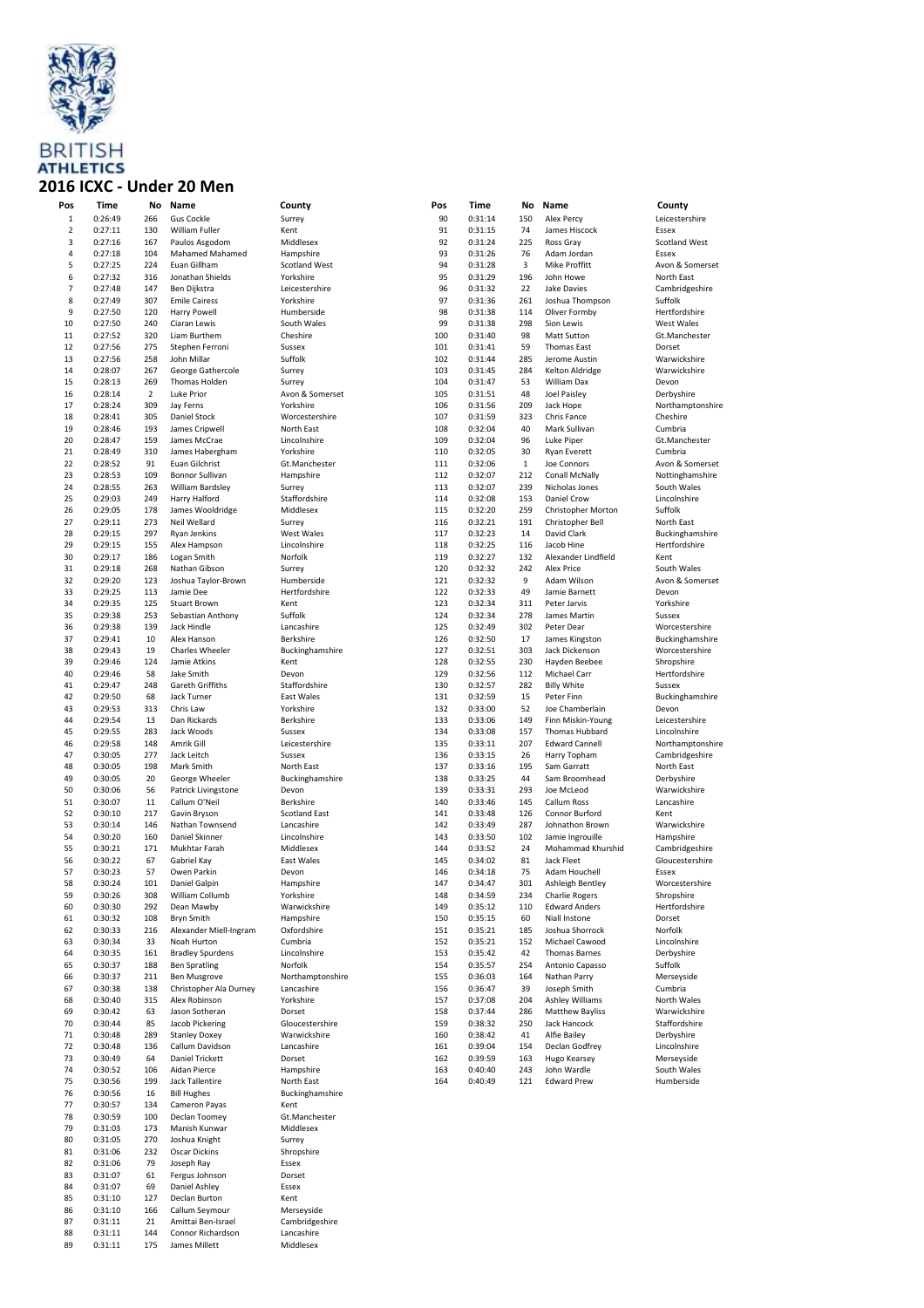

#### **2016 ICXC - Under 20 Men**

| Pos            | Time    | No             | Name                    | County               | Pos | Time    | No           | Name                   | County               |
|----------------|---------|----------------|-------------------------|----------------------|-----|---------|--------------|------------------------|----------------------|
| $\mathbf 1$    | 0:26:49 | 266            | <b>Gus Cockle</b>       | Surrey               | 90  | 0:31:14 | 150          | Alex Percy             | Leicestershire       |
| $\overline{2}$ | 0:27:11 | 130            | William Fuller          | Kent                 | 91  | 0:31:15 | 74           | James Hiscock          | Essex                |
|                |         |                |                         |                      |     |         |              |                        |                      |
| 3              | 0:27:16 | 167            | Paulos Asgodom          | Middlesex            | 92  | 0:31:24 | 225          | Ross Gray              | <b>Scotland West</b> |
| 4              | 0:27:18 | 104            | Mahamed Mahamed         | Hampshire            | 93  | 0:31:26 | 76           | Adam Jordan            | Essex                |
| 5              | 0:27:25 | 224            | Euan Gillham            | <b>Scotland West</b> | 94  | 0:31:28 | 3            | Mike Proffitt          | Avon & Somerset      |
| 6              | 0:27:32 | 316            | Jonathan Shields        | Yorkshire            | 95  | 0:31:29 | 196          | John Howe              | North East           |
| $\overline{7}$ | 0:27:48 | 147            | Ben Dijkstra            | Leicestershire       | 96  | 0:31:32 | 22           | <b>Jake Davies</b>     | Cambridgeshire       |
|                |         |                |                         | Yorkshire            |     |         |              |                        |                      |
| 8              | 0:27:49 | 307            | <b>Emile Cairess</b>    |                      | 97  | 0:31:36 | 261          | Joshua Thompson        | Suffolk              |
| 9              | 0:27:50 | 120            | Harry Powell            | Humberside           | 98  | 0:31:38 | 114          | Oliver Formby          | Hertfordshire        |
| 10             | 0:27:50 | 240            | Ciaran Lewis            | South Wales          | 99  | 0:31:38 | 298          | Sion Lewis             | West Wales           |
| $11\,$         | 0:27:52 | 320            | Liam Burthem            | Cheshire             | 100 | 0:31:40 | 98           | <b>Matt Sutton</b>     | Gt.Manchester        |
| 12             |         | 275            | Stephen Ferroni         |                      | 101 |         | 59           |                        | Dorset               |
|                | 0:27:56 |                |                         | Sussex               |     | 0:31:41 |              | <b>Thomas East</b>     |                      |
| 13             | 0:27:56 | 258            | John Millar             | Suffolk              | 102 | 0:31:44 | 285          | Jerome Austin          | Warwickshire         |
| 14             | 0:28:07 | 267            | George Gathercole       | Surrey               | 103 | 0:31:45 | 284          | Kelton Aldridge        | Warwickshire         |
| 15             | 0:28:13 | 269            | Thomas Holden           | Surrey               | 104 | 0:31:47 | 53           | William Dax            | Devon                |
| 16             | 0:28:14 | $\overline{2}$ | Luke Prior              | Avon & Somerset      | 105 | 0:31:51 | 48           | Joel Paisley           | Derbyshire           |
|                |         |                |                         |                      |     |         |              |                        |                      |
| 17             | 0:28:24 | 309            | Jay Ferns               | Yorkshire            | 106 | 0:31:56 | 209          | Jack Hope              | Northamptonshire     |
| 18             | 0:28:41 | 305            | Daniel Stock            | Worcestershire       | 107 | 0:31:59 | 323          | Chris Fance            | Cheshire             |
| 19             | 0:28:46 | 193            | James Cripwell          | North East           | 108 | 0:32:04 | 40           | Mark Sullivan          | Cumbria              |
| 20             | 0:28:47 | 159            | James McCrae            | Lincolnshire         | 109 | 0:32:04 | 96           | Luke Piper             | Gt.Manchester        |
| 21             | 0:28:49 | 310            | James Habergham         | Yorkshire            | 110 | 0:32:05 | 30           | Ryan Everett           | Cumbria              |
|                |         |                |                         |                      |     |         |              |                        |                      |
| 22             | 0:28:52 | 91             | Euan Gilchrist          | Gt.Manchester        | 111 | 0:32:06 | $\mathbf{1}$ | Joe Connors            | Avon & Somerset      |
| 23             | 0:28:53 | 109            | Bonnor Sullivan         | Hampshire            | 112 | 0:32:07 | 212          | <b>Conall McNally</b>  | Nottinghamshire      |
| 24             | 0:28:55 | 263            | <b>William Bardsley</b> | Surrey               | 113 | 0:32:07 | 239          | Nicholas Jones         | South Wales          |
| 25             | 0:29:03 | 249            | Harry Halford           | Staffordshire        | 114 | 0:32:08 | 153          | Daniel Crow            | Lincolnshire         |
|                |         |                |                         |                      |     |         |              |                        |                      |
| 26             | 0:29:05 | 178            | James Wooldridge        | Middlesex            | 115 | 0:32:20 | 259          | Christopher Morton     | Suffolk              |
| 27             | 0:29:11 | 273            | Neil Wellard            | Surrey               | 116 | 0:32:21 | 191          | Christopher Bell       | North East           |
| 28             | 0:29:15 | 297            | Ryan Jenkins            | West Wales           | 117 | 0:32:23 | 14           | David Clark            | Buckinghamshire      |
| 29             | 0:29:15 | 155            | Alex Hampson            | Lincolnshire         | 118 | 0:32:25 | 116          | Jacob Hine             | Hertfordshire        |
|                |         |                |                         |                      |     |         |              |                        |                      |
| 30             | 0:29:17 | 186            | Logan Smith             | Norfolk              | 119 | 0:32:27 | 132          | Alexander Lindfield    | Kent                 |
| 31             | 0:29:18 | 268            | Nathan Gibson           | Surrey               | 120 | 0:32:32 | 242          | <b>Alex Price</b>      | South Wales          |
| 32             | 0:29:20 | 123            | Joshua Taylor-Brown     | Humberside           | 121 | 0:32:32 | 9            | Adam Wilson            | Avon & Somerset      |
| 33             | 0:29:25 | 113            | Jamie Dee               | Hertfordshire        | 122 | 0:32:33 | 49           | Jamie Barnett          | Devon                |
|                |         |                |                         |                      |     |         |              |                        |                      |
| 34             | 0:29:35 | 125            | <b>Stuart Brown</b>     | Kent                 | 123 | 0:32:34 | 311          | Peter Jarvis           | Yorkshire            |
| 35             | 0:29:38 | 253            | Sebastian Anthony       | Suffolk              | 124 | 0:32:34 | 278          | James Martin           | Sussex               |
| 36             | 0:29:38 | 139            | Jack Hindle             | Lancashire           | 125 | 0:32:49 | 302          | Peter Dear             | Worcestershire       |
| 37             | 0:29:41 | 10             | Alex Hanson             | Berkshire            | 126 | 0:32:50 | 17           | James Kingston         | Buckinghamshire      |
|                |         |                |                         |                      |     |         |              | Jack Dickenson         |                      |
| 38             | 0:29:43 | 19             | Charles Wheeler         | Buckinghamshire      | 127 | 0:32:51 | 303          |                        | Worcestershire       |
| 39             | 0:29:46 | 124            | Jamie Atkins            | Kent                 | 128 | 0:32:55 | 230          | Hayden Beebee          | Shropshire           |
| 40             | 0:29:46 | 58             | Jake Smith              | Devon                | 129 | 0:32:56 | 112          | Michael Carr           | Hertfordshire        |
| 41             | 0:29:47 | 248            | Gareth Griffiths        | Staffordshire        | 130 | 0:32:57 | 282          | <b>Billy White</b>     | Sussex               |
|                |         |                |                         |                      |     |         |              |                        |                      |
| 42             | 0:29:50 | 68             | Jack Turner             | East Wales           | 131 | 0:32:59 | 15           | Peter Finn             | Buckinghamshire      |
| 43             | 0:29:53 | 313            | Chris Law               | Yorkshire            | 132 | 0:33:00 | 52           | Joe Chamberlain        | Devon                |
| 44             | 0:29:54 | 13             | Dan Rickards            | Berkshire            | 133 | 0:33:06 | 149          | Finn Miskin-Young      | Leicestershire       |
| 45             | 0:29:55 | 283            | Jack Woods              | Sussex               | 134 | 0:33:08 | 157          | Thomas Hubbard         | Lincolnshire         |
| 46             | 0:29:58 | 148            | Amrik Gill              | Leicestershire       | 135 | 0:33:11 | 207          | <b>Edward Cannell</b>  | Northamptonshire     |
|                |         |                |                         |                      |     |         |              |                        |                      |
| 47             | 0:30:05 | 277            | Jack Leitch             | Sussex               | 136 | 0:33:15 | 26           | Harry Topham           | Cambridgeshire       |
| 48             | 0:30:05 | 198            | Mark Smith              | North East           | 137 | 0:33:16 | 195          | Sam Garratt            | North East           |
| 49             | 0:30:05 | 20             | George Wheeler          | Buckinghamshire      | 138 | 0:33:25 | 44           | Sam Broomhead          | Derbyshire           |
| 50             | 0:30:06 | 56             | Patrick Livingstone     | Devon                | 139 | 0:33:31 | 293          | Joe McLeod             | Warwickshire         |
|                |         |                |                         |                      |     |         |              |                        |                      |
| 51             | 0:30:07 | 11             | Callum O'Neil           | Berkshire            | 140 | 0:33:46 | 145          | Callum Ross            | Lancashire           |
| 52             | 0:30:10 | 217            | Gavin Bryson            | <b>Scotland East</b> | 141 | 0:33:48 | 126          | Connor Burford         | Kent                 |
| 53             | 0:30:14 | 146            | Nathan Townsend         | Lancashire           | 142 | 0:33:49 | 287          | Johnathon Brown        | Warwickshire         |
| 54             | 0:30:20 | 160            | Daniel Skinner          | Lincolnshire         | 143 | 0:33:50 | 102          | Jamie Ingrouille       | Hampshire            |
| 55             | 0:30:21 | 171            | Mukhtar Farah           | Middlesex            | 144 | 0:33:52 | 24           | Mohammad Khurshid      |                      |
|                |         |                |                         |                      |     |         |              |                        | Cambridgeshire       |
| 56             | 0:30:22 | 67             | Gabriel Kay             | East Wales           | 145 | 0:34:02 | 81           | Jack Fleet             | Gloucestershire      |
| 57             | 0:30:23 | 57             | Owen Parkin             | Devon                | 146 | 0:34:18 | 75           | Adam Houchell          | Essex                |
| 58             | 0:30:24 | 101            | Daniel Galpin           | Hampshire            | 147 | 0:34:47 | 301          | Ashleigh Bentley       | Worcestershire       |
| 59             | 0:30:26 | 308            | William Collumb         | Yorkshire            | 148 | 0:34:59 | 234          | <b>Charlie Rogers</b>  | Shropshire           |
|                |         |                |                         |                      |     |         |              |                        |                      |
| 60             | 0:30:30 | 292            | Dean Mawby              | Warwickshire         | 149 | 0:35:12 | 110          | <b>Edward Anders</b>   | Hertfordshire        |
| 61             | 0:30:32 | 108            | <b>Bryn Smith</b>       | Hampshire            | 150 | 0:35:15 | 60           | Niall Instone          | Dorset               |
| 62             | 0:30:33 | 216            | Alexander Miell-Ingram  | Oxfordshire          | 151 | 0:35:21 | 185          | Joshua Shorrock        | Norfolk              |
| 63             | 0:30:34 | 33             | Noah Hurton             | Cumbria              | 152 | 0:35:21 | 152          | Michael Cawood         | Lincolnshire         |
| 64             | 0:30:35 | 161            | <b>Bradley Spurdens</b> | Lincolnshire         | 153 | 0:35:42 | 42           | Thomas Barnes          | Derbyshire           |
|                |         |                |                         |                      |     |         |              |                        |                      |
| 65             | 0:30:37 | 188            | <b>Ben Spratling</b>    | Norfolk              | 154 | 0:35:57 | 254          | Antonio Capasso        | Suffolk              |
| 66             | 0:30:37 | 211            | <b>Ben Musgrove</b>     | Northamptonshire     | 155 | 0:36:03 | 164          | Nathan Parry           | Merseyside           |
| 67             | 0:30:38 | 138            | Christopher Ala Durney  | Lancashire           | 156 | 0:36:47 | 39           | Joseph Smith           | Cumbria              |
| 68             | 0:30:40 | 315            | Alex Robinson           | Yorkshire            | 157 | 0:37:08 | 204          | Ashley Williams        | North Wales          |
|                |         |                | Jason Sotheran          |                      |     |         |              |                        | Warwickshire         |
| 69             | 0:30:42 | 63             |                         | Dorset               | 158 | 0:37:44 | 286          | <b>Matthew Bayliss</b> |                      |
| 70             | 0:30:44 | 85             | Jacob Pickering         | Gloucestershire      | 159 | 0:38:32 | 250          | Jack Hancock           | Staffordshire        |
| 71             | 0:30:48 | 289            | <b>Stanley Doxey</b>    | Warwickshire         | 160 | 0:38:42 | 41           | Alfie Bailey           | Derbyshire           |
| 72             | 0:30:48 | 136            | Callum Davidson         | Lancashire           | 161 | 0:39:04 | 154          | Declan Godfrey         | Lincolnshire         |
| 73             | 0:30:49 | 64             | Daniel Trickett         | Dorset               |     |         | 163          |                        | Merseyside           |
|                |         |                |                         |                      | 162 | 0:39:59 |              | Hugo Kearsey           |                      |
| 74             | 0:30:52 | 106            | Aidan Pierce            | Hampshire            | 163 | 0:40:40 | 243          | John Wardle            | South Wales          |
| 75             | 0:30:56 | 199            | Jack Tallentire         | North East           | 164 | 0:40:49 | 121          | <b>Edward Prew</b>     | Humberside           |
| 76             | 0:30:56 | 16             | <b>Bill Hughes</b>      | Buckinghamshire      |     |         |              |                        |                      |
| 77             | 0:30:57 | 134            | Cameron Payas           | Kent                 |     |         |              |                        |                      |
|                |         |                |                         |                      |     |         |              |                        |                      |
| 78             | 0:30:59 | 100            | Declan Toomey           | Gt.Manchester        |     |         |              |                        |                      |
| 79             | 0:31:03 | 173            | Manish Kunwar           | Middlesex            |     |         |              |                        |                      |
| 80             | 0:31:05 | 270            | Joshua Knight           | Surrey               |     |         |              |                        |                      |
| 81             | 0:31:06 | 232            | Oscar Dickins           | Shropshire           |     |         |              |                        |                      |
|                |         |                |                         |                      |     |         |              |                        |                      |
| 82             | 0:31:06 | 79             | Joseph Ray              | Essex                |     |         |              |                        |                      |
| 83             | 0:31:07 | 61             | Fergus Johnson          | Dorset               |     |         |              |                        |                      |
| 84             | 0:31:07 | 69             | Daniel Ashley           | Essex                |     |         |              |                        |                      |
| 85             | 0:31:10 | 127            | Declan Burton           | Kent                 |     |         |              |                        |                      |
| 86             | 0:31:10 | 166            | Callum Seymour          |                      |     |         |              |                        |                      |
|                |         |                |                         | Merseyside           |     |         |              |                        |                      |
| 87             | 0:31:11 | 21             | Amittai Ben-Israel      | Cambridgeshire       |     |         |              |                        |                      |
| 88             | 0:31:11 | 144            | Connor Richardson       | Lancashire           |     |         |              |                        |                      |
| 89             | 0:31:11 | 175            | James Millett           | Middlesex            |     |         |              |                        |                      |
|                |         |                |                         |                      |     |         |              |                        |                      |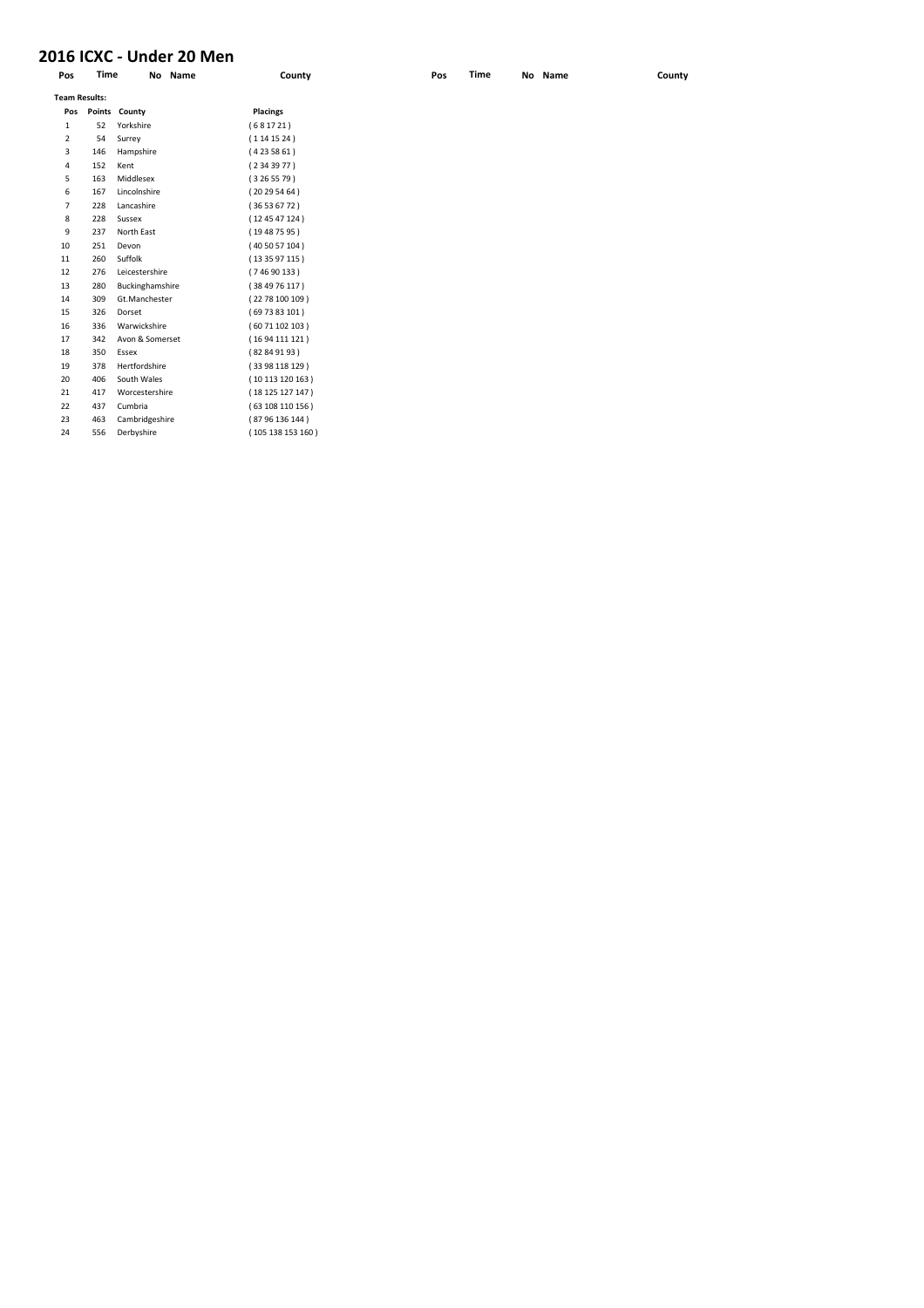#### **2016 ICXC - Under 20 Men**

| Pos                  | Time | No Name         | County            | Pos | <b>Time</b> | No Name | County |
|----------------------|------|-----------------|-------------------|-----|-------------|---------|--------|
| <b>Team Results:</b> |      |                 |                   |     |             |         |        |
| Pos                  |      | Points County   | <b>Placings</b>   |     |             |         |        |
| $\mathbf{1}$         | 52   | Yorkshire       | (681721)          |     |             |         |        |
| $\overline{2}$       | 54   | Surrey          | (1141524)         |     |             |         |        |
| 3                    | 146  | Hampshire       | (4235861)         |     |             |         |        |
| 4                    | 152  | Kent            | (2343977)         |     |             |         |        |
| 5                    | 163  | Middlesex       | (3265579)         |     |             |         |        |
| 6                    | 167  | Lincolnshire    | (20295464)        |     |             |         |        |
| $\overline{7}$       | 228  | Lancashire      | (36536772)        |     |             |         |        |
| 8                    | 228  | Sussex          | (124547124)       |     |             |         |        |
| 9                    | 237  | North East      | (19487595)        |     |             |         |        |
| 10                   | 251  | Devon           | (405057104)       |     |             |         |        |
| 11                   | 260  | Suffolk         | (133597115)       |     |             |         |        |
| 12                   | 276  | Leicestershire  | (74690133)        |     |             |         |        |
| 13                   | 280  | Buckinghamshire | (384976117)       |     |             |         |        |
| 14                   | 309  | Gt.Manchester   | (22 78 100 109)   |     |             |         |        |
| 15                   | 326  | Dorset          | (697383101)       |     |             |         |        |
| 16                   | 336  | Warwickshire    | (60 71 102 103)   |     |             |         |        |
| 17                   | 342  | Avon & Somerset | (1694111121)      |     |             |         |        |
| 18                   | 350  | Essex           | (82849193)        |     |             |         |        |
| 19                   | 378  | Hertfordshire   | (33 98 118 129)   |     |             |         |        |
| 20                   | 406  | South Wales     | (10113120163)     |     |             |         |        |
| 21                   | 417  | Worcestershire  | (18125127147)     |     |             |         |        |
| 22                   | 437  | Cumbria         | (63108110156)     |     |             |         |        |
| 23                   | 463  | Cambridgeshire  | (87 96 136 144)   |     |             |         |        |
| 24                   | 556  | Derbyshire      | (105 138 153 160) |     |             |         |        |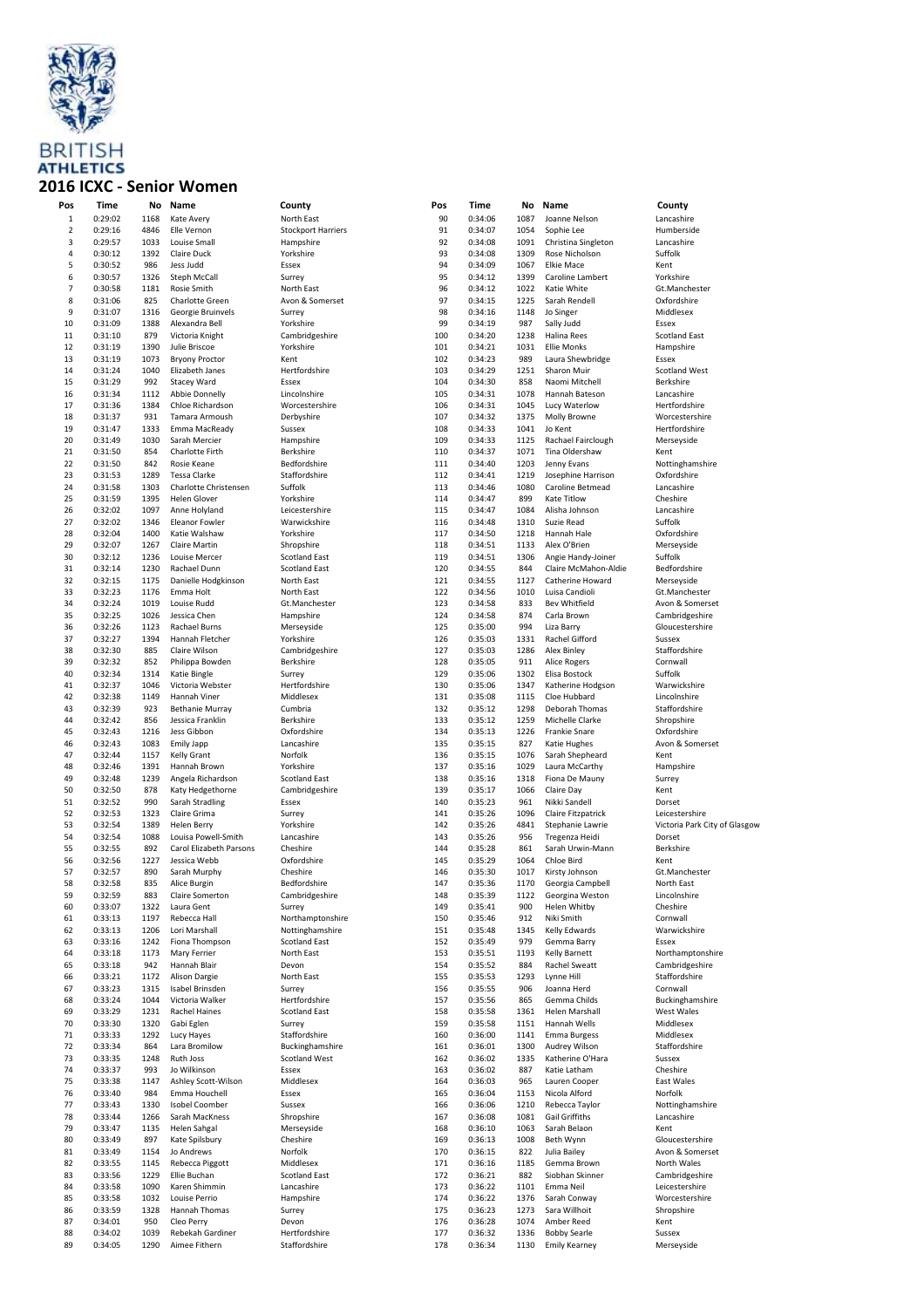

#### **ATHLETICS 2016 ICXC - Senior Women**

| Pos            | Time    | No   | Name                    | County                    | Pos | Time    | No   | Name                 | County                        |
|----------------|---------|------|-------------------------|---------------------------|-----|---------|------|----------------------|-------------------------------|
| $\mathbf{1}$   | 0:29:02 | 1168 | Kate Avery              | North East                | 90  | 0:34:06 | 1087 | Joanne Nelson        | Lancashire                    |
| $\overline{2}$ | 0:29:16 | 4846 | Elle Vernon             | <b>Stockport Harriers</b> | 91  | 0:34:07 | 1054 | Sophie Lee           | Humberside                    |
| 3              | 0:29:57 | 1033 | Louise Small            | Hampshire                 | 92  | 0:34:08 | 1091 | Christina Singleton  | Lancashire                    |
| 4              | 0:30:12 | 1392 | <b>Claire Duck</b>      | Yorkshire                 | 93  | 0:34:08 | 1309 | Rose Nicholson       | Suffolk                       |
|                |         |      |                         |                           |     |         |      |                      |                               |
| 5              | 0:30:52 | 986  | Jess Judd               | Essex                     | 94  | 0:34:09 | 1067 | <b>Elkie Mace</b>    | Kent                          |
| 6              | 0:30:57 | 1326 | Steph McCall            | Surrey                    | 95  | 0:34:12 | 1399 | Caroline Lambert     | Yorkshire                     |
| 7              | 0:30:58 | 1181 | Rosie Smith             | North East                | 96  | 0:34:12 | 1022 | Katie White          | Gt.Manchester                 |
| 8              | 0:31:06 | 825  | Charlotte Green         | Avon & Somerset           | 97  | 0:34:15 | 1225 | Sarah Rendell        | Oxfordshire                   |
| 9              | 0:31:07 | 1316 | Georgie Bruinvels       | Surrey                    | 98  | 0:34:16 | 1148 | Jo Singer            | Middlesex                     |
| 10             | 0:31:09 | 1388 | Alexandra Bell          | Yorkshire                 | 99  | 0:34:19 | 987  | Sally Judd           | Essex                         |
| 11             | 0:31:10 | 879  | Victoria Knight         | Cambridgeshire            | 100 | 0:34:20 | 1238 | Halina Rees          | <b>Scotland East</b>          |
| 12             | 0:31:19 | 1390 | Julie Briscoe           | Yorkshire                 | 101 | 0:34:21 | 1031 | <b>Ellie Monks</b>   | Hampshire                     |
| 13             | 0:31:19 | 1073 | <b>Bryony Proctor</b>   | Kent                      | 102 | 0:34:23 | 989  | Laura Shewbridge     | Essex                         |
| 14             | 0:31:24 | 1040 | Elizabeth Janes         | Hertfordshire             | 103 | 0:34:29 | 1251 | Sharon Muir          | <b>Scotland West</b>          |
| 15             | 0:31:29 | 992  | Stacey Ward             | Essex                     | 104 | 0:34:30 | 858  | Naomi Mitchell       | Berkshire                     |
| 16             | 0:31:34 | 1112 | Abbie Donnelly          | Lincolnshire              | 105 | 0:34:31 | 1078 | Hannah Bateson       | Lancashire                    |
| 17             | 0:31:36 | 1384 | Chloe Richardson        | Worcestershire            | 106 | 0:34:31 | 1045 | Lucy Waterlow        | Hertfordshire                 |
|                | 0:31:37 | 931  |                         |                           |     | 0:34:32 | 1375 |                      | Worcestershire                |
| 18<br>19       |         |      | Tamara Armoush          | Derbyshire                | 107 |         | 1041 | Molly Browne         |                               |
|                | 0:31:47 | 1333 | Emma MacReady           | Sussex                    | 108 | 0:34:33 |      | Jo Kent              | Hertfordshire                 |
| 20             | 0:31:49 | 1030 | Sarah Mercier           | Hampshire                 | 109 | 0:34:33 | 1125 | Rachael Fairclough   | Merseyside                    |
| 21             | 0:31:50 | 854  | Charlotte Firth         | Berkshire                 | 110 | 0:34:37 | 1071 | Tina Oldershaw       | Kent                          |
| 22             | 0:31:50 | 842  | Rosie Keane             | Bedfordshire              | 111 | 0:34:40 | 1203 | Jenny Evans          | Nottinghamshire               |
| 23             | 0:31:53 | 1289 | <b>Tessa Clarke</b>     | Staffordshire             | 112 | 0:34:41 | 1219 | Josephine Harrison   | Oxfordshire                   |
| 24             | 0:31:58 | 1303 | Charlotte Christensen   | Suffolk                   | 113 | 0:34:46 | 1080 | Caroline Betmead     | Lancashire                    |
| 25             | 0:31:59 | 1395 | <b>Helen Glover</b>     | Yorkshire                 | 114 | 0:34:47 | 899  | Kate Titlow          | Cheshire                      |
| 26             | 0:32:02 | 1097 | Anne Holyland           | Leicestershire            | 115 | 0:34:47 | 1084 | Alisha Johnson       | Lancashire                    |
| 27             | 0:32:02 | 1346 | Eleanor Fowler          | Warwickshire              | 116 | 0:34:48 | 1310 | Suzie Read           | Suffolk                       |
| 28             | 0:32:04 | 1400 | Katie Walshaw           | Yorkshire                 | 117 | 0:34:50 | 1218 | Hannah Hale          | Oxfordshire                   |
| 29             | 0:32:07 | 1267 | Claire Martin           | Shropshire                | 118 | 0:34:51 | 1133 | Alex O'Brien         | Merseyside                    |
| 30             | 0:32:12 | 1236 | Louise Mercer           | <b>Scotland East</b>      | 119 | 0:34:51 | 1306 | Angie Handy-Joiner   | Suffolk                       |
| 31             | 0:32:14 | 1230 | Rachael Dunn            | <b>Scotland East</b>      | 120 | 0:34:55 | 844  | Claire McMahon-Aldie | Bedfordshire                  |
| 32             | 0:32:15 | 1175 | Danielle Hodgkinson     | North East                | 121 | 0:34:55 | 1127 | Catherine Howard     | Merseyside                    |
| 33             | 0:32:23 | 1176 | Emma Holt               | North East                | 122 | 0:34:56 | 1010 | Luisa Candioli       | Gt.Manchester                 |
|                |         |      | Louise Rudd             |                           |     |         |      |                      |                               |
| 34             | 0:32:24 | 1019 |                         | Gt.Manchester             | 123 | 0:34:58 | 833  | Bev Whitfield        | Avon & Somerset               |
| 35             | 0:32:25 | 1026 | Jessica Chen            | Hampshire                 | 124 | 0:34:58 | 874  | Carla Brown          | Cambridgeshire                |
| 36             | 0:32:26 | 1123 | Rachael Burns           | Merseyside                | 125 | 0:35:00 | 994  | Liza Barry           | Gloucestershire               |
| 37             | 0:32:27 | 1394 | Hannah Fletcher         | Yorkshire                 | 126 | 0:35:03 | 1331 | Rachel Gifford       | Sussex                        |
| 38             | 0:32:30 | 885  | Claire Wilson           | Cambridgeshire            | 127 | 0:35:03 | 1286 | <b>Alex Binley</b>   | Staffordshire                 |
| 39             | 0:32:32 | 852  | Philippa Bowden         | Berkshire                 | 128 | 0:35:05 | 911  | Alice Rogers         | Cornwall                      |
| 40             | 0:32:34 | 1314 | Katie Bingle            | Surrey                    | 129 | 0:35:06 | 1302 | Elisa Bostock        | Suffolk                       |
| 41             | 0:32:37 | 1046 | Victoria Webster        | Hertfordshire             | 130 | 0:35:06 | 1347 | Katherine Hodgson    | Warwickshire                  |
| 42             | 0:32:38 | 1149 | Hannah Viner            | Middlesex                 | 131 | 0:35:08 | 1115 | Cloe Hubbard         | Lincolnshire                  |
| 43             | 0:32:39 | 923  | <b>Bethanie Murray</b>  | Cumbria                   | 132 | 0:35:12 | 1298 | Deborah Thomas       | Staffordshire                 |
| 44             | 0:32:42 | 856  | Jessica Franklin        | Berkshire                 | 133 | 0:35:12 | 1259 | Michelle Clarke      | Shropshire                    |
| 45             | 0:32:43 | 1216 | Jess Gibbon             | Oxfordshire               | 134 | 0:35:13 | 1226 | Frankie Snare        | Oxfordshire                   |
| 46             | 0:32:43 | 1083 | <b>Emily Japp</b>       | Lancashire                | 135 | 0:35:15 | 827  | Katie Hughes         | Avon & Somerset               |
| 47             | 0:32:44 | 1157 | Kelly Grant             | Norfolk                   | 136 | 0:35:15 | 1076 | Sarah Shepheard      | Kent                          |
| 48             | 0:32:46 | 1391 | Hannah Brown            | Yorkshire                 | 137 | 0:35:16 | 1029 | Laura McCarthy       | Hampshire                     |
| 49             | 0:32:48 | 1239 |                         | <b>Scotland East</b>      | 138 | 0:35:16 | 1318 | Fiona De Mauny       |                               |
|                |         |      | Angela Richardson       |                           |     |         |      |                      | Surrey                        |
| 50             | 0:32:50 | 878  | Katy Hedgethorne        | Cambridgeshire            | 139 | 0:35:17 | 1066 | Claire Day           | Kent                          |
| 51             | 0:32:52 | 990  | Sarah Stradling         | Essex                     | 140 | 0:35:23 | 961  | Nikki Sandell        | Dorset                        |
| 52             | 0:32:53 | 1323 | Claire Grima            | Surrey                    | 141 | 0:35:26 | 1096 | Claire Fitzpatrick   | Leicestershire                |
| 53             | 0:32:54 | 1389 | <b>Helen Berry</b>      | Yorkshire                 | 142 | 0:35:26 | 4841 | Stephanie Lawrie     | Victoria Park City of Glasgow |
| 54             | 0:32:54 | 1088 | Louisa Powell-Smith     | Lancashire                | 143 | 0:35:26 | 956  | Tregenza Heidi       | Dorset                        |
| 55             | 0:32:55 | 892  | Carol Elizabeth Parsons | Cheshire                  | 144 | 0:35:28 | 861  | Sarah Urwin-Mann     | Berkshire                     |
| 56             | 0:32:56 | 1227 | Jessica Webb            | Oxfordshire               | 145 | 0:35:29 | 1064 | Chloe Bird           | Kent                          |
| 57             | 0:32:57 | 890  | Sarah Murphy            | Cheshire                  | 146 | 0:35:30 | 1017 | Kirsty Johnson       | Gt.Manchester                 |
| 58             | 0:32:58 | 835  | Alice Burgin            | Bedfordshire              | 147 | 0:35:36 | 1170 | Georgia Campbell     | North East                    |
| 59             | 0:32:59 | 883  | Claire Somerton         | Cambridgeshire            | 148 | 0:35:39 | 1122 | Georgina Weston      | Lincolnshire                  |
| 60             | 0:33:07 | 1322 | Laura Gent              | Surrey                    | 149 | 0:35:41 | 900  | Helen Whitby         | Cheshire                      |
| 61             | 0:33:13 | 1197 | Rebecca Hall            | Northamptonshire          | 150 | 0:35:46 | 912  | Niki Smith           | Cornwall                      |
| 62             | 0:33:13 | 1206 | Lori Marshall           | Nottinghamshire           | 151 | 0:35:48 | 1345 | Kelly Edwards        | Warwickshire                  |
| 63             | 0:33:16 | 1242 | Fiona Thompson          | <b>Scotland East</b>      | 152 | 0:35:49 | 979  | Gemma Barry          | Essex                         |
| 64             | 0:33:18 | 1173 | Mary Ferrier            | North East                | 153 | 0:35:51 | 1193 | Kelly Barnett        | Northamptonshire              |
| 65             | 0:33:18 | 942  | Hannah Blair            | Devon                     | 154 | 0:35:52 | 884  | Rachel Sweatt        | Cambridgeshire                |
| 66             | 0:33:21 | 1172 | Alison Dargie           | North East                | 155 | 0:35:53 | 1293 | Lynne Hill           | Staffordshire                 |
| 67             | 0:33:23 | 1315 | Isabel Brinsden         | Surrey                    | 156 | 0:35:55 | 906  | Joanna Herd          | Cornwall                      |
|                |         | 1044 | Victoria Walker         |                           |     |         | 865  | Gemma Childs         |                               |
| 68             | 0:33:24 |      |                         | Hertfordshire             | 157 | 0:35:56 |      |                      | Buckinghamshire               |
| 69             | 0:33:29 | 1231 | Rachel Haines           | <b>Scotland East</b>      | 158 | 0:35:58 | 1361 | Helen Marshall       | West Wales                    |
| 70             | 0:33:30 | 1320 | Gabi Eglen              | Surrey                    | 159 | 0:35:58 | 1151 | Hannah Wells         | Middlesex                     |
| $71\,$         | 0:33:33 | 1292 | Lucy Hayes              | Staffordshire             | 160 | 0:36:00 | 1141 | <b>Emma Burgess</b>  | Middlesex                     |
| 72             | 0:33:34 | 864  | Lara Bromilow           | Buckinghamshire           | 161 | 0:36:01 | 1300 | Audrey Wilson        | Staffordshire                 |
| 73             | 0:33:35 | 1248 | Ruth Joss               | <b>Scotland West</b>      | 162 | 0:36:02 | 1335 | Katherine O'Hara     | Sussex                        |
| 74             | 0:33:37 | 993  | Jo Wilkinson            | Essex                     | 163 | 0:36:02 | 887  | Katie Latham         | Cheshire                      |
| 75             | 0:33:38 | 1147 | Ashley Scott-Wilson     | Middlesex                 | 164 | 0:36:03 | 965  | Lauren Cooper        | East Wales                    |
| 76             | 0:33:40 | 984  | Emma Houchell           | Essex                     | 165 | 0:36:04 | 1153 | Nicola Alford        | Norfolk                       |
| 77             | 0:33:43 | 1330 | Isobel Coomber          | Sussex                    | 166 | 0:36:06 | 1210 | Rebecca Taylor       | Nottinghamshire               |
| 78             | 0:33:44 | 1266 | Sarah MacKness          | Shropshire                | 167 | 0:36:08 | 1081 | Gail Griffiths       | Lancashire                    |
| 79             | 0:33:47 | 1135 | Helen Sahgal            | Merseyside                | 168 | 0:36:10 | 1063 | Sarah Belaon         | Kent                          |
| 80             | 0:33:49 | 897  | Kate Spilsbury          | Cheshire                  | 169 | 0:36:13 | 1008 | Beth Wynn            | Gloucestershire               |
| 81             | 0:33:49 | 1154 | Jo Andrews              | Norfolk                   | 170 | 0:36:15 | 822  | Julia Bailey         | Avon & Somerset               |
| 82             | 0:33:55 | 1145 | Rebecca Piggott         | Middlesex                 | 171 | 0:36:16 | 1185 | Gemma Brown          | North Wales                   |
|                |         |      |                         |                           |     |         |      |                      |                               |
| 83             | 0:33:56 | 1229 | Ellie Buchan            | <b>Scotland East</b>      | 172 | 0:36:21 | 882  | Siobhan Skinner      | Cambridgeshire                |
| 84             | 0:33:58 | 1090 | Karen Shimmin           | Lancashire                | 173 | 0:36:22 | 1101 | Emma Neil            | Leicestershire                |
| 85             | 0:33:58 | 1032 | Louise Perrio           | Hampshire                 | 174 | 0:36:22 | 1376 | Sarah Conway         | Worcestershire                |
| 86             | 0:33:59 | 1328 | Hannah Thomas           | Surrey                    | 175 | 0:36:23 | 1273 | Sara Willhoit        | Shropshire                    |
| 87             | 0:34:01 | 950  | Cleo Perry              | Devon                     | 176 | 0:36:28 | 1074 | Amber Reed           | Kent                          |
| 88             | 0:34:02 | 1039 | Rebekah Gardiner        | Hertfordshire             | 177 | 0:36:32 | 1336 | <b>Bobby Searle</b>  | Sussex                        |
| 89             | 0:34:05 | 1290 | Aimee Fithern           | Staffordshire             | 178 | 0:36:34 | 1130 | <b>Emily Kearney</b> | Merseyside                    |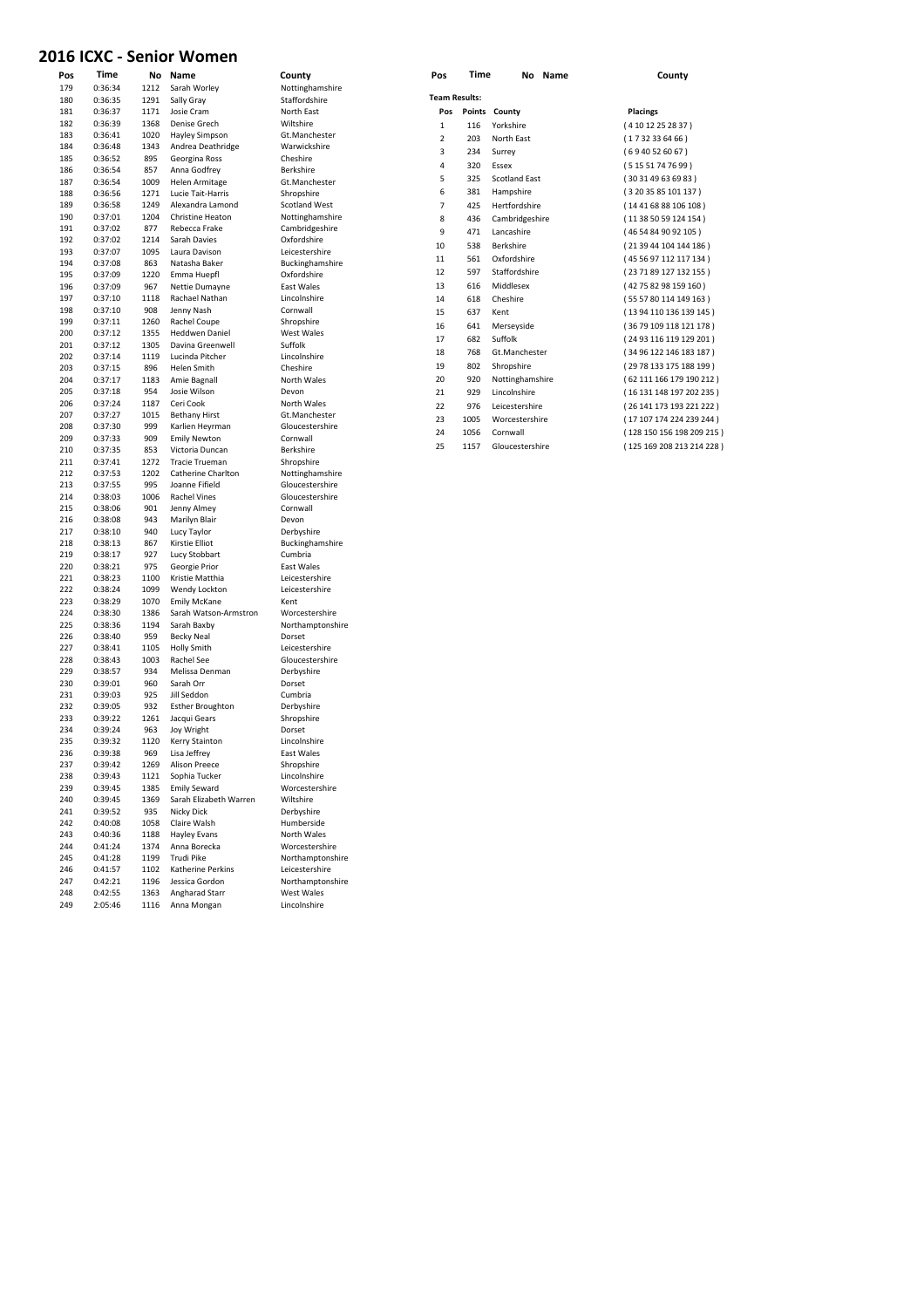#### **2016 ICXC - Senior Women**

| Pos        | Time               | No           | Name                                    | County                                  | Pos            | Time                 | No Name              | County            |
|------------|--------------------|--------------|-----------------------------------------|-----------------------------------------|----------------|----------------------|----------------------|-------------------|
| 179        | 0:36:34            | 1212         | Sarah Worley                            | Nottinghamshire                         |                |                      |                      |                   |
| 180        | 0:36:35            | 1291         | Sally Gray                              | Staffordshire                           |                | <b>Team Results:</b> |                      |                   |
| 181        | 0:36:37            | 1171         | Josie Cram                              | North East                              | Pos            |                      | Points County        | Placings          |
| 182        | 0:36:39            | 1368         | Denise Grech                            | Wiltshire                               | $\mathbf{1}$   | 116                  | Yorkshire            | (4 10 12 25 28 37 |
| 183        | 0:36:41            | 1020         | Hayley Simpson                          | Gt.Manchester                           | $\overline{2}$ | 203                  | North East           | (1732336466)      |
| 184        | 0:36:48            | 1343         | Andrea Deathridge                       | Warwickshire                            | 3              | 234                  | Surrey               | (6940526067)      |
| 185        | 0:36:52            | 895          | Georgina Ross                           | Cheshire                                | 4              | 320                  | Essex                | (5 15 51 74 76 99 |
| 186        | 0:36:54            | 857          | Anna Godfrey                            | Berkshire                               | 5              | 325                  | <b>Scotland East</b> | (30 31 49 63 69 8 |
| 187        | 0:36:54            | 1009         | Helen Armitage                          | Gt.Manchester                           | 6              | 381                  | Hampshire            | (3 20 35 85 101 1 |
| 188        | 0:36:56            | 1271<br>1249 | Lucie Tait-Harris                       | Shropshire                              | 7              | 425                  |                      |                   |
| 189<br>190 | 0:36:58<br>0:37:01 | 1204         | Alexandra Lamond<br>Christine Heaton    | <b>Scotland West</b><br>Nottinghamshire |                |                      | Hertfordshire        | (14 41 68 88 106  |
| 191        | 0:37:02            | 877          | Rebecca Frake                           | Cambridgeshire                          | 8              | 436                  | Cambridgeshire       | (11 38 50 59 124  |
| 192        | 0:37:02            | 1214         | Sarah Davies                            | Oxfordshire                             | 9              | 471                  | Lancashire           | (46 54 84 90 92 1 |
| 193        | 0:37:07            | 1095         | Laura Davison                           | Leicestershire                          | 10             | 538                  | Berkshire            | (21 39 44 104 144 |
| 194        | 0:37:08            | 863          | Natasha Baker                           | Buckinghamshire                         | 11             | 561                  | Oxfordshire          | (45 56 97 112 117 |
| 195        | 0:37:09            | 1220         | Emma Huepfl                             | Oxfordshire                             | 12             | 597                  | Staffordshire        | (23 71 89 127 132 |
| 196        | 0:37:09            | 967          | Nettie Dumayne                          | East Wales                              | 13             | 616                  | Middlesex            | (42 75 82 98 159  |
| 197        | 0:37:10            | 1118         | Rachael Nathan                          | Lincolnshire                            | 14             | 618                  | Cheshire             | (55 57 80 114 149 |
| 198        | 0:37:10            | 908          | Jenny Nash                              | Cornwall                                | 15             | 637                  | Kent                 | (13 94 110 136 13 |
| 199        | 0:37:11            | 1260         | Rachel Coupe                            | Shropshire                              | 16             | 641                  | Merseyside           | (36 79 109 118 12 |
| 200        | 0:37:12            | 1355         | <b>Heddwen Daniel</b>                   | West Wales                              | 17             | 682                  | Suffolk              | (24 93 116 119 12 |
| 201        | 0:37:12            | 1305         | Davina Greenwell                        | Suffolk                                 | 18             | 768                  | Gt.Manchester        | (34 96 122 146 18 |
| 202        | 0:37:14            | 1119         | Lucinda Pitcher                         | Lincolnshire                            | 19             | 802                  | Shropshire           | (29 78 133 175 18 |
| 203        | 0:37:15            | 896          | Helen Smith                             | Cheshire                                |                |                      |                      |                   |
| 204        | 0:37:17            | 1183         | Amie Bagnall                            | North Wales                             | 20             | 920                  | Nottinghamshire      | (62 111 166 179 1 |
| 205        | 0:37:18            | 954          | Josie Wilson                            | Devon                                   | 21             | 929                  | Lincolnshire         | (16 131 148 1972  |
| 206        | 0:37:24            | 1187         | Ceri Cook                               | North Wales                             | 22             | 976                  | Leicestershire       | (26 141 173 193 2 |
| 207        | 0:37:27            | 1015<br>999  | <b>Bethany Hirst</b><br>Karlien Heyrman | Gt.Manchester                           | 23             | 1005                 | Worcestershire       | (17 107 174 224 2 |
| 208<br>209 | 0:37:30<br>0:37:33 | 909          | <b>Emily Newton</b>                     | Gloucestershire<br>Cornwall             | 24             | 1056                 | Cornwall             | (128 150 156 198  |
| 210        | 0:37:35            | 853          | Victoria Duncan                         | Berkshire                               | 25             | 1157                 | Gloucestershire      | (125 169 208 213  |
| 211        | 0:37:41            | 1272         | <b>Tracie Trueman</b>                   | Shropshire                              |                |                      |                      |                   |
| 212        | 0:37:53            | 1202         | Catherine Charlton                      | Nottinghamshire                         |                |                      |                      |                   |
| 213        | 0:37:55            | 995          | Joanne Fifield                          | Gloucestershire                         |                |                      |                      |                   |
| 214        | 0:38:03            | 1006         | Rachel Vines                            | Gloucestershire                         |                |                      |                      |                   |
| 215        | 0:38:06            | 901          | Jenny Almey                             | Cornwall                                |                |                      |                      |                   |
| 216        | 0:38:08            | 943          | Marilyn Blair                           | Devon                                   |                |                      |                      |                   |
| 217        | 0:38:10            | 940          | Lucy Taylor                             | Derbyshire                              |                |                      |                      |                   |
| 218        | 0:38:13            | 867          | Kirstie Elliot                          | Buckinghamshire                         |                |                      |                      |                   |
| 219        | 0:38:17            | 927          | Lucy Stobbart                           | Cumbria                                 |                |                      |                      |                   |
| 220        | 0:38:21            | 975          | Georgie Prior                           | East Wales                              |                |                      |                      |                   |
| 221        | 0:38:23            | 1100         | Kristie Matthia                         | Leicestershire                          |                |                      |                      |                   |
| 222        | 0:38:24            | 1099         | Wendy Lockton                           | Leicestershire                          |                |                      |                      |                   |
| 223<br>224 | 0:38:29            | 1070<br>1386 | <b>Emily McKane</b>                     | Kent                                    |                |                      |                      |                   |
| 225        | 0:38:30<br>0:38:36 | 1194         | Sarah Watson-Armstron<br>Sarah Baxby    | Worcestershire<br>Northamptonshire      |                |                      |                      |                   |
| 226        | 0:38:40            | 959          | <b>Becky Neal</b>                       | Dorset                                  |                |                      |                      |                   |
| 227        | 0:38:41            | 1105         | <b>Holly Smith</b>                      | Leicestershire                          |                |                      |                      |                   |
| 228        | 0:38:43            | 1003         | Rachel See                              | Gloucestershire                         |                |                      |                      |                   |
| 229        | 0:38:57            | 934          | Melissa Denman                          | Derbyshire                              |                |                      |                      |                   |
| 230        | 0:39:01            | 960          | Sarah Orr                               | Dorset                                  |                |                      |                      |                   |
| 231        | 0:39:03            | 925          | Jill Seddon                             | Cumbria                                 |                |                      |                      |                   |
| 232        | 0:39:05            | 932          | <b>Esther Broughton</b>                 | Derbyshire                              |                |                      |                      |                   |
| 233        | 0:39:22            | 1261         | Jacqui Gears                            | Shropshire                              |                |                      |                      |                   |
| 234        | 0:39:24            | 963          | Joy Wright                              | Dorset                                  |                |                      |                      |                   |
| 235        | 0:39:32            | 1120         | Kerry Stainton                          | Lincolnshire                            |                |                      |                      |                   |
| 236        | 0:39:38            | 969          | Lisa Jeffrey                            | East Wales                              |                |                      |                      |                   |
| 237        | 0:39:42            | 1269         | Alison Preece                           | Shropshire                              |                |                      |                      |                   |
| 238        | 0:39:43            | 1121         | Sophia Tucker                           | Lincolnshire                            |                |                      |                      |                   |
| 239        | 0:39:45            | 1385         | <b>Emily Seward</b>                     | Worcestershire                          |                |                      |                      |                   |
| 240        | 0:39:45            | 1369         | Sarah Elizabeth Warren                  | Wiltshire                               |                |                      |                      |                   |
| 241        | 0:39:52            | 935          | Nicky Dick                              | Derbyshire                              |                |                      |                      |                   |
| 242        | 0:40:08            | 1058         | Claire Walsh                            | Humberside                              |                |                      |                      |                   |
| 243        | 0:40:36<br>0:41:24 | 1188         | <b>Hayley Evans</b><br>Anna Borecka     | North Wales                             |                |                      |                      |                   |
| 244<br>245 |                    | 1374<br>1199 | Trudi Pike                              | Worcestershire<br>Northamptonshire      |                |                      |                      |                   |
| 246        | 0:41:28<br>0:41:57 | 1102         | Katherine Perkins                       | Leicestershire                          |                |                      |                      |                   |
| 247        | 0:42:21            | 1196         | Jessica Gordon                          | Northamptonshire                        |                |                      |                      |                   |
| 248        | 0:42:55            | 1363         | Angharad Starr                          | West Wales                              |                |                      |                      |                   |
| 249        | 2:05:46            | 1116         | Anna Mongan                             | Lincolnshire                            |                |                      |                      |                   |
|            |                    |              |                                         |                                         |                |                      |                      |                   |

| County                             |
|------------------------------------|
| Nottinghamshire                    |
| Staffordshire                      |
| North East                         |
| Wiltshire                          |
| Gt.Manchester                      |
| Warwickshire                       |
| Cheshire                           |
| Berkshire                          |
| Gt.Manchester                      |
| Shropshire                         |
| <b>Scotland West</b>               |
| Nottinghamshire                    |
| Cambridgeshire                     |
| Oxfordshire                        |
| Leicestershire<br>Buckinghamshire  |
| Oxfordshire                        |
| <b>East Wales</b>                  |
| Lincolnshire                       |
| Cornwall                           |
| Shropshire                         |
| West Wales                         |
| Suffolk                            |
| Lincolnshire                       |
| Cheshire                           |
| North Wales                        |
| Devon                              |
| North Wales                        |
| Gt.Manchester                      |
| Gloucestershire                    |
| Cornwall                           |
| Berkshire                          |
| Shropshire                         |
| Nottinghamshire                    |
| Gloucestershire<br>Gloucestershire |
| Cornwall                           |
| Devon                              |
| Derbyshire                         |
| Buckinghamshire                    |
| Cumbria                            |
| East Wales                         |
| Leicestershire                     |
| Leicestershire                     |
| Kent                               |
| Worcestershire                     |
| Northamptonshire                   |
| Dorset                             |
| Leicestershire                     |
| Gloucestershire                    |
| Derbyshire                         |
| Dorset                             |
| Cumbria                            |
| Derbyshire                         |
| Shropshire                         |
| Dorset                             |
| Lincolnshire<br><b>East Wales</b>  |
| Shropshire                         |
| Lincolnshire                       |
| Worcestershire                     |
| Wiltshire                          |
| Derbyshire                         |
| Humberside                         |
| North Wale                         |

| Pos                  | <b>Time</b>   | No<br>Name           | County                   |
|----------------------|---------------|----------------------|--------------------------|
| <b>Team Results:</b> |               |                      |                          |
| Pos                  | <b>Points</b> | County               | <b>Placings</b>          |
| 1                    | 116           | Yorkshire            | (4 10 12 25 28 37)       |
| $\overline{2}$       | 203           | North Fast           | (1732336466)             |
| 3                    | 234           | Surrey               | (6940526067)             |
| 4                    | 320           | Essex                | (515 51 74 76 99)        |
| 5                    | 325           | <b>Scotland East</b> | (303149636983)           |
| 6                    | 381           | Hampshire            | (3203585101137)          |
| $\overline{7}$       | 425           | Hertfordshire        | (14416888106108)         |
| 8                    | 436           | Cambridgeshire       | (11 38 50 59 124 154)    |
| 9                    | 471           | Lancashire           | (46 54 84 90 92 105)     |
| 10                   | 538           | <b>Berkshire</b>     | (21 39 44 104 144 186)   |
| 11                   | 561           | Oxfordshire          | (45 56 97 112 117 134)   |
| 12                   | 597           | Staffordshire        | (23 71 89 127 132 155)   |
| 13                   | 616           | Middlesex            | (42 75 82 98 159 160)    |
| 14                   | 618           | Cheshire             | (55 57 80 114 149 163)   |
| 15                   | 637           | Kent                 | (13 94 110 136 139 145)  |
| 16                   | 641           | Merseyside           | (36 79 109 118 121 178)  |
| 17                   | 682           | Suffolk              | (24 93 116 119 129 201)  |
| 18                   | 768           | Gt.Manchester        | (34 96 122 146 183 187)  |
| 19                   | 802           | Shropshire           | (29 78 133 175 188 199)  |
| 20                   | 920           | Nottinghamshire      | (62 111 166 179 190 212) |
| 21                   | 929           | Lincolnshire         | (16 131 148 197 202 235) |
| 22                   | 976           | Leicestershire       | (26 141 173 193 221 222) |
| 23                   | 1005          | Worcestershire       | (17 107 174 224 239 244) |
| 24                   | 1056          | Cornwall             | (128 150 156 198 209 215 |

#### **Pos Points County Placings**  $( 4 10 12 25 28 37 )$  $( 1 7 32 33 64 66 )$ ( 6 9 40 52 60 67 ) ( 5 15 51 74 76 99 )  $(303149636983)$ ( 3 20 35 85 101 137 )  $( 14 41 68 88 106 108 )$  $(11\,38\,50\,59\,124\,154)$  $(4654849092105)$  $(213944104144186)$ ( 45 56 97 112 117 134 )  $( 23 71 89 127 132 155 )$  $(42 75 82 98 159 160)$  $(55 57 80 114 149 163)$ ( 13 94 110 136 139 145 ) ( 36 79 109 118 121 178 ) ( 24 93 116 119 129 201 ) (34 96 122 146 183 187) 802 Shropshire ( 29 78 133 175 188 199 ) ( 62 111 166 179 190 212 ) ( 16 131 148 197 202 235 ) 976 Leicestershire ( 26 141 173 193 221 222 ) 24 128 150 156 198 209 215<br>24 125 169 208 213 214 228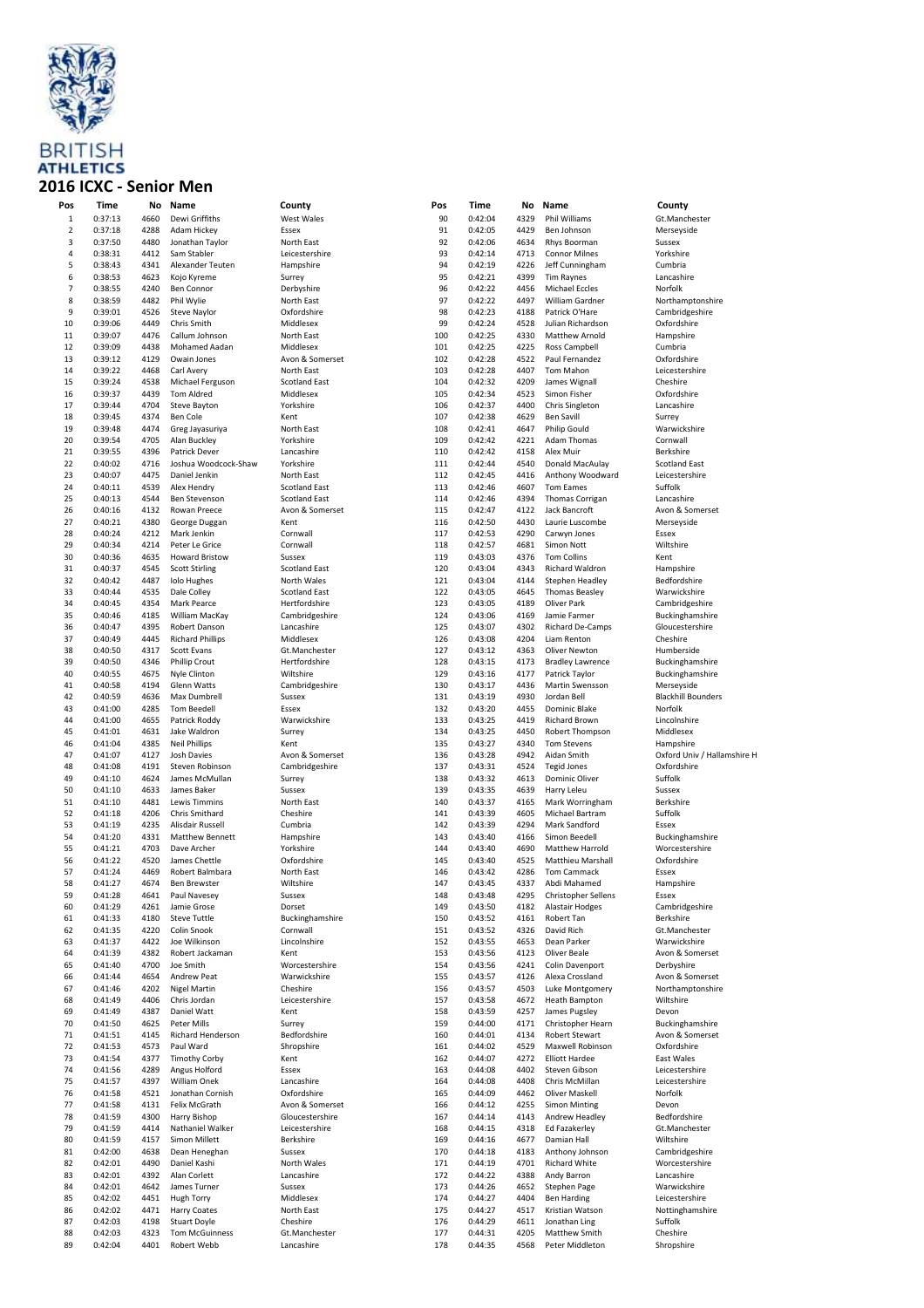

#### **Pos Time No Name County Pos Time No Name County 2016 ICXC - Senior Men**<br>Pos Time No Name 0:37:13 4660 Dewi Griffiths West Wales Adam Hickey 3 0:37:50 4480 Jonathan Taylor North East<br>4 0:38:31 4412 Sam Stabler Leicestersh 4 0:38:31 4412 Sam Stabler Leicestershire<br>5 0:38:43 4341 Alexander Teuten Hampshire Alexander Teuten Hampshire<br>1990 Kyreme Surrey<br>1991 Ben Connor Derbyshire 0:38:53 4623 Kojo Kyreme Surrey 0:38:55 4240 Ben Connor Derbyshire 8 0:38:59 4482 Phil Wylie North East ordshire 0:39:06 4449 Chris Smith Middlesex 0:39:07 4476 Callum Johnson North East 0:39:09 4438 Mohamed Aadan Middlesex n & Somerset<br>th East 0:39:22 4468 Carl Avery North East land East 0:39:37 4439 Tom Aldred Middlesex

| ь        | 0:38:53            | 4623         | Kojo Kyreme                          | Surrey                      |
|----------|--------------------|--------------|--------------------------------------|-----------------------------|
| 7        | 0:38:55            | 4240         | Ben Connor                           | Derbyshire                  |
| 8        | 0:38:59            | 4482         | Phil Wylie                           | North East                  |
| 9        | 0:39:01            | 4526         | Steve Naylor                         | Oxfordshire                 |
| 10       | 0:39:06            | 4449         | Chris Smith                          | Middlesex                   |
| 11       | 0:39:07            | 4476         | Callum Johnson                       | North East                  |
| 12       | 0:39:09            | 4438         | Mohamed Aadan                        | Middlesex                   |
| 13       | 0:39:12            | 4129         | Owain Jones                          | Avon & Somerset             |
| 14       | 0:39:22            | 4468         | Carl Avery                           | North East                  |
|          |                    |              |                                      |                             |
| 15       | 0:39:24            | 4538         | Michael Ferguson                     | <b>Scotland East</b>        |
| 16       | 0:39:37            | 4439         | Tom Aldred                           | Middlesex                   |
| 17       | 0:39:44            | 4704         | Steve Bayton                         | Yorkshire                   |
| 18       | 0:39:45            | 4374         | <b>Ben Cole</b>                      | Kent                        |
| 19       | 0:39:48            | 4474         | Greg Jayasuriya                      | North East                  |
| 20       | 0:39:54            | 4705         | Alan Buckley                         | Yorkshire                   |
| 21       | 0:39:55            | 4396         | Patrick Dever                        | Lancashire                  |
| 22       | 0:40:02            | 4716         | Joshua Woodcock-Shaw                 | Yorkshire                   |
| 23       | 0:40:07            | 4475         | Daniel Jenkin                        | North East                  |
|          |                    |              |                                      |                             |
| 24       | 0:40:11            | 4539         | Alex Hendry                          | <b>Scotland East</b>        |
| 25       | 0:40:13            | 4544         | <b>Ben Stevenson</b>                 | <b>Scotland East</b>        |
| 26       | 0:40:16            | 4132         | Rowan Preece                         | Avon & Somerset             |
| 27       | 0:40:21            | 4380         | George Duggan                        | Kent                        |
| 28       | 0:40:24            | 4212         | Mark Jenkin                          | Cornwall                    |
| 29       | 0:40:34            | 4214         | Peter Le Grice                       | Cornwall                    |
| 30       | 0:40:36            | 4635         | <b>Howard Bristow</b>                | Sussex                      |
| 31       | 0:40:37            | 4545         | <b>Scott Stirling</b>                | <b>Scotland East</b>        |
|          |                    |              |                                      |                             |
| 32       | 0:40:42            | 4487         | Iolo Hughes                          | North Wales                 |
| 33       | 0:40:44            | 4535         | Dale Colley                          | <b>Scotland East</b>        |
| 34       | 0:40:45            | 4354         | Mark Pearce                          | Hertfordshire               |
| 35       | 0:40:46            | 4185         | William MacKay                       | Cambridgeshire              |
| 36       | 0:40:47            | 4395         | Robert Danson                        | Lancashire                  |
| 37       | 0:40:49            | 4445         | <b>Richard Phillips</b>              | Middlesex                   |
| 38       | 0:40:50            | 4317         | Scott Evans                          | Gt.Manchester               |
| 39       | 0:40:50            | 4346         | Phillip Crout                        | Hertfordshire               |
| 40       | 0:40:55            | 4675         | Nyle Clinton                         | Wiltshire                   |
|          |                    |              |                                      |                             |
| 41       | 0:40:58            | 4194         | Glenn Watts                          | Cambridgeshire              |
| 42       | 0:40:59            | 4636         | Max Dumbrell                         | Sussex                      |
| 43       | 0:41:00            | 4285         | Tom Beedell                          | Essex                       |
| 44       | 0:41:00            | 4655         | Patrick Roddy                        | Warwickshire                |
| 45       | 0:41:01            | 4631         | Jake Waldron                         | Surrey                      |
| 46       | 0:41:04            | 4385         | <b>Neil Phillips</b>                 | Kent                        |
| 47       | 0:41:07            | 4127         | <b>Josh Davies</b>                   | Avon & Somerset             |
| 48       | 0:41:08            | 4191         | Steven Robinson                      | Cambridgeshire              |
| 49       | 0:41:10            | 4624         | James McMullan                       | Surrey                      |
| 50       | 0:41:10            | 4633         |                                      |                             |
|          |                    |              | James Baker                          | Sussex                      |
| 51       | 0:41:10            | 4481         | <b>Lewis Timmins</b>                 | North East                  |
| 52       | 0:41:18            | 4206         | Chris Smithard                       | Cheshire                    |
| 53       | 0:41:19            | 4235         | Alisdair Russell                     | Cumbria                     |
| 54       | 0:41:20            | 4331         | Matthew Bennett                      | Hampshire                   |
| 55       | 0:41:21            | 4703         | Dave Archer                          | Yorkshire                   |
| 56       | 0:41:22            | 4520         | James Chettle                        | Oxfordshire                 |
| 57       | 0:41:24            | 4469         | Robert Balmbara                      | North East                  |
| 58       | 0:41:27            | 4674         | <b>Ben Brewster</b>                  | Wiltshire                   |
| 59       | 0:41:28            | 4641         | Paul Navesey                         | Sussex                      |
|          |                    |              |                                      |                             |
| 60       | 0:41:29            | 4261         | Jamie Grose                          | Dorset                      |
| 61       | 0:41:33            | 4180         | <b>Steve Tuttle</b>                  | Buckinghamshire             |
| 62       | 0:41:35            | 4220         | Colin Snook                          | Cornwall                    |
| 63       | 0:41:37            | 4422         | Joe Wilkinson                        | Lincolnshire                |
| 64       | 0:41:39            | 4382         | Robert Jackaman                      | Kent                        |
| 65       | 0:41:40            | 4700         | Joe Smith                            | Worcestershire              |
| 66       | 0:41:44            | 4654         | Andrew Peat                          | Warwickshire                |
| 67       | 0:41:46            | 4202         | Nigel Martin                         | Cheshire                    |
|          |                    |              |                                      |                             |
| 68       | 0:41:49            | 4406         | Chris Jordan                         | Leicestershire              |
| 69       | 0:41:49            | 4387         | Daniel Watt                          | Kent                        |
| 70       | 0:41:50            | 4625         | Peter Mills                          | Surrey                      |
| 71       | 0:41:51            | 4145         | Richard Henderson                    | Bedfordshire                |
| 72       | 0:41:53            | 4573         | Paul Ward                            | Shropshire                  |
| 73       | 0:41:54            | 4377         | <b>Timothy Corby</b>                 | Kent                        |
| 74       | 0:41:56            | 4289         | Angus Holford                        | Essex                       |
| 75       | 0:41:57            | 4397         | William Onek                         | Lancashire                  |
| 76       | 0:41:58            | 4521         | Jonathan Cornish                     | Oxfordshire                 |
|          |                    |              |                                      |                             |
| 77       | 0:41:58            | 4131         | Felix McGrath                        | Avon & Somerset             |
| 78       | 0:41:59            | 4300         | Harry Bishop                         | Gloucestershire             |
| 79       |                    | 4414         | Nathaniel Walker                     | Leicestershire              |
|          | 0:41:59            |              |                                      |                             |
| 80       | 0:41:59            | 4157         | Simon Millett                        | Berkshire                   |
| 81       | 0:42:00            | 4638         | Dean Heneghan                        | Sussex                      |
| 82       | 0:42:01            |              | 4490 Daniel Kashi                    | North Wales                 |
|          |                    |              |                                      |                             |
| 83       | 0:42:01            | 4392         | Alan Corlett                         | Lancashire                  |
| 84       | 0:42:01            | 4642         | James Turner                         | Sussex                      |
| 85       | 0:42:02            | 4451         | <b>Hugh Torry</b>                    | Middlesex                   |
| 86       | 0:42:02            | 4471         | <b>Harry Coates</b>                  | North East                  |
| 87       | 0:42:03            | 4198         | Stuart Doyle                         | Cheshire                    |
| 88<br>89 | 0:42:03<br>0:42:04 | 4323<br>4401 | <b>Tom McGuinness</b><br>Robert Webb | Gt.Manchester<br>Lancashire |

| Pos        | Time               | No           | Name                                  | County                            |
|------------|--------------------|--------------|---------------------------------------|-----------------------------------|
| 90         | 0:42:04            | 4329         | Phil Williams                         | Gt.Manchester                     |
| 91<br>92   | 0:42:05<br>0:42:06 | 4429<br>4634 | Ben Johnson<br>Rhys Boorman           | Merseyside<br>Sussex              |
| 93         | 0:42:14            | 4713         | <b>Connor Milnes</b>                  | Yorkshire                         |
| 94         | 0:42:19            | 4226         | Jeff Cunningham                       | Cumbria                           |
| 95         | 0:42:21            | 4399         | <b>Tim Raynes</b>                     | Lancashire                        |
| 96         | 0:42:22            | 4456         | <b>Michael Eccles</b>                 | Norfolk                           |
| 97         | 0:42:22            | 4497         | William Gardner                       | Northamptonshire                  |
| 98<br>99   | 0:42:23<br>0:42:24 | 4188<br>4528 | Patrick O'Hare<br>Julian Richardson   | Cambridgeshire<br>Oxfordshire     |
| 100        | 0:42:25            | 4330         | Matthew Arnold                        | Hampshire                         |
| 101        | 0:42:25            | 4225         | Ross Campbell                         | Cumbria                           |
| 102        | 0:42:28            | 4522         | Paul Fernandez                        | Oxfordshire                       |
| 103        | 0:42:28            | 4407         | Tom Mahon                             | Leicestershire                    |
| 104        | 0:42:32            | 4209         | James Wignall<br>Simon Fisher         | Cheshire<br>Oxfordshire           |
| 105<br>106 | 0:42:34<br>0:42:37 | 4523<br>4400 | Chris Singleton                       | Lancashire                        |
| 107        | 0:42:38            | 4629         | <b>Ben Savill</b>                     | Surrey                            |
| 108        | 0:42:41            | 4647         | <b>Philip Gould</b>                   | Warwickshire                      |
| 109        | 0:42:42            | 4221         | Adam Thomas                           | Cornwall                          |
| 110        | 0:42:42            | 4158         | Alex Muir                             | Berkshire                         |
| 111        | 0:42:44            | 4540         | Donald MacAulay                       | Scotland East                     |
| 112<br>113 | 0:42:45<br>0:42:46 | 4416<br>4607 | Anthony Woodward<br><b>Tom Eames</b>  | Leicestershire<br>Suffolk         |
| 114        | 0:42:46            | 4394         | Thomas Corrigan                       | Lancashire                        |
| 115        | 0:42:47            | 4122         | Jack Bancroft                         | Avon & Somerset                   |
| 116        | 0:42:50            | 4430         | Laurie Luscombe                       | Merseyside                        |
| 117        | 0:42:53            | 4290         | Carwyn Jones                          | Essex                             |
| 118        | 0:42:57            | 4681         | Simon Nott                            | Wiltshire<br>Kent                 |
| 119<br>120 | 0:43:03<br>0:43:04 | 4376<br>4343 | <b>Tom Collins</b><br>Richard Waldron | Hampshire                         |
| 121        | 0:43:04            | 4144         | Stephen Headley                       | Bedfordshire                      |
| 122        | 0:43:05            | 4645         | <b>Thomas Beasley</b>                 | Warwickshire                      |
| 123        | 0:43:05            | 4189         | Oliver Park                           | Cambridgeshire                    |
| 124        | 0:43:06            | 4169         | Jamie Farmer                          | Buckinghamshire                   |
| 125        | 0:43:07            | 4302         | <b>Richard De-Camps</b>               | Gloucestershire                   |
| 126<br>127 | 0:43:08<br>0:43:12 | 4204<br>4363 | Liam Renton<br>Oliver Newton          | Cheshire<br>Humberside            |
| 128        | 0:43:15            | 4173         | <b>Bradley Lawrence</b>               | Buckinghamshire                   |
| 129        | 0:43:16            | 4177         | Patrick Taylor                        | Buckinghamshire                   |
| 130        | 0:43:17            | 4436         | Martin Swensson                       | Merseyside                        |
| 131        | 0:43:19            | 4930         | Jordan Bell                           | <b>Blackhill Bounders</b>         |
| 132        | 0:43:20            | 4455<br>4419 | Dominic Blake                         | Norfolk                           |
| 133<br>134 | 0:43:25<br>0:43:25 | 4450         | Richard Brown<br>Robert Thompson      | Lincolnshire<br>Middlesex         |
| 135        | 0:43:27            | 4340         | <b>Tom Stevens</b>                    | Hampshire                         |
| 136        | 0:43:28            | 4942         | Aidan Smith                           | Oxford Univ / Halla               |
| 137        | 0:43:31            | 4524         | <b>Tegid Jones</b>                    | Oxfordshire                       |
| 138        | 0:43:32            | 4613         | Dominic Oliver                        | Suffolk                           |
| 139<br>140 | 0:43:35<br>0:43:37 | 4639<br>4165 | Harry Leleu<br>Mark Worringham        | Sussex<br>Berkshire               |
| 141        | 0:43:39            | 4605         | Michael Bartram                       | Suffolk                           |
| 142        | 0:43:39            | 4294         | Mark Sandford                         | Essex                             |
| 143        | 0:43:40            | 4166         | Simon Beedell                         | Buckinghamshire                   |
| 144        | 0:43:40            | 4690         | Matthew Harrold                       | Worcestershire                    |
| 145        | 0:43:40            | 4525         | Matthieu Marshall                     | Oxfordshire                       |
| 146<br>147 | 0:43:42<br>0:43:45 | 4286<br>4337 | Tom Cammack<br>Abdi Mahamed           | Essex<br>Hampshire                |
| 148        | 0:43:48            | 4295         | Christopher Sellens                   | Essex                             |
| 149        | 0:43:50            | 4182         | Alastair Hodges                       | Cambridgeshire                    |
| 150        | 0:43:52            | 4161         | Robert Tan                            | Berkshire                         |
| 151        | 0:43:52            | 4326         | David Rich                            | Gt.Manchester                     |
| 152        | 0:43:55            | 4653         | Dean Parker                           | Warwickshire                      |
| 153<br>154 | 0:43:56<br>0:43:56 | 4123<br>4241 | Oliver Beale<br>Colin Davenport       | Avon & Somerset<br>Derbyshire     |
| 155        | 0:43:57            | 4126         | Alexa Crossland                       | Avon & Somerset                   |
| 156        | 0:43:57            | 4503         | Luke Montgomery                       | Northamptonshire                  |
| 157        | 0:43:58            | 4672         | Heath Bampton                         | Wiltshire                         |
| 158        | 0:43:59            | 4257         | James Pugsley                         | Devon                             |
| 159        | 0:44:00            | 4171         | Christopher Hearn                     | Buckinghamshire                   |
| 160<br>161 | 0:44:01<br>0:44:02 | 4134<br>4529 | Robert Stewart<br>Maxwell Robinson    | Avon & Somerset<br>Oxfordshire    |
| 162        | 0:44:07            | 4272         | <b>Elliott Hardee</b>                 | East Wales                        |
| 163        | 0:44:08            | 4402         | Steven Gibson                         | Leicestershire                    |
| 164        | 0:44:08            | 4408         | Chris McMillan                        | Leicestershire                    |
| 165        | 0:44:09            | 4462         | Oliver Maskell                        | Norfolk                           |
| 166        | 0:44:12            | 4255         | <b>Simon Minting</b>                  | Devon                             |
| 167<br>168 | 0:44:14<br>0:44:15 | 4143<br>4318 | Andrew Headley<br>Ed Fazakerley       | Bedfordshire<br>Gt.Manchester     |
| 169        | 0:44:16            | 4677         | Damian Hall                           | Wiltshire                         |
| 170        | 0:44:18            | 4183         | Anthony Johnson                       | Cambridgeshire                    |
| 171        | 0:44:19            | 4701         | Richard White                         | Worcestershire                    |
| 172        | 0:44:22            | 4388         | Andy Barron                           | Lancashire                        |
| 173        | 0:44:26            | 4652         | Stephen Page                          | Warwickshire                      |
| 174<br>175 | 0:44:27<br>0:44:27 | 4404<br>4517 | <b>Ben Harding</b><br>Kristian Watson | Leicestershire<br>Nottinghamshire |
| 176        | 0:44:29            | 4611         | Jonathan Ling                         | Suffolk                           |
| 177        | 0:44:31            | 4205         | Matthew Smith                         | Cheshire                          |
| 178        | 0:44:35            | 4568         | Peter Middleton                       | Shropshire                        |

 0:42:04 4329 Phil Williams Gt.Manchester Merseyside 0:42:14 4713 Connor Milnes Yorkshire Cumbria Lancashire Northamptonshire Cambridgeshire Oxfordshire Hampshire Cumbria Oxfordshire Leicestershire Cheshire Oxfordshire **Lancashire** Cornwall **Berkshire** Scotland Fast 0:42:45 4416 Anthony Woodward Leicestershire Suffolk 0:42:46 4394 Thomas Corrigan Lancashire 0:42:47 4122 Jack Bancroft Avon & Somerset Merseyside Wiltshire<br>Kent Hampshire 1211 panner<br>Bedfordshire Warwickshire Cambridgeshire Buckinghamshire Gloucestershire Cheshire Humberside Bucking hamshire Bucking hamshire 0:43:17 4436 Martin Swensson Merseyside .<br>Blackhill Bounders 133.13.1.<br>Lincolnshire Middlesex Hampshire nampsime<br>Oxford Univ / Hallamshire H Oxfordshire 0:43:35 4639 Harry Leleu Sussex **Berkshire** Buckinghamshire Worcestershire 1161 Dxfordshire<br>1455 Essex Hampshire<br>Essex 0:43:50 4182 Alastair Hodges Cambridgeshire **Berkshire**  0:43:52 4326 David Rich Gt.Manchester Warwickshire Avon & Somerset 116.1 & Son 0:43:57 4126 Alexa Crossland Avon & Somerset 0:43:59 4257 James Pugsley Devon Buckinghamshire 0:44:01 4134 Robert Stewart Avon & Somerset 11611 a.Son East Wales 0:44:08 4402 Steven Gibson Leicestershire Leicestershire<br>Norfolk 1674:1.<br>Bedfordshire Gt.Manchester worcestershire Lancashire 0:44:26 4652 Stephen Page Warwickshire Leicestershire **Nottinghamshire** 116 cc.... Cheshire Shropshire